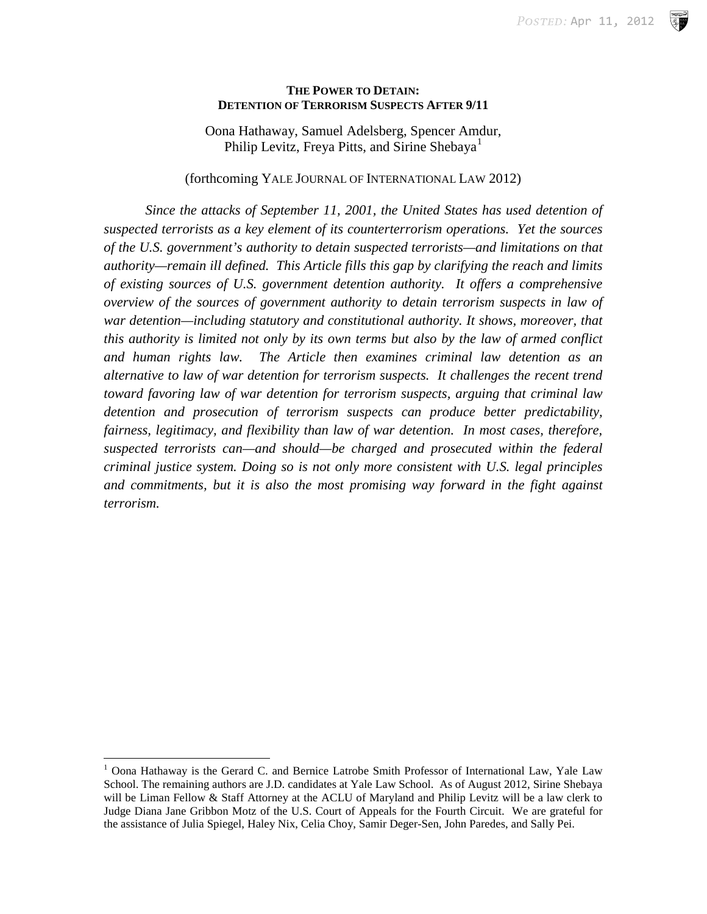#### **THE POWER TO DETAIN: DETENTION OF TERRORISM SUSPECTS AFTER 9/11**

Oona Hathaway, Samuel Adelsberg, Spencer Amdur, Philip Levitz, Freya Pitts, and Sirine Shebaya<sup>[1](#page-0-0)</sup>

(forthcoming YALE JOURNAL OF INTERNATIONAL LAW 2012)

*Since the attacks of September 11, 2001, the United States has used detention of suspected terrorists as a key element of its counterterrorism operations. Yet the sources of the U.S. government's authority to detain suspected terrorists—and limitations on that authority—remain ill defined. This Article fills this gap by clarifying the reach and limits of existing sources of U.S. government detention authority. It offers a comprehensive overview of the sources of government authority to detain terrorism suspects in law of war detention—including statutory and constitutional authority. It shows, moreover, that this authority is limited not only by its own terms but also by the law of armed conflict and human rights law. The Article then examines criminal law detention as an alternative to law of war detention for terrorism suspects. It challenges the recent trend toward favoring law of war detention for terrorism suspects, arguing that criminal law detention and prosecution of terrorism suspects can produce better predictability, fairness, legitimacy, and flexibility than law of war detention. In most cases, therefore, suspected terrorists can—and should—be charged and prosecuted within the federal criminal justice system. Doing so is not only more consistent with U.S. legal principles and commitments, but it is also the most promising way forward in the fight against terrorism.*

<span id="page-0-1"></span><span id="page-0-0"></span><sup>&</sup>lt;sup>1</sup> Oona Hathaway is the Gerard C. and Bernice Latrobe Smith Professor of International Law, Yale Law School. The remaining authors are J.D. candidates at Yale Law School. As of August 2012, Sirine Shebaya will be Liman Fellow & Staff Attorney at the ACLU of Maryland and Philip Levitz will be a law clerk to Judge Diana Jane Gribbon Motz of the U.S. Court of Appeals for the Fourth Circuit. We are grateful for the assistance of Julia Spiegel, Haley Nix, Celia Choy, Samir Deger-Sen, John Paredes, and Sally Pei.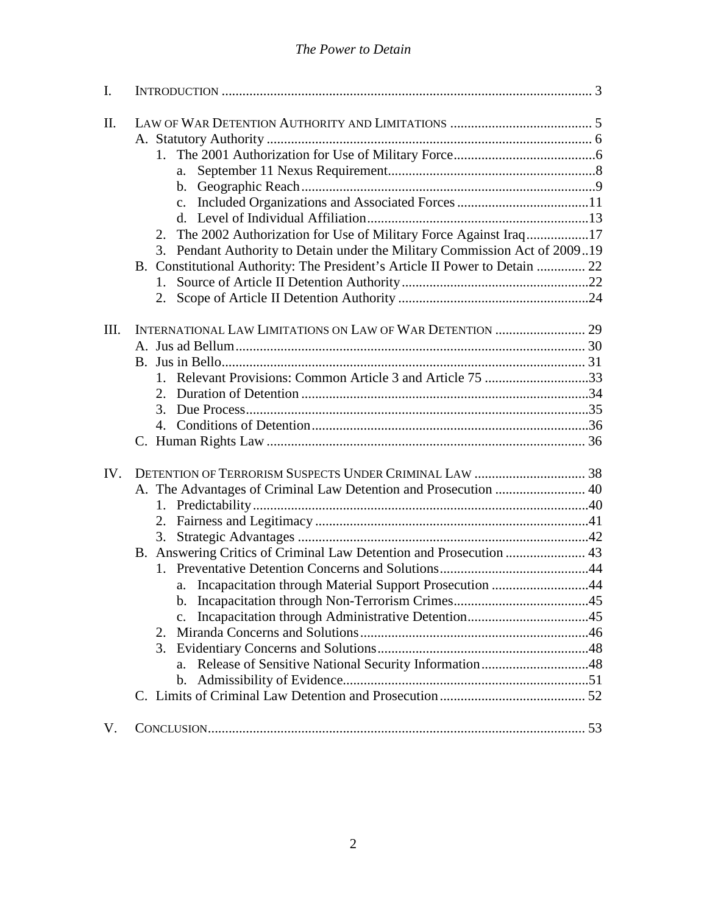| $\mathbf{I}$ . |                                                                             |  |
|----------------|-----------------------------------------------------------------------------|--|
| II.            |                                                                             |  |
|                |                                                                             |  |
|                | a.                                                                          |  |
|                | b.                                                                          |  |
|                | $c_{\cdot}$                                                                 |  |
|                |                                                                             |  |
|                | 2. The 2002 Authorization for Use of Military Force Against Iraq17          |  |
|                | 3. Pendant Authority to Detain under the Military Commission Act of 200919  |  |
|                | B. Constitutional Authority: The President's Article II Power to Detain  22 |  |
|                | $1_{-}$                                                                     |  |
|                |                                                                             |  |
| III.           |                                                                             |  |
|                |                                                                             |  |
|                |                                                                             |  |
|                | 1. Relevant Provisions: Common Article 3 and Article 75 33                  |  |
|                |                                                                             |  |
|                |                                                                             |  |
|                |                                                                             |  |
|                |                                                                             |  |
| IV.            |                                                                             |  |
|                | A. The Advantages of Criminal Law Detention and Prosecution  40             |  |
|                |                                                                             |  |
|                |                                                                             |  |
|                | 3.                                                                          |  |
|                |                                                                             |  |
|                |                                                                             |  |
|                | a. Incapacitation through Material Support Prosecution 44                   |  |
|                |                                                                             |  |
|                | $\mathbf{c}$ .                                                              |  |
|                | 2.                                                                          |  |
|                |                                                                             |  |
|                | a.                                                                          |  |
|                | b.                                                                          |  |
|                |                                                                             |  |
| V.             |                                                                             |  |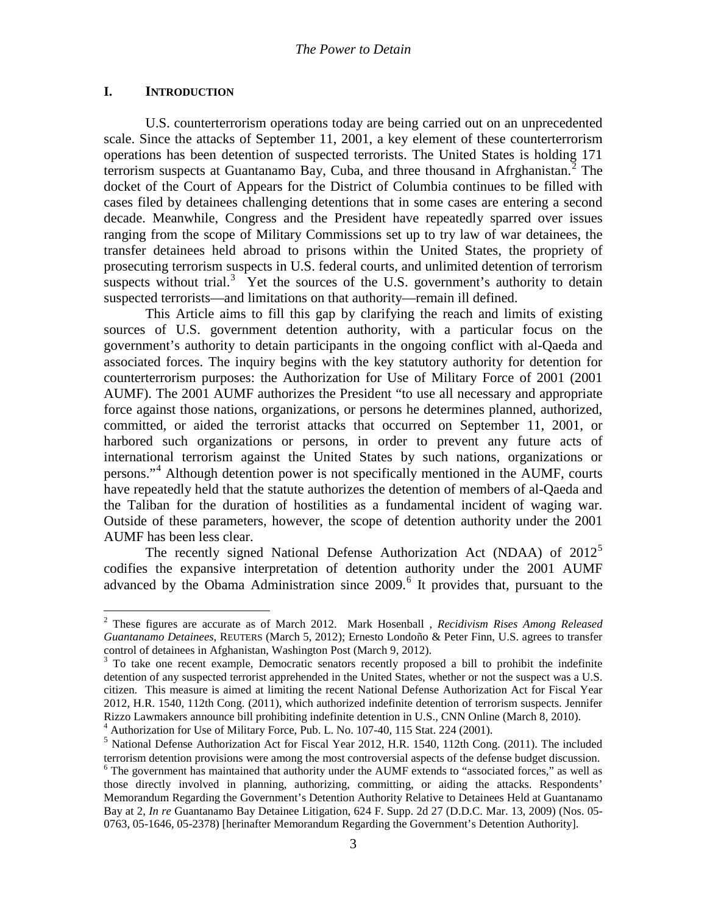## **I. INTRODUCTION**

U.S. counterterrorism operations today are being carried out on an unprecedented scale. Since the attacks of September 11, 2001, a key element of these counterterrorism operations has been detention of suspected terrorists. The United States is holding 171 terrorism suspects at Guantanamo Bay, Cuba, and three thousand in Afrghanistan.<sup>[2](#page-0-1)</sup> The docket of the Court of Appears for the District of Columbia continues to be filled with cases filed by detainees challenging detentions that in some cases are entering a second decade. Meanwhile, Congress and the President have repeatedly sparred over issues ranging from the scope of Military Commissions set up to try law of war detainees, the transfer detainees held abroad to prisons within the United States, the propriety of prosecuting terrorism suspects in U.S. federal courts, and unlimited detention of terrorism suspects without trial.<sup>[3](#page-2-0)</sup> Yet the sources of the U.S. government's authority to detain suspected terrorists—and limitations on that authority—remain ill defined.

This Article aims to fill this gap by clarifying the reach and limits of existing sources of U.S. government detention authority, with a particular focus on the government's authority to detain participants in the ongoing conflict with al-Qaeda and associated forces. The inquiry begins with the key statutory authority for detention for counterterrorism purposes: the Authorization for Use of Military Force of 2001 (2001 AUMF). The 2001 AUMF authorizes the President "to use all necessary and appropriate force against those nations, organizations, or persons he determines planned, authorized, committed, or aided the terrorist attacks that occurred on September 11, 2001, or harbored such organizations or persons, in order to prevent any future acts of international terrorism against the United States by such nations, organizations or persons."[4](#page-2-1) Although detention power is not specifically mentioned in the AUMF, courts have repeatedly held that the statute authorizes the detention of members of al-Qaeda and the Taliban for the duration of hostilities as a fundamental incident of waging war. Outside of these parameters, however, the scope of detention authority under the 2001 AUMF has been less clear.

<span id="page-2-5"></span>The recently signed National Defense Authorization Act (NDAA) of  $2012<sup>5</sup>$  $2012<sup>5</sup>$  $2012<sup>5</sup>$ codifies the expansive interpretation of detention authority under the 2001 AUMF advanced by the Obama Administration since 2009.<sup>[6](#page-2-3)</sup> It provides that, pursuant to the

<span id="page-2-4"></span><span id="page-2-1"></span> $4$  Authorization for Use of Military Force, Pub. L. No. 107-40, 115 Stat. 224 (2001).

<sup>2</sup> These figures are accurate as of March 2012. Mark Hosenball , *Recidivism Rises Among Released Guantanamo Detainees*, REUTERS (March 5, 2012); Ernesto Londoño & Peter Finn, U.S. agrees to transfer control of detainees in Afghanistan, Washington Post (March 9, 2012).<br><sup>3</sup> To take one recent example, Democratic senators recently proposed a bill to prohibit the indefinite

<span id="page-2-0"></span>detention of any suspected terrorist apprehended in the United States, whether or not the suspect was a U.S. citizen. This measure is aimed at limiting the recent National Defense Authorization Act for Fiscal Year 2012, H.R. 1540, 112th Cong. (2011), which authorized indefinite detention of terrorism suspects. Jennifer Rizzo Lawmakers announce bill prohibiting indefinite detention in U.S., CNN Online (March 8, 2010).

<span id="page-2-3"></span><span id="page-2-2"></span><sup>5</sup> National Defense Authorization Act for Fiscal Year 2012, H.R. 1540, 112th Cong. (2011). The included terrorism detention provisions were among the most controversial aspects of the defense budget discussion. 6 The government has maintained that authority under the AUMF extends to "associated forces," as well as those directly involved in planning, authorizing, committing, or aiding the attacks. Respondents' Memorandum Regarding the Government's Detention Authority Relative to Detainees Held at Guantanamo Bay at 2, *In re* Guantanamo Bay Detainee Litigation, 624 F. Supp. 2d 27 (D.D.C. Mar. 13, 2009) (Nos. 05- 0763, 05-1646, 05-2378) [herinafter Memorandum Regarding the Government's Detention Authority].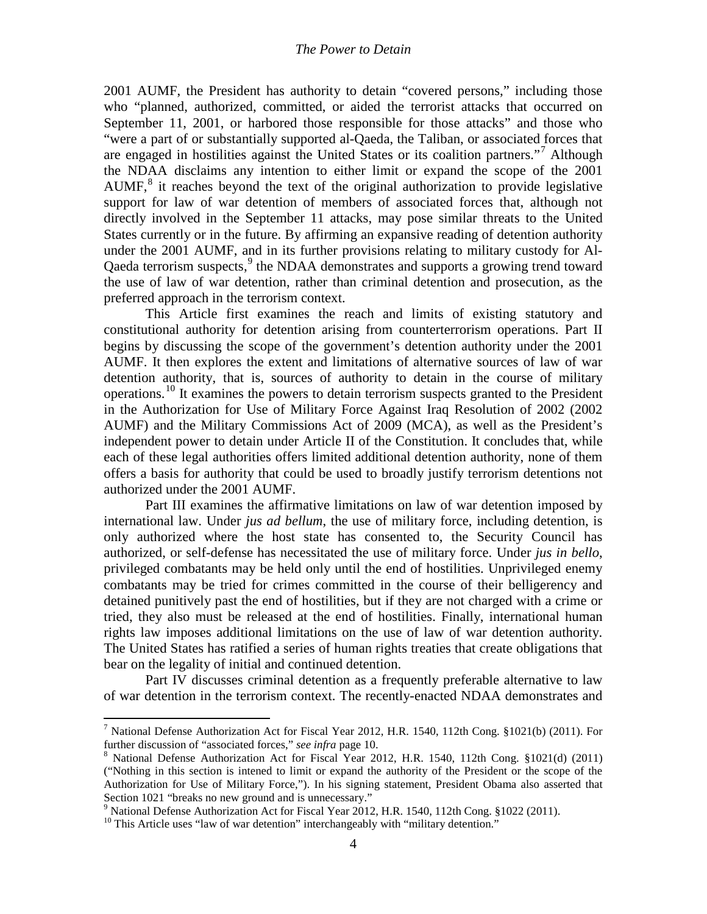2001 AUMF, the President has authority to detain "covered persons," including those who "planned, authorized, committed, or aided the terrorist attacks that occurred on September 11, 2001, or harbored those responsible for those attacks" and those who "were a part of or substantially supported al-Qaeda, the Taliban, or associated forces that are engaged in hostilities against the United States or its coalition partners."[7](#page-2-4) Although the NDAA disclaims any intention to either limit or expand the scope of the 2001 AUMF, $8$  it reaches beyond the text of the original authorization to provide legislative support for law of war detention of members of associated forces that, although not directly involved in the September 11 attacks, may pose similar threats to the United States currently or in the future. By affirming an expansive reading of detention authority under the 2001 AUMF, and in its further provisions relating to military custody for Al-Qaeda terrorism suspects,<sup>[9](#page-3-1)</sup> the NDAA demonstrates and supports a growing trend toward the use of law of war detention, rather than criminal detention and prosecution, as the preferred approach in the terrorism context.

This Article first examines the reach and limits of existing statutory and constitutional authority for detention arising from counterterrorism operations. Part II begins by discussing the scope of the government's detention authority under the 2001 AUMF. It then explores the extent and limitations of alternative sources of law of war detention authority, that is, sources of authority to detain in the course of military operations.<sup>[10](#page-3-2)</sup> It examines the powers to detain terrorism suspects granted to the President in the Authorization for Use of Military Force Against Iraq Resolution of 2002 (2002 AUMF) and the Military Commissions Act of 2009 (MCA), as well as the President's independent power to detain under Article II of the Constitution. It concludes that, while each of these legal authorities offers limited additional detention authority, none of them offers a basis for authority that could be used to broadly justify terrorism detentions not authorized under the 2001 AUMF.

Part III examines the affirmative limitations on law of war detention imposed by international law. Under *jus ad bellum*, the use of military force, including detention, is only authorized where the host state has consented to, the Security Council has authorized, or self-defense has necessitated the use of military force. Under *jus in bello*, privileged combatants may be held only until the end of hostilities. Unprivileged enemy combatants may be tried for crimes committed in the course of their belligerency and detained punitively past the end of hostilities, but if they are not charged with a crime or tried, they also must be released at the end of hostilities. Finally, international human rights law imposes additional limitations on the use of law of war detention authority. The United States has ratified a series of human rights treaties that create obligations that bear on the legality of initial and continued detention.

Part IV discusses criminal detention as a frequently preferable alternative to law of war detention in the terrorism context. The recently-enacted NDAA demonstrates and

<span id="page-3-3"></span><sup>&</sup>lt;sup>7</sup> National Defense Authorization Act for Fiscal Year 2012, H.R. 1540, 112th Cong. §1021(b) (2011). For further discussion of "associated forces," *see infra* page 10.

<span id="page-3-0"></span><sup>&</sup>lt;sup>8</sup> National Defense Authorization Act for Fiscal Year 2012, H.R. 1540, 112th Cong. §1021(d) (2011) ("Nothing in this section is intened to limit or expand the authority of the President or the scope of the Authorization for Use of Military Force,"). In his signing statement, President Obama also asserted that Section 1021 "breaks no new ground and is unnecessary."

<span id="page-3-2"></span><span id="page-3-1"></span><sup>&</sup>lt;sup>9</sup> National Defense Authorization Act for Fiscal Year 2012, H.R. 1540, 112th Cong. §1022 (2011). <sup>10</sup> This Article uses "law of war detention" interchangeably with "military detention."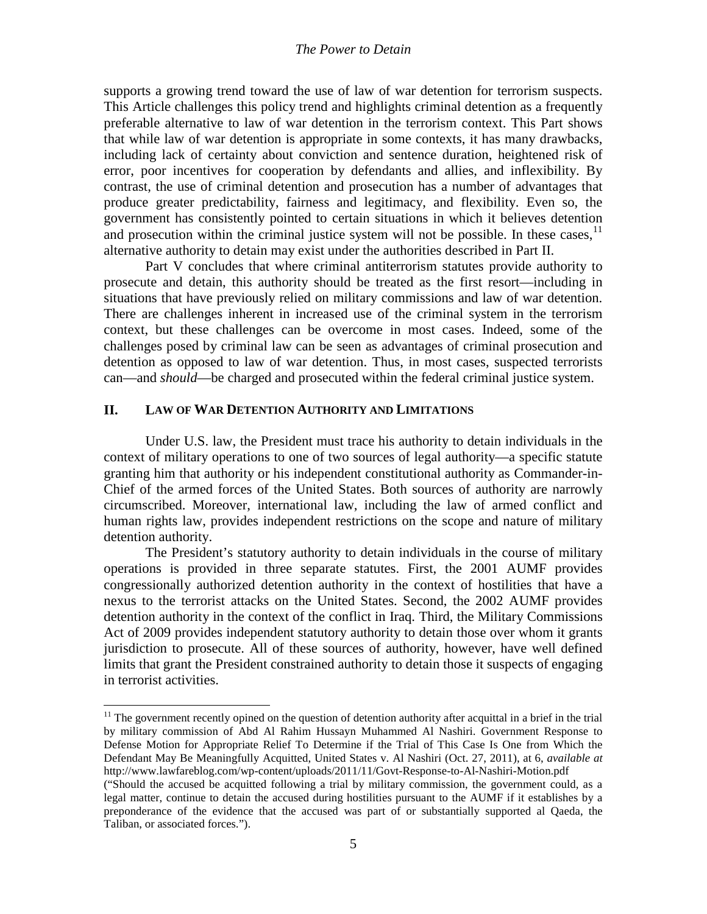supports a growing trend toward the use of law of war detention for terrorism suspects. This Article challenges this policy trend and highlights criminal detention as a frequently preferable alternative to law of war detention in the terrorism context. This Part shows that while law of war detention is appropriate in some contexts, it has many drawbacks, including lack of certainty about conviction and sentence duration, heightened risk of error, poor incentives for cooperation by defendants and allies, and inflexibility. By contrast, the use of criminal detention and prosecution has a number of advantages that produce greater predictability, fairness and legitimacy, and flexibility. Even so, the government has consistently pointed to certain situations in which it believes detention and prosecution within the criminal justice system will not be possible. In these cases,  $\frac{11}{1}$  $\frac{11}{1}$  $\frac{11}{1}$ alternative authority to detain may exist under the authorities described in Part II.

Part V concludes that where criminal antiterrorism statutes provide authority to prosecute and detain, this authority should be treated as the first resort—including in situations that have previously relied on military commissions and law of war detention. There are challenges inherent in increased use of the criminal system in the terrorism context, but these challenges can be overcome in most cases. Indeed, some of the challenges posed by criminal law can be seen as advantages of criminal prosecution and detention as opposed to law of war detention. Thus, in most cases, suspected terrorists can—and *should*—be charged and prosecuted within the federal criminal justice system.

## **II. LAW OF WAR DETENTION AUTHORITY AND LIMITATIONS**

Under U.S. law, the President must trace his authority to detain individuals in the context of military operations to one of two sources of legal authority—a specific statute granting him that authority or his independent constitutional authority as Commander-in-Chief of the armed forces of the United States. Both sources of authority are narrowly circumscribed. Moreover, international law, including the law of armed conflict and human rights law, provides independent restrictions on the scope and nature of military detention authority.

The President's statutory authority to detain individuals in the course of military operations is provided in three separate statutes. First, the 2001 AUMF provides congressionally authorized detention authority in the context of hostilities that have a nexus to the terrorist attacks on the United States. Second, the 2002 AUMF provides detention authority in the context of the conflict in Iraq. Third, the Military Commissions Act of 2009 provides independent statutory authority to detain those over whom it grants jurisdiction to prosecute. All of these sources of authority, however, have well defined limits that grant the President constrained authority to detain those it suspects of engaging in terrorist activities.

<span id="page-4-0"></span> $11$  The government recently opined on the question of detention authority after acquittal in a brief in the trial by military commission of Abd Al Rahim Hussayn Muhammed Al Nashiri. Government Response to Defense Motion for Appropriate Relief To Determine if the Trial of This Case Is One from Which the Defendant May Be Meaningfully Acquitted, United States v. Al Nashiri (Oct. 27, 2011), at 6, *available at* http://www.lawfareblog.com/wp-content/uploads/2011/11/Govt-Response-to-Al-Nashiri-Motion.pdf ("Should the accused be acquitted following a trial by military commission, the government could, as a legal matter, continue to detain the accused during hostilities pursuant to the AUMF if it establishes by a preponderance of the evidence that the accused was part of or substantially supported al Qaeda, the Taliban, or associated forces.").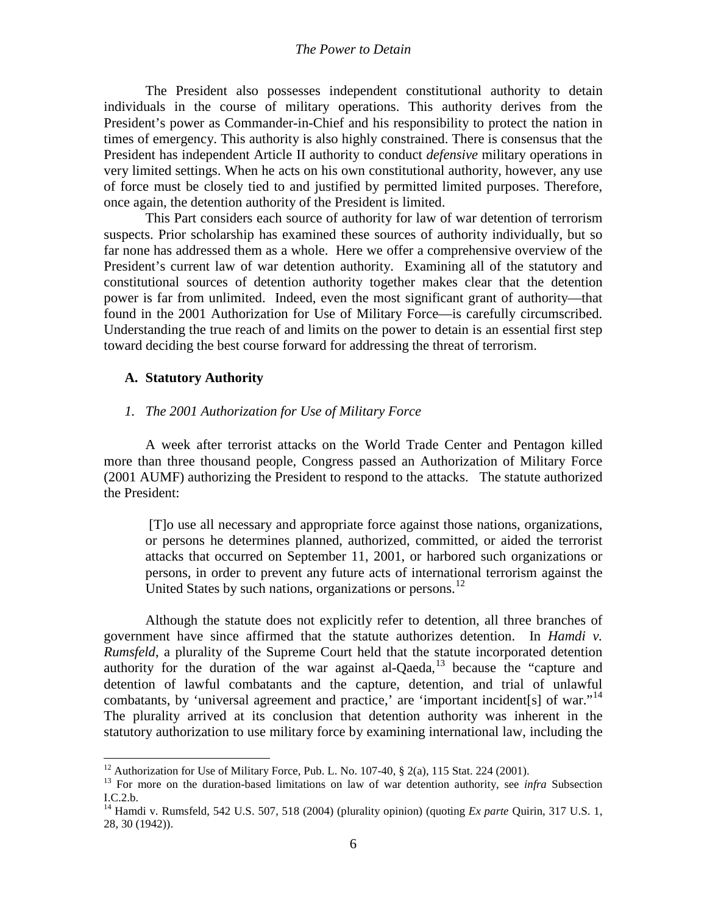The President also possesses independent constitutional authority to detain individuals in the course of military operations. This authority derives from the President's power as Commander-in-Chief and his responsibility to protect the nation in times of emergency. This authority is also highly constrained. There is consensus that the President has independent Article II authority to conduct *defensive* military operations in very limited settings. When he acts on his own constitutional authority, however, any use of force must be closely tied to and justified by permitted limited purposes. Therefore, once again, the detention authority of the President is limited.

This Part considers each source of authority for law of war detention of terrorism suspects. Prior scholarship has examined these sources of authority individually, but so far none has addressed them as a whole. Here we offer a comprehensive overview of the President's current law of war detention authority. Examining all of the statutory and constitutional sources of detention authority together makes clear that the detention power is far from unlimited. Indeed, even the most significant grant of authority—that found in the 2001 Authorization for Use of Military Force—is carefully circumscribed. Understanding the true reach of and limits on the power to detain is an essential first step toward deciding the best course forward for addressing the threat of terrorism.

### **A. Statutory Authority**

#### *1. The 2001 Authorization for Use of Military Force*

<span id="page-5-2"></span>A week after terrorist attacks on the World Trade Center and Pentagon killed more than three thousand people, Congress passed an Authorization of Military Force (2001 AUMF) authorizing the President to respond to the attacks. The statute authorized the President:

[T]o use all necessary and appropriate force against those nations, organizations, or persons he determines planned, authorized, committed, or aided the terrorist attacks that occurred on September 11, 2001, or harbored such organizations or persons, in order to prevent any future acts of international terrorism against the United States by such nations, organizations or persons.<sup>12</sup>

Although the statute does not explicitly refer to detention, all three branches of government have since affirmed that the statute authorizes detention. In *Hamdi v. Rumsfeld*, a plurality of the Supreme Court held that the statute incorporated detention authority for the duration of the war against al-Qaeda, [13](#page-5-0) because the "capture and detention of lawful combatants and the capture, detention, and trial of unlawful combatants, by 'universal agreement and practice,' are 'important incident[s] of war."<sup>[14](#page-5-1)</sup> The plurality arrived at its conclusion that detention authority was inherent in the statutory authorization to use military force by examining international law, including the

<span id="page-5-0"></span><sup>&</sup>lt;sup>12</sup> Authorization for Use of Military Force, Pub. L. No. 107-40, § 2(a), 115 Stat. 224 (2001).<br><sup>13</sup> For more on the duration-based limitations on law of war detention authority, see *infra* Subsection I.C.2.b.

<span id="page-5-1"></span><sup>&</sup>lt;sup>14</sup> Hamdi v. Rumsfeld, 542 U.S. 507, 518 (2004) (plurality opinion) (quoting *Ex parte* Quirin, 317 U.S. 1, 28, 30 (1942)).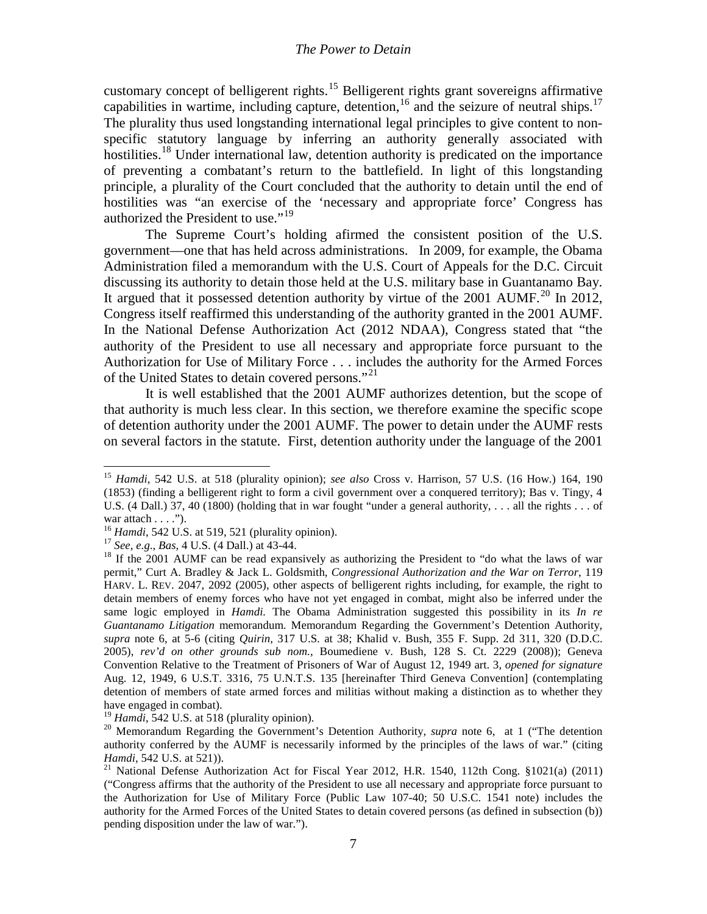<span id="page-6-7"></span>customary concept of belligerent rights.<sup>[15](#page-5-2)</sup> Belligerent rights grant sovereigns affirmative capabilities in wartime, including capture, detention,<sup>[16](#page-6-0)</sup> and the seizure of neutral ships.<sup>[17](#page-6-1)</sup> The plurality thus used longstanding international legal principles to give content to nonspecific statutory language by inferring an authority generally associated with hostilities.<sup>[18](#page-6-2)</sup> Under international law, detention authority is predicated on the importance of preventing a combatant's return to the battlefield. In light of this longstanding principle, a plurality of the Court concluded that the authority to detain until the end of hostilities was "an exercise of the 'necessary and appropriate force' Congress has authorized the President to use."<sup>[19](#page-6-3)</sup>

The Supreme Court's holding afirmed the consistent position of the U.S. government—one that has held across administrations. In 2009, for example, the Obama Administration filed a memorandum with the U.S. Court of Appeals for the D.C. Circuit discussing its authority to detain those held at the U.S. military base in Guantanamo Bay. It argued that it possessed detention authority by virtue of the  $2001$  $2001$  AUMF.<sup>20</sup> In 2012, Congress itself reaffirmed this understanding of the authority granted in the 2001 AUMF. In the National Defense Authorization Act (2012 NDAA), Congress stated that "the authority of the President to use all necessary and appropriate force pursuant to the Authorization for Use of Military Force . . . includes the authority for the Armed Forces of the United States to detain covered persons."<sup>[21](#page-6-5)</sup>

It is well established that the 2001 AUMF authorizes detention, but the scope of that authority is much less clear. In this section, we therefore examine the specific scope of detention authority under the 2001 AUMF. The power to detain under the AUMF rests on several factors in the statute. First, detention authority under the language of the 2001

<sup>15</sup> *Hamdi*, 542 U.S. at 518 (plurality opinion); *see also* Cross v. Harrison, 57 U.S. (16 How.) 164, 190 (1853) (finding a belligerent right to form a civil government over a conquered territory); Bas v. Tingy, 4 U.S. (4 Dall.) 37, 40 (1800) (holding that in war fought "under a general authority, . . . all the rights . . . of war attach . . . .").<br><sup>16</sup> *Hamdi*, 542 U.S. at 519, 521 (plurality opinion).

<span id="page-6-6"></span><span id="page-6-2"></span><span id="page-6-1"></span><span id="page-6-0"></span><sup>&</sup>lt;sup>17</sup> *See, e.g., Bas,* 4 U.S. (4 Dall.) at 43-44.  $\frac{18}{18}$  If the 2001 AUMF can be read expansively as authorizing the President to "do what the laws of war permit," Curt A. Bradley & Jack L. Goldsmith, *Congressional Authorization and the War on Terror*, 119 HARV. L. REV. 2047, 2092 (2005), other aspects of belligerent rights including, for example, the right to detain members of enemy forces who have not yet engaged in combat, might also be inferred under the same logic employed in *Hamdi.* The Obama Administration suggested this possibility in its *In re Guantanamo Litigation* memorandum. Memorandum Regarding the Government's Detention Authority, *supra* note [6,](#page-2-5) at 5-6 (citing *Quirin*, 317 U.S. at 38; Khalid v. Bush, 355 F. Supp. 2d 311, 320 (D.D.C. 2005), *rev'd on other grounds sub nom.*, Boumediene v. Bush, 128 S. Ct. 2229 (2008)); Geneva Convention Relative to the Treatment of Prisoners of War of August 12, 1949 art. 3, *opened for signature* Aug. 12, 1949, 6 U.S.T. 3316, 75 U.N.T.S. 135 [hereinafter Third Geneva Convention] (contemplating detention of members of state armed forces and militias without making a distinction as to whether they

<span id="page-6-4"></span><span id="page-6-3"></span>

have engaged in combat).<br><sup>19</sup> *Hamdi*, 542 U.S. at 518 (plurality opinion).<br><sup>20</sup> Memorandum Regarding the Government's Detention Authority, *supra* note [6,](#page-2-5) at 1 ("The detention authority conferred by the AUMF is necessarily informed by the principles of the laws of war." (citing

<span id="page-6-5"></span>*Hamdi*, 542 U.S. at 521)).<br><sup>21</sup> National Defense Authorization Act for Fiscal Year 2012, H.R. 1540, 112th Cong. §1021(a) (2011) ("Congress affirms that the authority of the President to use all necessary and appropriate force pursuant to the Authorization for Use of Military Force (Public Law 107-40; 50 U.S.C. 1541 note) includes the authority for the Armed Forces of the United States to detain covered persons (as defined in subsection (b)) pending disposition under the law of war.").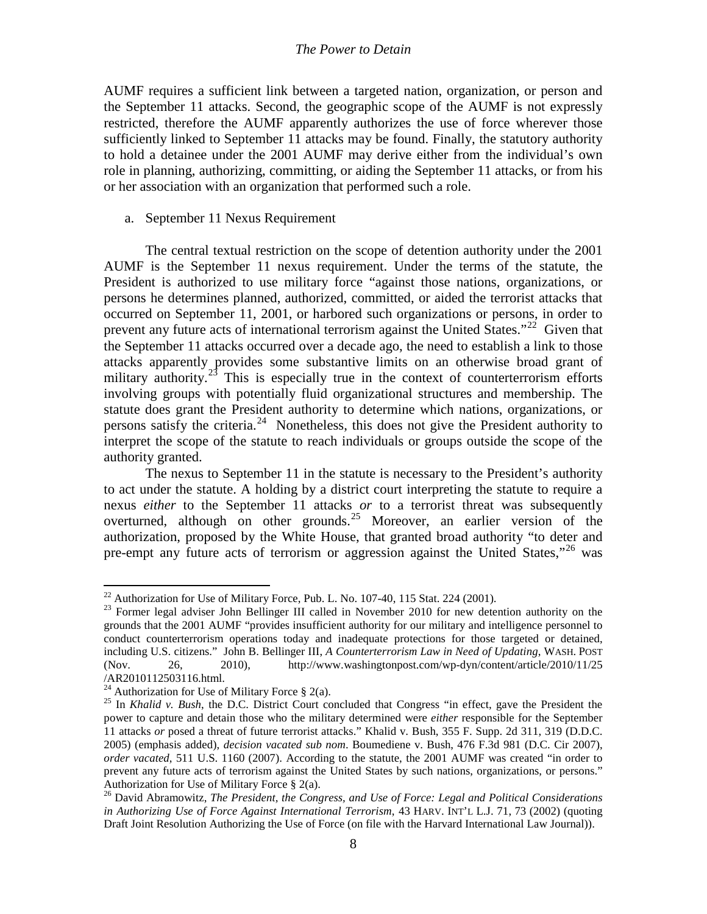AUMF requires a sufficient link between a targeted nation, organization, or person and the September 11 attacks. Second, the geographic scope of the AUMF is not expressly restricted, therefore the AUMF apparently authorizes the use of force wherever those sufficiently linked to September 11 attacks may be found. Finally, the statutory authority to hold a detainee under the 2001 AUMF may derive either from the individual's own role in planning, authorizing, committing, or aiding the September 11 attacks, or from his or her association with an organization that performed such a role.

### a. September 11 Nexus Requirement

The central textual restriction on the scope of detention authority under the 2001 AUMF is the September 11 nexus requirement. Under the terms of the statute, the President is authorized to use military force "against those nations, organizations, or persons he determines planned, authorized, committed, or aided the terrorist attacks that occurred on September 11, 2001, or harbored such organizations or persons, in order to prevent any future acts of international terrorism against the United States."<sup>[22](#page-6-6)</sup> Given that the September 11 attacks occurred over a decade ago, the need to establish a link to those attacks apparently provides some substantive limits on an otherwise broad grant of military authority.<sup>[23](#page-7-0)</sup> This is especially true in the context of counterterrorism efforts involving groups with potentially fluid organizational structures and membership. The statute does grant the President authority to determine which nations, organizations, or persons satisfy the criteria.<sup>24</sup> Nonetheless, this does not give the President authority to interpret the scope of the statute to reach individuals or groups outside the scope of the authority granted.

The nexus to September 11 in the statute is necessary to the President's authority to act under the statute. A holding by a district court interpreting the statute to require a nexus *either* to the September 11 attacks *or* to a terrorist threat was subsequently overturned, although on other grounds.[25](#page-7-2) Moreover, an earlier version of the authorization, proposed by the White House, that granted broad authority "to deter and pre-empt any future acts of terrorism or aggression against the United States,"<sup>[26](#page-7-3)</sup> was

<span id="page-7-0"></span><sup>&</sup>lt;sup>22</sup> Authorization for Use of Military Force, Pub. L. No. 107-40, 115 Stat. 224 (2001).<br><sup>23</sup> Former legal adviser John Bellinger III called in November 2010 for new detention authority on the grounds that the 2001 AUMF "provides insufficient authority for our military and intelligence personnel to conduct counterterrorism operations today and inadequate protections for those targeted or detained, including U.S. citizens." John B. Bellinger III, *A Counterterrorism Law in Need of Updating*, WASH. POST (Nov. 26, 2010), http://www.washingtonpost.com/wp-dyn/content/article/2010/11/25  $/AR2010112503116.html.$ <sup>24</sup> Authorization for Use of Military Force § 2(a).

<span id="page-7-2"></span><span id="page-7-1"></span><sup>&</sup>lt;sup>25</sup> In *Khalid v. Bush*, the D.C. District Court concluded that Congress "in effect, gave the President the power to capture and detain those who the military determined were *either* responsible for the September 11 attacks *or* posed a threat of future terrorist attacks." Khalid v. Bush, 355 F. Supp. 2d 311, 319 (D.D.C. 2005) (emphasis added), *decision vacated sub nom*. Boumediene v. Bush, 476 F.3d 981 (D.C. Cir 2007), *order vacated*, 511 U.S. 1160 (2007). According to the statute, the 2001 AUMF was created "in order to prevent any future acts of terrorism against the United States by such nations, organizations, or persons." Authorization for Use of Military Force § 2(a).<br><sup>26</sup> David Abramowitz, *The President, the Congress, and Use of Force: Legal and Political Considerations* 

<span id="page-7-3"></span>*in Authorizing Use of Force Against International Terrorism*, 43 HARV. INT'L L.J. 71, 73 (2002) (quoting Draft Joint Resolution Authorizing the Use of Force (on file with the Harvard International Law Journal)).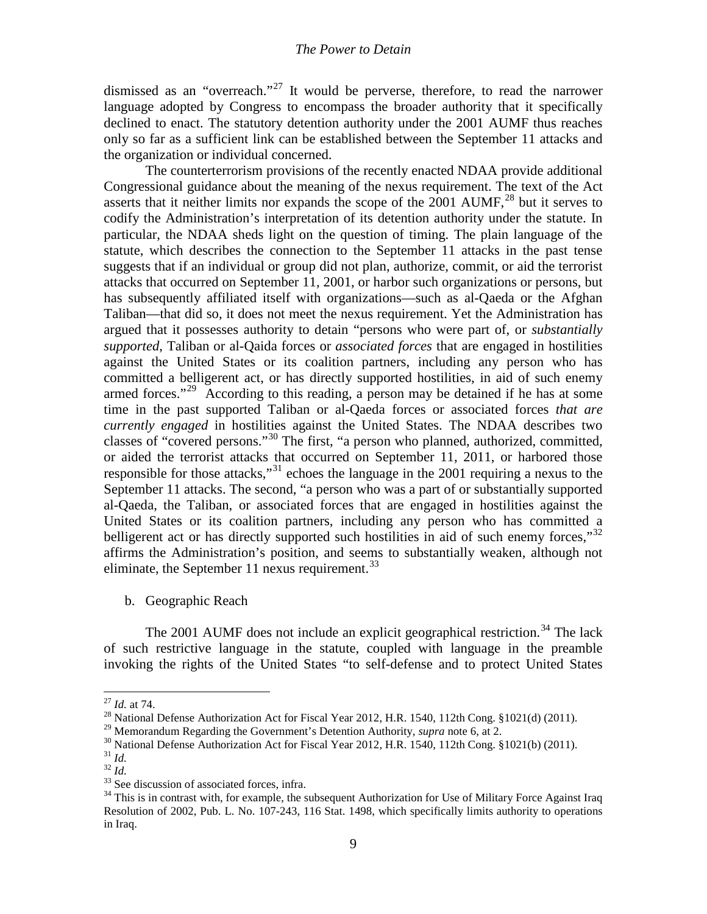dismissed as an "overreach."<sup>[27](#page-7-2)</sup> It would be perverse, therefore, to read the narrower language adopted by Congress to encompass the broader authority that it specifically declined to enact. The statutory detention authority under the 2001 AUMF thus reaches only so far as a sufficient link can be established between the September 11 attacks and the organization or individual concerned.

The counterterrorism provisions of the recently enacted NDAA provide additional Congressional guidance about the meaning of the nexus requirement. The text of the Act asserts that it neither limits nor expands the scope of the  $2001$  AUMF,<sup>[28](#page-8-0)</sup> but it serves to codify the Administration's interpretation of its detention authority under the statute. In particular, the NDAA sheds light on the question of timing. The plain language of the statute, which describes the connection to the September 11 attacks in the past tense suggests that if an individual or group did not plan, authorize, commit, or aid the terrorist attacks that occurred on September 11, 2001, or harbor such organizations or persons, but has subsequently affiliated itself with organizations—such as al-Qaeda or the Afghan Taliban—that did so, it does not meet the nexus requirement. Yet the Administration has argued that it possesses authority to detain "persons who were part of, or *substantially supported*, Taliban or al-Qaida forces or *associated forces* that are engaged in hostilities against the United States or its coalition partners, including any person who has committed a belligerent act, or has directly supported hostilities, in aid of such enemy armed forces."<sup>[29](#page-8-1)</sup> According to this reading, a person may be detained if he has at some time in the past supported Taliban or al-Qaeda forces or associated forces *that are currently engaged* in hostilities against the United States. The NDAA describes two classes of "covered persons."[30](#page-8-2) The first, "a person who planned, authorized, committed, or aided the terrorist attacks that occurred on September 11, 2011, or harbored those responsible for those attacks,"<sup>[31](#page-8-3)</sup> echoes the language in the 2001 requiring a nexus to the September 11 attacks. The second, "a person who was a part of or substantially supported al-Qaeda, the Taliban, or associated forces that are engaged in hostilities against the United States or its coalition partners, including any person who has committed a belligerent act or has directly supported such hostilities in aid of such enemy forces,"<sup>[32](#page-8-4)</sup> affirms the Administration's position, and seems to substantially weaken, although not eliminate, the September 11 nexus requirement. $^{33}$  $^{33}$  $^{33}$ 

b. Geographic Reach

<span id="page-8-7"></span>The 2001 AUMF does not include an explicit geographical restriction.<sup>[34](#page-8-6)</sup> The lack of such restrictive language in the statute, coupled with language in the preamble invoking the rights of the United States "to self-defense and to protect United States

<span id="page-8-0"></span><sup>&</sup>lt;sup>27</sup> *Id.* at 74.<br><sup>28</sup> National Defense Authorization Act for Fiscal Year 2012, H.R. 1540, 112th Cong. §1021(d) (2011).<br><sup>29</sup> Memorandum Regarding the Government's Detention Authority, *supra* note 6, at 2.

<span id="page-8-3"></span><span id="page-8-2"></span><span id="page-8-1"></span><sup>&</sup>lt;sup>30</sup> National Defense Authorization Act for Fiscal Year 2012, H.R. 1540, 112th Cong. §1021(b) (2011).<br><sup>31</sup> *Id.*<br><sup>32</sup> *Id.*<br><sup>33</sup> See discussion of associated forces, infra.<br><sup>34</sup> This is in contrast with, for example, the

<span id="page-8-4"></span>

<span id="page-8-5"></span>

<span id="page-8-6"></span>Resolution of 2002, Pub. L. No. 107-243, 116 Stat. 1498, which specifically limits authority to operations in Iraq.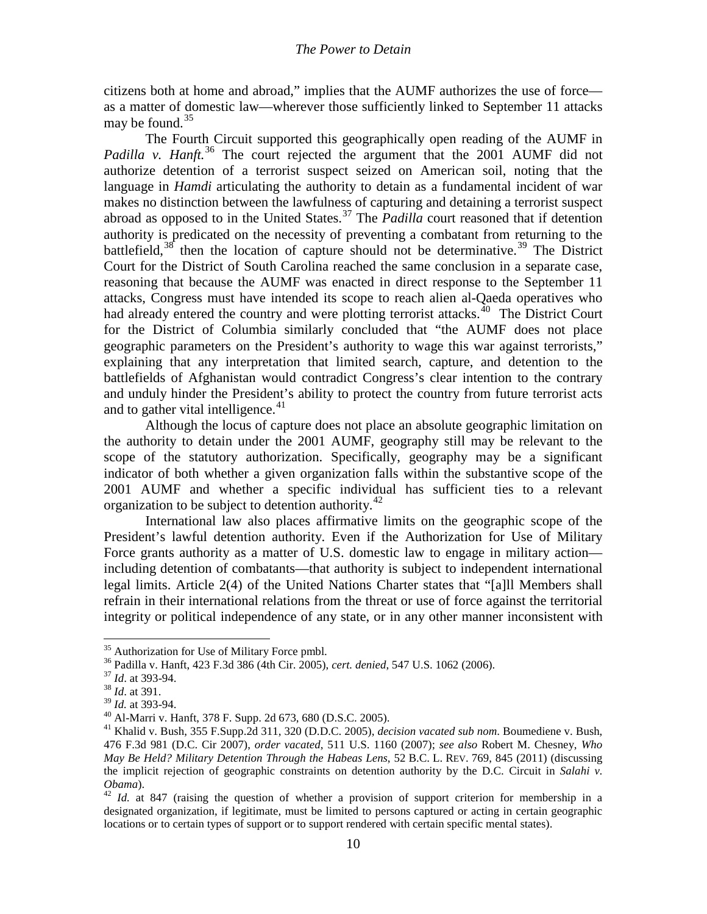citizens both at home and abroad," implies that the AUMF authorizes the use of force as a matter of domestic law—wherever those sufficiently linked to September 11 attacks may be found.<sup>[35](#page-8-7)</sup>

The Fourth Circuit supported this geographically open reading of the AUMF in *Padilla v. Hanft.*<sup>[36](#page-9-0)</sup> The court rejected the argument that the 2001 AUMF did not authorize detention of a terrorist suspect seized on American soil, noting that the language in *Hamdi* articulating the authority to detain as a fundamental incident of war makes no distinction between the lawfulness of capturing and detaining a terrorist suspect abroad as opposed to in the United States.<sup>[37](#page-9-1)</sup> The *Padilla* court reasoned that if detention authority is predicated on the necessity of preventing a combatant from returning to the battlefield,  $38$  then the location of capture should not be determinative.  $39$  The District Court for the District of South Carolina reached the same conclusion in a separate case, reasoning that because the AUMF was enacted in direct response to the September 11 attacks, Congress must have intended its scope to reach alien al-Qaeda operatives who had already entered the country and were plotting terrorist attacks.<sup>40</sup> The District Court for the District of Columbia similarly concluded that "the AUMF does not place geographic parameters on the President's authority to wage this war against terrorists," explaining that any interpretation that limited search, capture, and detention to the battlefields of Afghanistan would contradict Congress's clear intention to the contrary and unduly hinder the President's ability to protect the country from future terrorist acts and to gather vital intelligence.<sup>[41](#page-9-5)</sup>

<span id="page-9-8"></span>Although the locus of capture does not place an absolute geographic limitation on the authority to detain under the 2001 AUMF, geography still may be relevant to the scope of the statutory authorization. Specifically, geography may be a significant indicator of both whether a given organization falls within the substantive scope of the 2001 AUMF and whether a specific individual has sufficient ties to a relevant organization to be subject to detention authority.<sup>42</sup>

International law also places affirmative limits on the geographic scope of the President's lawful detention authority. Even if the Authorization for Use of Military Force grants authority as a matter of U.S. domestic law to engage in military action including detention of combatants—that authority is subject to independent international legal limits. Article 2(4) of the United Nations Charter states that "[a]ll Members shall refrain in their international relations from the threat or use of force against the territorial integrity or political independence of any state, or in any other manner inconsistent with

<span id="page-9-7"></span><span id="page-9-0"></span><sup>&</sup>lt;sup>35</sup> Authorization for Use of Military Force pmbl.<br><sup>36</sup> Padilla v. Hanft, 423 F.3d 386 (4th Cir. 2005), *cert. denied*, 547 U.S. 1062 (2006).<br><sup>37</sup> *Id.* at 393-94.<br><sup>38</sup> *Id.* at 393-94.<br><sup>39</sup> *Id.* at 393-94.

<span id="page-9-1"></span>

<span id="page-9-2"></span>

<span id="page-9-5"></span><span id="page-9-4"></span><span id="page-9-3"></span><sup>&</sup>lt;sup>40</sup> Al-Marri v. Hanft, 378 F. Supp. 2d 673, 680 (D.S.C. 2005).<br><sup>41</sup> Khalid v. Bush, 355 F.Supp.2d 311, 320 (D.D.C. 2005), *decision vacated sub nom*. Boumediene v. Bush, 476 F.3d 981 (D.C. Cir 2007), *order vacated*, 511 U.S. 1160 (2007); *see also* Robert M. Chesney, *Who May Be Held? Military Detention Through the Habeas Lens*, 52 B.C. L. REV. 769, 845 (2011) (discussing the implicit rejection of geographic constraints on detention authority by the D.C. Circuit in *Salahi v.* 

<span id="page-9-6"></span><sup>&</sup>lt;sup>42</sup> *Id.* at 847 (raising the question of whether a provision of support criterion for membership in a designated organization, if legitimate, must be limited to persons captured or acting in certain geographic locations or to certain types of support or to support rendered with certain specific mental states).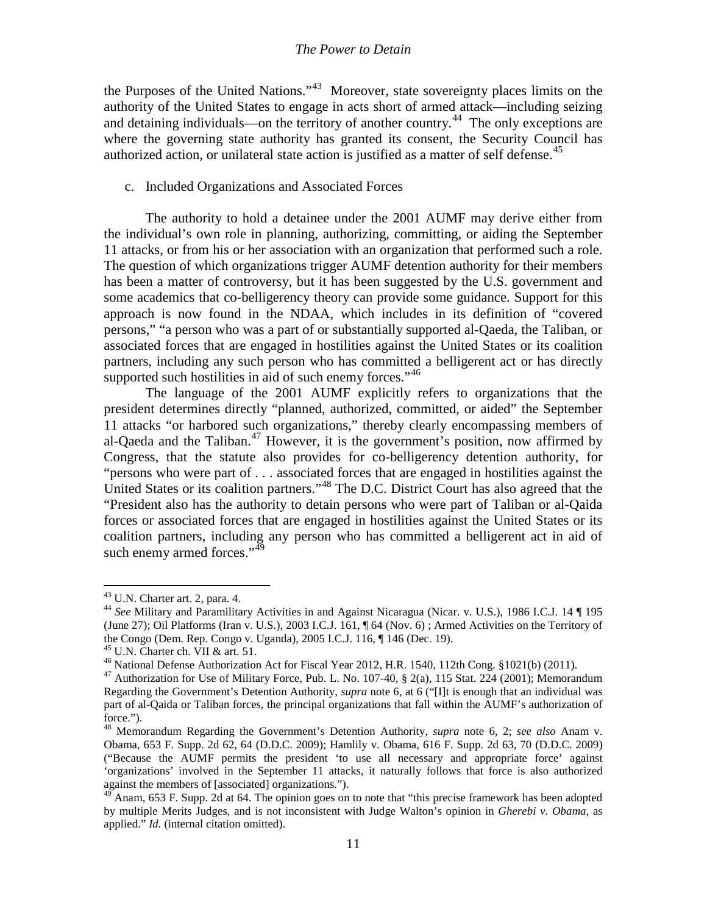the Purposes of the United Nations."[43](#page-9-7) Moreover, state sovereignty places limits on the authority of the United States to engage in acts short of armed attack—including seizing and detaining individuals—on the territory of another country.<sup>[44](#page-10-0)</sup> The only exceptions are where the governing state authority has granted its consent, the Security Council has authorized action, or unilateral state action is justified as a matter of self defense.<sup>[45](#page-10-1)</sup>

### c. Included Organizations and Associated Forces

The authority to hold a detainee under the 2001 AUMF may derive either from the individual's own role in planning, authorizing, committing, or aiding the September 11 attacks, or from his or her association with an organization that performed such a role. The question of which organizations trigger AUMF detention authority for their members has been a matter of controversy, but it has been suggested by the U.S. government and some academics that co-belligerency theory can provide some guidance. Support for this approach is now found in the NDAA, which includes in its definition of "covered persons," "a person who was a part of or substantially supported al-Qaeda, the Taliban, or associated forces that are engaged in hostilities against the United States or its coalition partners, including any such person who has committed a belligerent act or has directly supported such hostilities in aid of such enemy forces." $46$ 

<span id="page-10-6"></span>The language of the 2001 AUMF explicitly refers to organizations that the president determines directly "planned, authorized, committed, or aided" the September 11 attacks "or harbored such organizations," thereby clearly encompassing members of al-Qaeda and the Taliban.<sup>[47](#page-10-3)</sup> However, it is the government's position, now affirmed by Congress, that the statute also provides for co-belligerency detention authority, for "persons who were part of . . . associated forces that are engaged in hostilities against the United States or its coalition partners."<sup>[48](#page-10-4)</sup> The D.C. District Court has also agreed that the "President also has the authority to detain persons who were part of Taliban or al-Qaida forces or associated forces that are engaged in hostilities against the United States or its coalition partners, including any person who has committed a belligerent act in aid of such enemy armed forces."<sup>[49](#page-10-5)</sup>

<span id="page-10-0"></span><sup>&</sup>lt;sup>43</sup> U.N. Charter art. 2, para. 4.<br><sup>44</sup> *See* Military and Paramilitary Activities in and Against Nicaragua (Nicar. v. U.S.), 1986 I.C.J. 14 ¶ 195 (June 27); Oil Platforms (Iran v. U.S.), 2003 I.C.J. 161, ¶ 64 (Nov. 6) ; Armed Activities on the Territory of the Congo (Dem. Rep. Congo v. Uganda), 2005 I.C.J. 116, ¶ 146 (Dec. 19).<br><sup>45</sup> U.N. Charter ch. VII & art. 51.<br><sup>46</sup> National Defense Authorization Act for Fiscal Year 2012, H.R. 1540, 112th Cong. §1021(b) (2011).<br><sup>47</sup> Autho

<span id="page-10-1"></span>

<span id="page-10-3"></span><span id="page-10-2"></span>Regarding the Government's Detention Authority, *supra* note [6,](#page-2-5) at 6 ("[I]t is enough that an individual was part of al-Qaida or Taliban forces, the principal organizations that fall within the AUMF's authorization of force.").

<span id="page-10-4"></span><sup>48</sup> Memorandum Regarding the Government's Detention Authority, *supra* note [6,](#page-2-5) 2; *see also* Anam v. Obama, 653 F. Supp. 2d 62, 64 (D.D.C. 2009); Hamlily v. Obama, 616 F. Supp. 2d 63, 70 (D.D.C. 2009) ("Because the AUMF permits the president 'to use all necessary and appropriate force' against 'organizations' involved in the September 11 attacks, it naturally follows that force is also authorized against the members of [associated] organizations.").

<span id="page-10-5"></span>Anam, 653 F. Supp. 2d at 64. The opinion goes on to note that "this precise framework has been adopted by multiple Merits Judges, and is not inconsistent with Judge Walton's opinion in *Gherebi v. Obama,* as applied." *Id.* (internal citation omitted).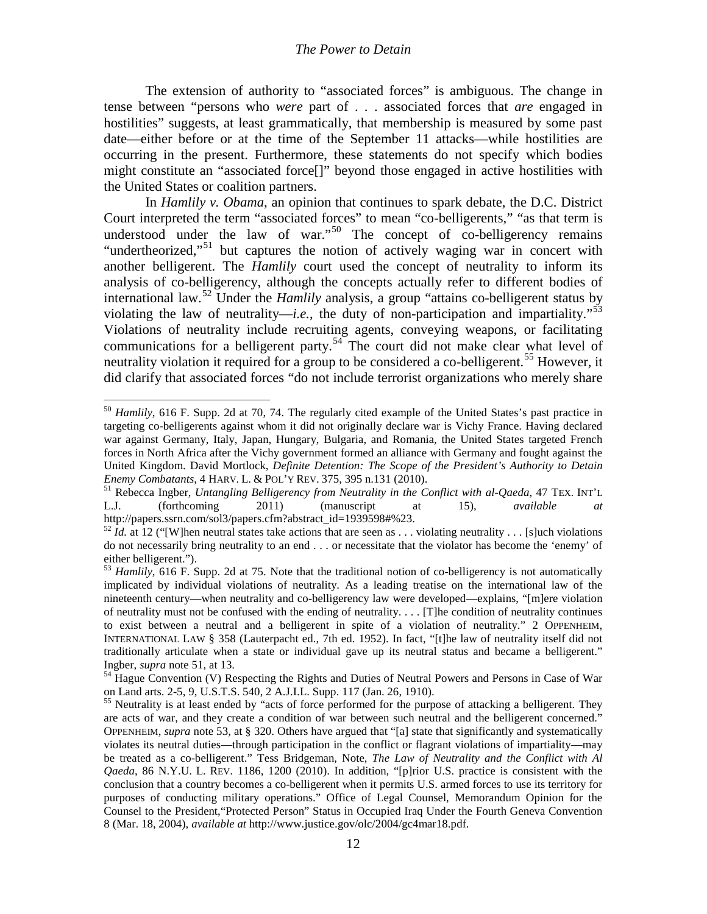The extension of authority to "associated forces" is ambiguous. The change in tense between "persons who *were* part of . . . associated forces that *are* engaged in hostilities" suggests, at least grammatically, that membership is measured by some past date—either before or at the time of the September 11 attacks—while hostilities are occurring in the present. Furthermore, these statements do not specify which bodies might constitute an "associated force[]" beyond those engaged in active hostilities with the United States or coalition partners.

<span id="page-11-8"></span><span id="page-11-0"></span>In *Hamlily v. Obama*, an opinion that continues to spark debate, the D.C. District Court interpreted the term "associated forces" to mean "co-belligerents," "as that term is understood under the law of war."<sup>[50](#page-10-6)</sup> The concept of  $\overline{co}$ -belligerency remains "undertheorized,"<sup>[51](#page-11-2)</sup> but captures the notion of actively waging war in concert with another belligerent. The *Hamlily* court used the concept of neutrality to inform its analysis of co-belligerency, although the concepts actually refer to different bodies of international law.[52](#page-11-3) Under the *Hamlily* analysis, a group "attains co-belligerent status by violating the law of neutrality—*i.e.*, the duty of non-participation and impartiality.<sup>[53](#page-11-4)</sup> Violations of neutrality include recruiting agents, conveying weapons, or facilitating communications for a belligerent party.<sup>[54](#page-11-5)</sup> The court did not make clear what level of neutrality violation it required for a group to be considered a co-belligerent.<sup>[55](#page-11-6)</sup> However, it did clarify that associated forces "do not include terrorist organizations who merely share

<span id="page-11-1"></span><sup>50</sup> *Hamlily*, 616 F. Supp. 2d at 70, 74. The regularly cited example of the United States's past practice in targeting co-belligerents against whom it did not originally declare war is Vichy France. Having declared war against Germany, Italy, Japan, Hungary, Bulgaria, and Romania, the United States targeted French forces in North Africa after the Vichy government formed an alliance with Germany and fought against the United Kingdom. David Mortlock, *Definite Detention: The Scope of the President's Authority to Detain Enemy Combatants*, 4 HARV. L. & POL'Y REV. 375, 395 n.131 (2010).<br><sup>51</sup> Rebecca Ingber, *Untangling Belligerency from Neutrality in the Conflict with al-Qaeda*, 47 TEX. INT'L

<span id="page-11-2"></span>L.J. (forthcoming 2011) (manuscript at 15), *available at*

<span id="page-11-3"></span>http://papers.ssrn.com/sol3/papers.cfm?abstract\_id=1939598#%23.<br><sup>52</sup> *Id.* at 12 ("[W]hen neutral states take actions that are seen as . . . violating neutrality . . . [s]uch violations do not necessarily bring neutrality to an end . . . or necessitate that the violator has become the 'enemy' of either belligerent.").

<span id="page-11-4"></span><sup>&</sup>lt;sup>53</sup> *Hamlily*, 616 F. Supp. 2d at 75. Note that the traditional notion of co-belligerency is not automatically implicated by individual violations of neutrality. As a leading treatise on the international law of the nineteenth century—when neutrality and co-belligerency law were developed—explains, "[m]ere violation of neutrality must not be confused with the ending of neutrality. . . . [T]he condition of neutrality continues to exist between a neutral and a belligerent in spite of a violation of neutrality." 2 OPPENHEIM, INTERNATIONAL LAW § 358 (Lauterpacht ed., 7th ed. 1952). In fact, "[t]he law of neutrality itself did not traditionally articulate when a state or individual gave up its neutral status and became a belligerent."

<span id="page-11-7"></span><span id="page-11-5"></span>Ingber, *supra* note [51,](#page-11-0) at 13.<br><sup>54</sup> Hague Convention (V) Respecting the Rights and Duties of Neutral Powers and Persons in Case of War<br>on Land arts. 2-5, 9, U.S.T.S. 540, 2 A.J.I.L. Supp. 117 (Jan. 26, 1910).

<span id="page-11-6"></span> $55$  Neutrality is at least ended by "acts of force performed for the purpose of attacking a belligerent. They are acts of war, and they create a condition of war between such neutral and the belligerent concerned." OPPENHEIM, *supra* note [53,](#page-11-1) at § 320. Others have argued that "[a] state that significantly and systematically violates its neutral duties—through participation in the conflict or flagrant violations of impartiality—may be treated as a co-belligerent." Tess Bridgeman, Note, *The Law of Neutrality and the Conflict with Al Qaeda*, 86 N.Y.U. L. REV. 1186, 1200 (2010). In addition, "[p]rior U.S. practice is consistent with the conclusion that a country becomes a co-belligerent when it permits U.S. armed forces to use its territory for purposes of conducting military operations." Office of Legal Counsel, Memorandum Opinion for the Counsel to the President,"Protected Person" Status in Occupied Iraq Under the Fourth Geneva Convention 8 (Mar. 18, 2004), *available at* http://www.justice.gov/olc/2004/gc4mar18.pdf.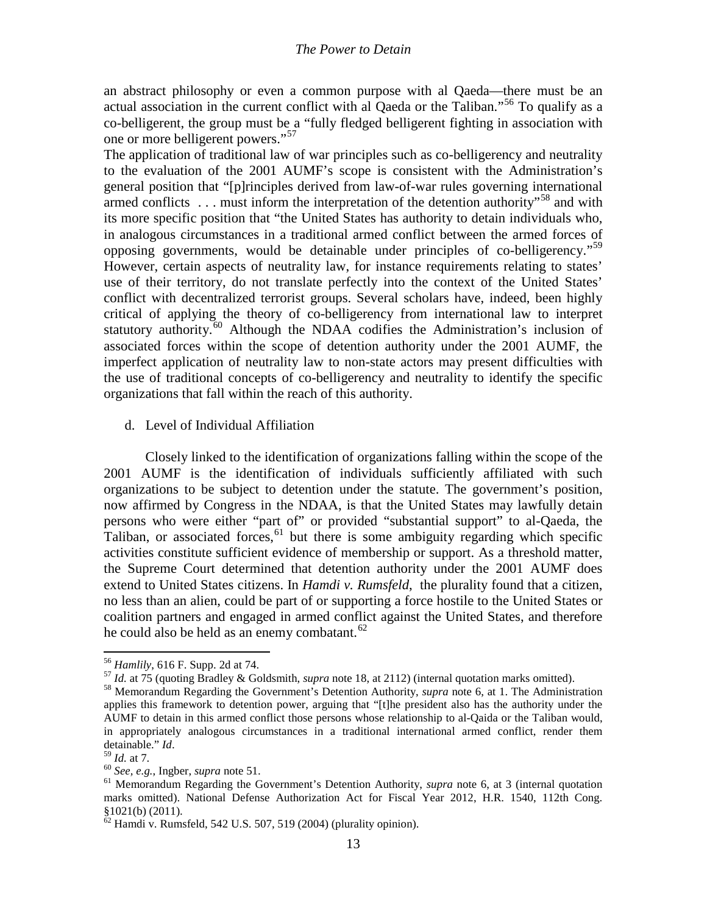an abstract philosophy or even a common purpose with al Qaeda—there must be an actual association in the current conflict with al Qaeda or the Taliban."[56](#page-11-7) To qualify as a co-belligerent, the group must be a "fully fledged belligerent fighting in association with one or more belligerent powers."<sup>[57](#page-12-0)</sup>

The application of traditional law of war principles such as co-belligerency and neutrality to the evaluation of the 2001 AUMF's scope is consistent with the Administration's general position that "[p]rinciples derived from law-of-war rules governing international armed conflicts  $\dots$  must inform the interpretation of the detention authority<sup>[58](#page-12-1)</sup> and with its more specific position that "the United States has authority to detain individuals who, in analogous circumstances in a traditional armed conflict between the armed forces of opposing governments, would be detainable under principles of co-belligerency."[59](#page-12-2) However, certain aspects of neutrality law, for instance requirements relating to states' use of their territory, do not translate perfectly into the context of the United States' conflict with decentralized terrorist groups. Several scholars have, indeed, been highly critical of applying the theory of co-belligerency from international law to interpret statutory authority.<sup>[60](#page-12-3)</sup> Although the NDAA codifies the Administration's inclusion of associated forces within the scope of detention authority under the 2001 AUMF, the imperfect application of neutrality law to non-state actors may present difficulties with the use of traditional concepts of co-belligerency and neutrality to identify the specific organizations that fall within the reach of this authority.

d. Level of Individual Affiliation

<span id="page-12-6"></span>Closely linked to the identification of organizations falling within the scope of the 2001 AUMF is the identification of individuals sufficiently affiliated with such organizations to be subject to detention under the statute. The government's position, now affirmed by Congress in the NDAA, is that the United States may lawfully detain persons who were either "part of" or provided "substantial support" to al-Qaeda, the Taliban, or associated forces,  $61$  but there is some ambiguity regarding which specific activities constitute sufficient evidence of membership or support. As a threshold matter, the Supreme Court determined that detention authority under the 2001 AUMF does extend to United States citizens. In *Hamdi v. Rumsfeld*, the plurality found that a citizen, no less than an alien, could be part of or supporting a force hostile to the United States or coalition partners and engaged in armed conflict against the United States, and therefore he could also be held as an enemy combatant. $62$ 

<span id="page-12-0"></span><sup>&</sup>lt;sup>56</sup> Hamlily, 616 F. Supp. 2d at 74.<br><sup>57</sup> Id. at 75 (quoting Bradley & Goldsmith, *supra* not[e 18,](#page-6-7) at 2112) (internal quotation marks omitted).<br><sup>58</sup> Memorandum Regarding the Government's Detention Authority, *supra* note

<span id="page-12-1"></span>applies this framework to detention power, arguing that "[t]he president also has the authority under the AUMF to detain in this armed conflict those persons whose relationship to al-Qaida or the Taliban would, in appropriately analogous circumstances in a traditional international armed conflict, render them detainable."  $Id$ .

<span id="page-12-4"></span><span id="page-12-3"></span>

<span id="page-12-2"></span><sup>&</sup>lt;sup>59</sup> *Id.* at 7.<br><sup>60</sup> *See, e.g.*, Ingber, *supra* note [51.](#page-11-0)<br><sup>61</sup> Memorandum Regarding the Government's Detention Authority, *supra* note [6,](#page-2-5) at 3 (internal quotation marks omitted). National Defense Authorization Act for Fiscal Year 2012, H.R. 1540, 112th Cong. §1021(b) (2011).

<span id="page-12-5"></span> $^{62}$  Hamdi v. Rumsfeld, 542 U.S. 507, 519 (2004) (plurality opinion).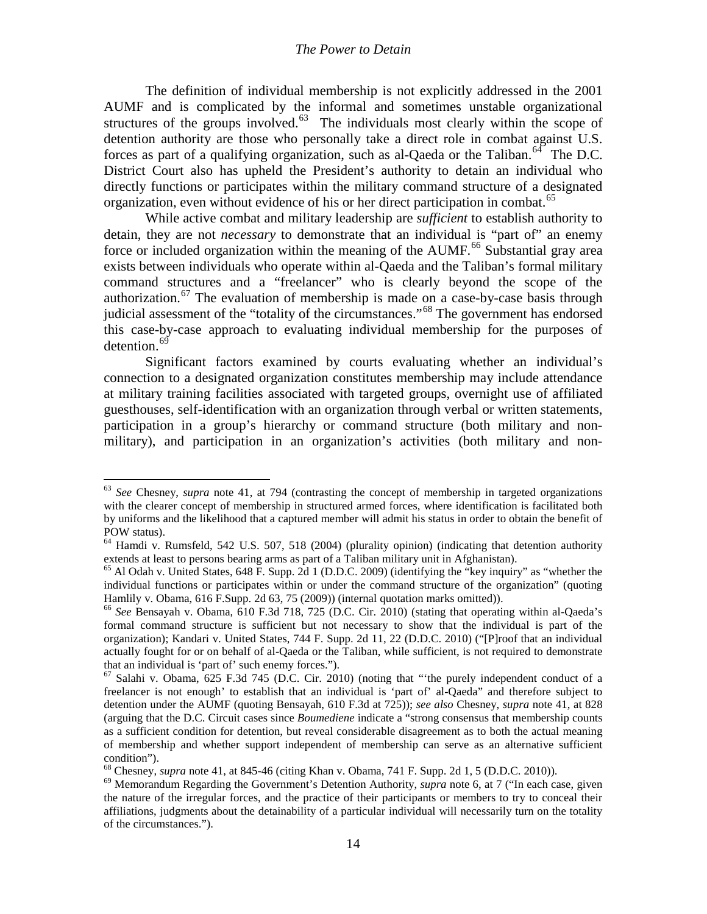The definition of individual membership is not explicitly addressed in the 2001 AUMF and is complicated by the informal and sometimes unstable organizational structures of the groups involved. $63$  The individuals most clearly within the scope of detention authority are those who personally take a direct role in combat against U.S. forces as part of a qualifying organization, such as al-Qaeda or the Taliban.<sup>[64](#page-13-0)</sup> The D.C. District Court also has upheld the President's authority to detain an individual who directly functions or participates within the military command structure of a designated organization, even without evidence of his or her direct participation in combat.<sup>[65](#page-13-1)</sup>

While active combat and military leadership are *sufficient* to establish authority to detain, they are not *necessary* to demonstrate that an individual is "part of" an enemy force or included organization within the meaning of the  $AUMF<sup>66</sup>$  $AUMF<sup>66</sup>$  $AUMF<sup>66</sup>$  Substantial gray area exists between individuals who operate within al-Qaeda and the Taliban's formal military command structures and a "freelancer" who is clearly beyond the scope of the authorization.<sup>[67](#page-13-3)</sup> The evaluation of membership is made on a case-by-case basis through judicial assessment of the "totality of the circumstances."[68](#page-13-4) The government has endorsed this case-by-case approach to evaluating individual membership for the purposes of detention.<sup>[69](#page-13-5)</sup>

<span id="page-13-6"></span>Significant factors examined by courts evaluating whether an individual's connection to a designated organization constitutes membership may include attendance at military training facilities associated with targeted groups, overnight use of affiliated guesthouses, self-identification with an organization through verbal or written statements, participation in a group's hierarchy or command structure (both military and nonmilitary), and participation in an organization's activities (both military and non-

<sup>63</sup> *See* Chesney, *supra* note [41,](#page-9-8) at 794 (contrasting the concept of membership in targeted organizations with the clearer concept of membership in structured armed forces, where identification is facilitated both by uniforms and the likelihood that a captured member will admit his status in order to obtain the benefit of POW status).

<span id="page-13-0"></span><sup>&</sup>lt;sup>64</sup> Hamdi v. Rumsfeld, 542 U.S. 507, 518 (2004) (plurality opinion) (indicating that detention authority extends at least to persons bearing arms as part of a Taliban military unit in Afghanistan).

<span id="page-13-1"></span><sup>&</sup>lt;sup>65</sup> Al Odah v. United States, 648 F. Supp. 2d 1 (D.D.C. 2009) (identifying the "key inquiry" as "whether the individual functions or participates within or under the command structure of the organization" (quoting Hamlily v. Obama, 616 F.Supp. 2d 63, 75 (2009)) (internal quotation marks omitted)). <sup>66</sup> *See* Bensayah v. Obama, 610 F.3d 718, 725 (D.C. Cir. 2010) (stating that operating within al-Qaeda's

<span id="page-13-2"></span>formal command structure is sufficient but not necessary to show that the individual is part of the organization); Kandari v. United States, 744 F. Supp. 2d 11, 22 (D.D.C. 2010) ("[P]roof that an individual actually fought for or on behalf of al-Qaeda or the Taliban, while sufficient, is not required to demonstrate that an individual is 'part of' such enemy forces.").

<span id="page-13-3"></span> $67$  Salahi v. Obama,  $625$  F.3d 745 (D.C. Cir. 2010) (noting that "the purely independent conduct of a freelancer is not enough' to establish that an individual is 'part of' al-Qaeda" and therefore subject to detention under the AUMF (quoting Bensayah, 610 F.3d at 725)); *see also* Chesney, *supra* note [41,](#page-9-8) at 828 (arguing that the D.C. Circuit cases since *Boumediene* indicate a "strong consensus that membership counts as a sufficient condition for detention, but reveal considerable disagreement as to both the actual meaning of membership and whether support independent of membership can serve as an alternative sufficient condition").<br><sup>68</sup> Chesnev. *supra* note 41, at 845-46 (citing Khan v. Obama, 741 F. Supp. 2d 1, 5 (D.D.C. 2010)).

<span id="page-13-4"></span>

<span id="page-13-5"></span><sup>&</sup>lt;sup>69</sup> Memorandum Regarding the Government's Detention Authority, *supra* note [6,](#page-2-5) at 7 ("In each case, given the nature of the irregular forces, and the practice of their participants or members to try to conceal their affiliations, judgments about the detainability of a particular individual will necessarily turn on the totality of the circumstances.").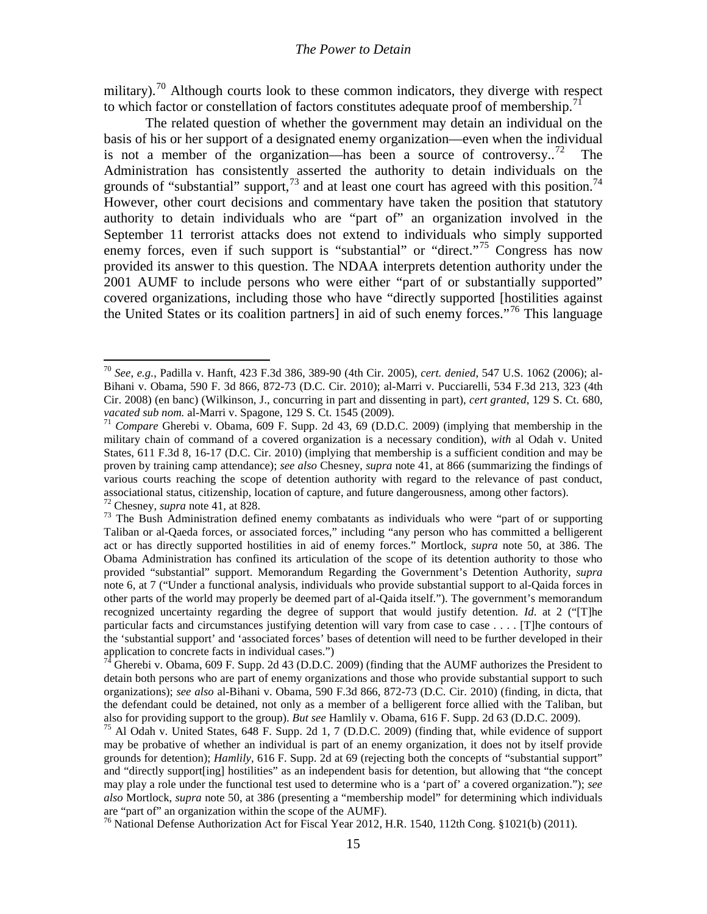military).<sup>[70](#page-13-6)</sup> Although courts look to these common indicators, they diverge with respect to which factor or constellation of factors constitutes adequate proof of membership.<sup>[71](#page-14-0)</sup>

The related question of whether the government may detain an individual on the basis of his or her support of a designated enemy organization—even when the individual is not a member of the organization—has been a source of controversy..<sup>[72](#page-14-1)</sup> The Administration has consistently asserted the authority to detain individuals on the grounds of "substantial" support,  $^{73}$  $^{73}$  $^{73}$  and at least one court has agreed with this position.<sup>[74](#page-14-3)</sup> However, other court decisions and commentary have taken the position that statutory authority to detain individuals who are "part of" an organization involved in the September 11 terrorist attacks does not extend to individuals who simply supported enemy forces, even if such support is "substantial" or "direct."<sup>[75](#page-14-4)</sup> Congress has now provided its answer to this question. The NDAA interprets detention authority under the 2001 AUMF to include persons who were either "part of or substantially supported" covered organizations, including those who have "directly supported [hostilities against the United States or its coalition partners] in aid of such enemy forces."<sup>[76](#page-14-5)</sup> This language

<sup>70</sup> *See*, *e.g.*, Padilla v. Hanft, 423 F.3d 386, 389-90 (4th Cir. 2005), *cert. denied*, 547 U.S. 1062 (2006); al-Bihani v. Obama, 590 F. 3d 866, 872-73 (D.C. Cir. 2010); al-Marri v. Pucciarelli, 534 F.3d 213, 323 (4th Cir. 2008) (en banc) (Wilkinson, J., concurring in part and dissenting in part), *cert granted*, 129 S. Ct. 680,

<span id="page-14-0"></span><sup>&</sup>lt;sup>71</sup> *Compare* Gherebi v. Obama,  $\overline{609}$  F. Supp. 2d 43, 69 (D.D.C. 2009) (implying that membership in the military chain of command of a covered organization is a necessary condition), *with* al Odah v. United States, 611 F.3d 8, 16-17 (D.C. Cir. 2010) (implying that membership is a sufficient condition and may be proven by training camp attendance); *see also* Chesney, *supra* note [41,](#page-9-8) at 866 (summarizing the findings of various courts reaching the scope of detention authority with regard to the relevance of past conduct, associational status, citizenship, location of capture, and future dangerousness, among other factors).

<span id="page-14-6"></span><span id="page-14-2"></span><span id="page-14-1"></span> $\frac{72}{13}$  Chesney, *supra* note [41,](#page-9-8) at 828.<br><sup>73</sup> The Bush Administration defined enemy combatants as individuals who were "part of or supporting Taliban or al-Qaeda forces, or associated forces," including "any person who has committed a belligerent act or has directly supported hostilities in aid of enemy forces." Mortlock, *supra* note [50,](#page-11-8) at 386. The Obama Administration has confined its articulation of the scope of its detention authority to those who provided "substantial" support. Memorandum Regarding the Government's Detention Authority, *supra* note [6,](#page-2-5) at 7 ("Under a functional analysis, individuals who provide substantial support to al-Qaida forces in other parts of the world may properly be deemed part of al-Qaida itself."). The government's memorandum recognized uncertainty regarding the degree of support that would justify detention. *Id*. at 2 ("[T]he particular facts and circumstances justifying detention will vary from case to case . . . . [T]he contours of the 'substantial support' and 'associated forces' bases of detention will need to be further developed in their application to concrete facts in individual cases.")

<span id="page-14-3"></span> $74$  Gherebi v. Obama, 609 F. Supp. 2d 43 (D.D.C. 2009) (finding that the AUMF authorizes the President to detain both persons who are part of enemy organizations and those who provide substantial support to such organizations); *see also* al-Bihani v. Obama, 590 F.3d 866, 872-73 (D.C. Cir. 2010) (finding, in dicta, that the defendant could be detained, not only as a member of a belligerent force allied with the Taliban, but also for providing support to the group). *But see* Hamlily v. Obama, 616 F. Supp. 2d 63 (D.D.C. 2009). <sup>75</sup> Al Odah v. United States, 648 F. Supp. 2d 1, 7 (D.D.C. 2009) (finding that, while evidence of support

<span id="page-14-4"></span>may be probative of whether an individual is part of an enemy organization, it does not by itself provide grounds for detention); *Hamlily*, 616 F. Supp. 2d at 69 (rejecting both the concepts of "substantial support" and "directly support[ing] hostilities" as an independent basis for detention, but allowing that "the concept may play a role under the functional test used to determine who is a 'part of' a covered organization."); *see also* Mortlock, *supra* note [50,](#page-11-8) at 386 (presenting a "membership model" for determining which individuals are "part of" an organization within the scope of the AUMF).

<span id="page-14-5"></span><sup>&</sup>lt;sup>76</sup> National Defense Authorization Act for Fiscal Year 2012, H.R. 1540, 112th Cong. §1021(b) (2011).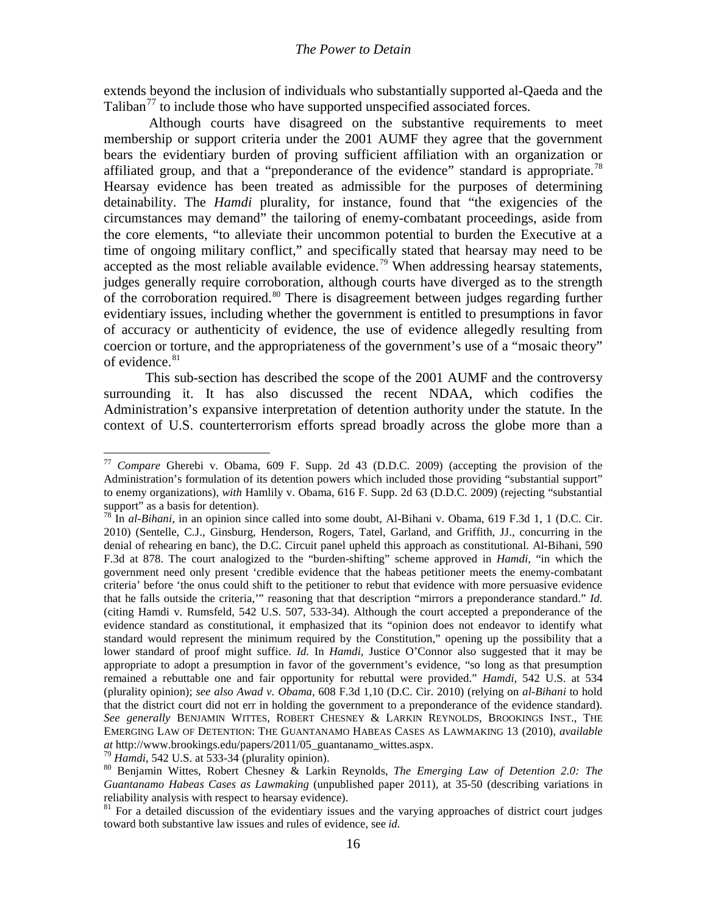extends beyond the inclusion of individuals who substantially supported al-Qaeda and the Taliban<sup>[77](#page-14-6)</sup> to include those who have supported unspecified associated forces.

Although courts have disagreed on the substantive requirements to meet membership or support criteria under the 2001 AUMF they agree that the government bears the evidentiary burden of proving sufficient affiliation with an organization or affiliated group, and that a "preponderance of the evidence" standard is appropriate.<sup>[78](#page-15-0)</sup> Hearsay evidence has been treated as admissible for the purposes of determining detainability. The *Hamdi* plurality, for instance, found that "the exigencies of the circumstances may demand" the tailoring of enemy-combatant proceedings, aside from the core elements, "to alleviate their uncommon potential to burden the Executive at a time of ongoing military conflict," and specifically stated that hearsay may need to be accepted as the most reliable available evidence.<sup>[79](#page-15-1)</sup> When addressing hearsay statements, judges generally require corroboration, although courts have diverged as to the strength of the corroboration required.<sup>[80](#page-15-2)</sup> There is disagreement between judges regarding further evidentiary issues, including whether the government is entitled to presumptions in favor of accuracy or authenticity of evidence, the use of evidence allegedly resulting from coercion or torture, and the appropriateness of the government's use of a "mosaic theory" of evidence.<sup>[81](#page-15-3)</sup>

<span id="page-15-5"></span>This sub-section has described the scope of the 2001 AUMF and the controversy surrounding it. It has also discussed the recent NDAA, which codifies the Administration's expansive interpretation of detention authority under the statute. In the context of U.S. counterterrorism efforts spread broadly across the globe more than a

<sup>77</sup> *Compare* Gherebi v. Obama, 609 F. Supp. 2d 43 (D.D.C. 2009) (accepting the provision of the Administration's formulation of its detention powers which included those providing "substantial support" to enemy organizations), *with* Hamlily v. Obama, 616 F. Supp. 2d 63 (D.D.C. 2009) (rejecting "substantial support" as a basis for detention).

<span id="page-15-0"></span><sup>&</sup>lt;sup>78</sup> In *al-Bihani*, in an opinion since called into some doubt, Al-Bihani v. Obama, 619 F.3d 1, 1 (D.C. Cir. 2010) (Sentelle, C.J., Ginsburg, Henderson, Rogers, Tatel, Garland, and Griffith, JJ., concurring in the denial of rehearing en banc), the D.C. Circuit panel upheld this approach as constitutional. Al-Bihani, 590 F.3d at 878. The court analogized to the "burden-shifting" scheme approved in *Hamdi*, "in which the government need only present 'credible evidence that the habeas petitioner meets the enemy-combatant criteria' before 'the onus could shift to the petitioner to rebut that evidence with more persuasive evidence that he falls outside the criteria,'" reasoning that that description "mirrors a preponderance standard." *Id.* (citing Hamdi v. Rumsfeld, 542 U.S. 507, 533-34). Although the court accepted a preponderance of the evidence standard as constitutional, it emphasized that its "opinion does not endeavor to identify what standard would represent the minimum required by the Constitution," opening up the possibility that a lower standard of proof might suffice. *Id.* In *Hamdi*, Justice O'Connor also suggested that it may be appropriate to adopt a presumption in favor of the government's evidence, "so long as that presumption remained a rebuttable one and fair opportunity for rebuttal were provided." *Hamdi,* 542 U.S. at 534 (plurality opinion); *see also Awad v. Obama,* 608 F.3d 1,10 (D.C. Cir. 2010) (relying on *al-Bihani* to hold that the district court did not err in holding the government to a preponderance of the evidence standard). *See generally* BENJAMIN WITTES, ROBERT CHESNEY & LARKIN REYNOLDS, BROOKINGS INST., THE EMERGING LAW OF DETENTION: THE GUANTANAMO HABEAS CASES AS LAWMAKING 13 (2010), *available* 

<span id="page-15-4"></span><span id="page-15-2"></span><span id="page-15-1"></span><sup>&</sup>lt;sup>79</sup> Hamdi, 542 U.S. at 533-34 (plurality opinion).<br><sup>80</sup> Benjamin Wittes, Robert Chesney & Larkin Reynolds, *The Emerging Law of Detention 2.0: The Guantanamo Habeas Cases as Lawmaking* (unpublished paper 2011), at 35-50 (describing variations in reliability analysis with respect to hearsay evidence).

<span id="page-15-3"></span><sup>&</sup>lt;sup>81</sup> For a detailed discussion of the evidentiary issues and the varying approaches of district court judges toward both substantive law issues and rules of evidence, see *id.*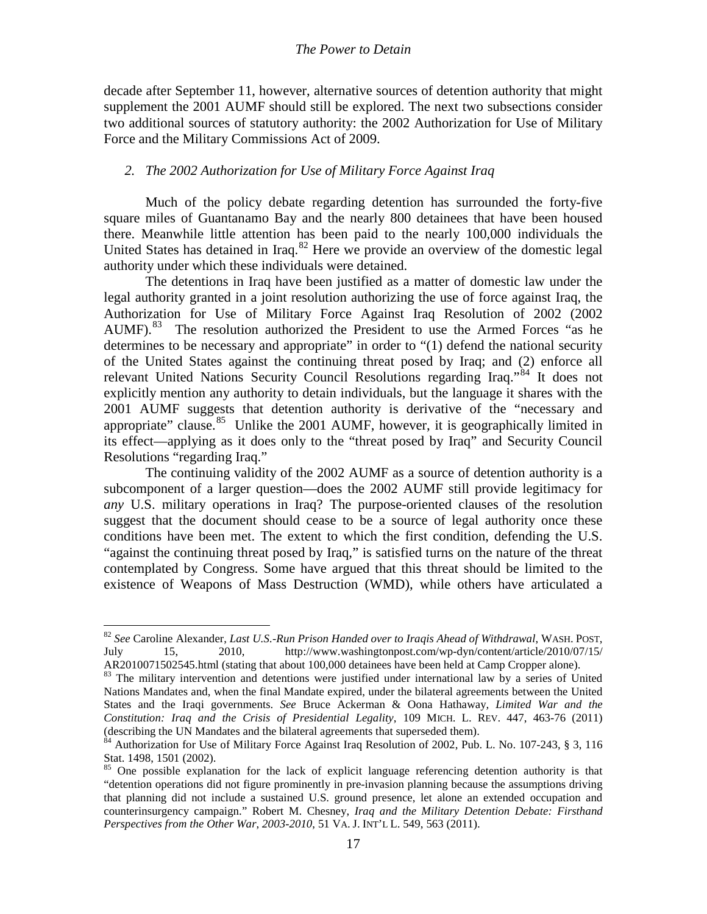decade after September 11, however, alternative sources of detention authority that might supplement the 2001 AUMF should still be explored. The next two subsections consider two additional sources of statutory authority: the 2002 Authorization for Use of Military Force and the Military Commissions Act of 2009.

## *2. The 2002 Authorization for Use of Military Force Against Iraq*

Much of the policy debate regarding detention has surrounded the forty-five square miles of Guantanamo Bay and the nearly 800 detainees that have been housed there. Meanwhile little attention has been paid to the nearly 100,000 individuals the United States has detained in Iraq. $82$  Here we provide an overview of the domestic legal authority under which these individuals were detained.

<span id="page-16-3"></span>The detentions in Iraq have been justified as a matter of domestic law under the legal authority granted in a joint resolution authorizing the use of force against Iraq, the Authorization for Use of Military Force Against Iraq Resolution of 2002 (2002 AUMF).<sup>[83](#page-16-0)</sup> The resolution authorized the President to use the Armed Forces "as he determines to be necessary and appropriate" in order to "(1) defend the national security of the United States against the continuing threat posed by Iraq; and (2) enforce all relevant United Nations Security Council Resolutions regarding Iraq.<sup>[84](#page-16-1)</sup> It does not explicitly mention any authority to detain individuals, but the language it shares with the 2001 AUMF suggests that detention authority is derivative of the "necessary and appropriate" clause.<sup>85</sup> Unlike the 2001 AUMF, however, it is geographically limited in its effect—applying as it does only to the "threat posed by Iraq" and Security Council Resolutions "regarding Iraq."

<span id="page-16-5"></span><span id="page-16-4"></span>The continuing validity of the 2002 AUMF as a source of detention authority is a subcomponent of a larger question—does the 2002 AUMF still provide legitimacy for *any* U.S. military operations in Iraq? The purpose-oriented clauses of the resolution suggest that the document should cease to be a source of legal authority once these conditions have been met. The extent to which the first condition, defending the U.S. "against the continuing threat posed by Iraq," is satisfied turns on the nature of the threat contemplated by Congress. Some have argued that this threat should be limited to the existence of Weapons of Mass Destruction (WMD), while others have articulated a

<sup>82</sup> *See* Caroline Alexander, *Last U.S.-Run Prison Handed over to Iraqis Ahead of Withdrawal*, WASH. POST, July 15, 2010, http://www.washingtonpost.com/wp-dyn/content/article/2010/07/15/ AR2010071502545.html (stating that about 100,000 detainees have been held at Camp Cropper alone).

<span id="page-16-0"></span><sup>&</sup>lt;sup>83</sup> The military intervention and detentions were justified under international law by a series of United Nations Mandates and, when the final Mandate expired, under the bilateral agreements between the United States and the Iraqi governments. *See* Bruce Ackerman & Oona Hathaway*, Limited War and the Constitution: Iraq and the Crisis of Presidential Legality*, 109 MICH. L. REV. 447, 463-76 (2011) (describing the UN Mandates and the bilateral agreements that superseded them).

<span id="page-16-1"></span> $84$  Authorization for Use of Military Force Against Iraq Resolution of 2002, Pub. L. No. 107-243, § 3, 116 Stat. 1498, 1501 (2002).

<span id="page-16-2"></span><sup>&</sup>lt;sup>85</sup> One possible explanation for the lack of explicit language referencing detention authority is that "detention operations did not figure prominently in pre-invasion planning because the assumptions driving that planning did not include a sustained U.S. ground presence, let alone an extended occupation and counterinsurgency campaign." Robert M. Chesney, *Iraq and the Military Detention Debate: Firsthand Perspectives from the Other War*, *2003-2010*, 51 VA. J. INT'L L. 549, 563 (2011).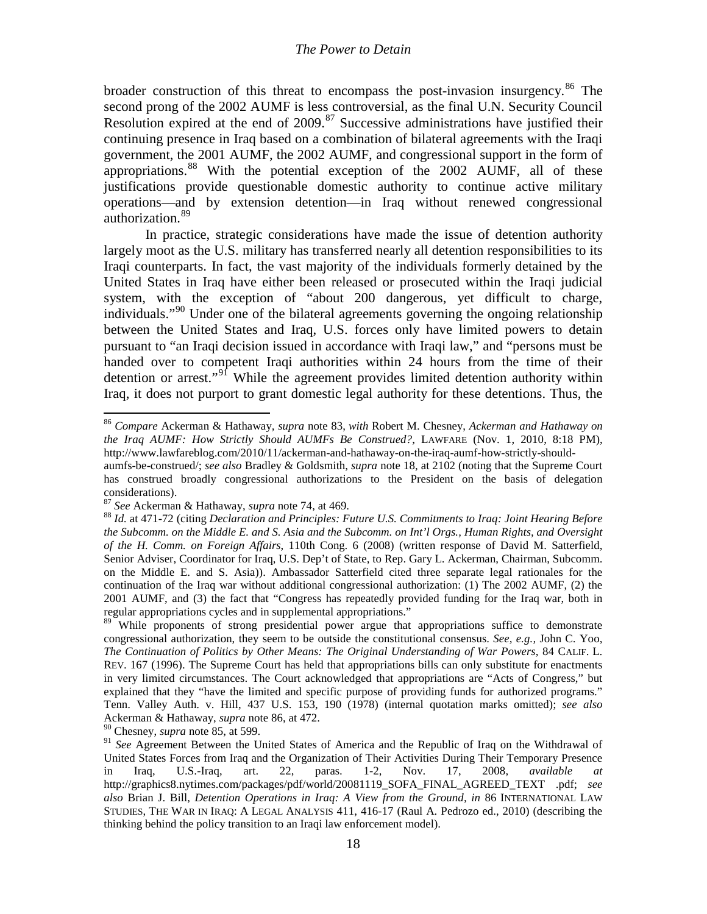<span id="page-17-0"></span>broader construction of this threat to encompass the post-invasion insurgency.<sup>[86](#page-16-5)</sup> The second prong of the 2002 AUMF is less controversial, as the final U.N. Security Council Resolution expired at the end of 2009.<sup>[87](#page-17-1)</sup> Successive administrations have justified their continuing presence in Iraq based on a combination of bilateral agreements with the Iraqi government, the 2001 AUMF, the 2002 AUMF, and congressional support in the form of appropriations.<sup>[88](#page-17-2)</sup> With the potential exception of the  $2002$  AUMF, all of these justifications provide questionable domestic authority to continue active military operations—and by extension detention—in Iraq without renewed congressional authorization. [89](#page-17-3)

In practice, strategic considerations have made the issue of detention authority largely moot as the U.S. military has transferred nearly all detention responsibilities to its Iraqi counterparts. In fact, the vast majority of the individuals formerly detained by the United States in Iraq have either been released or prosecuted within the Iraqi judicial system, with the exception of "about 200 dangerous, yet difficult to charge, individuals."<sup>[90](#page-17-4)</sup> Under one of the bilateral agreements governing the ongoing relationship between the United States and Iraq, U.S. forces only have limited powers to detain pursuant to "an Iraqi decision issued in accordance with Iraqi law," and "persons must be handed over to competent Iraqi authorities within 24 hours from the time of their detention or arrest."<sup>[91](#page-17-5)</sup> While the agreement provides limited detention authority within Iraq, it does not purport to grant domestic legal authority for these detentions. Thus, the

<span id="page-17-4"></span><sup>90</sup> Chesney, *supra* note [85,](#page-16-4) at 599.

<sup>86</sup> *Compare* Ackerman & Hathaway*, supra* note [83,](#page-16-3) *with* Robert M. Chesney, *Ackerman and Hathaway on the Iraq AUMF: How Strictly Should AUMFs Be Construed?*, LAWFARE (Nov. 1, 2010, 8:18 PM), http://www.lawfareblog.com/2010/11/ackerman-and-hathaway-on-the-iraq-aumf-how-strictly-should-

aumfs-be-construed/; *see also* Bradley & Goldsmith, *supra* note [18,](#page-6-7) at 2102 (noting that the Supreme Court has construed broadly congressional authorizations to the President on the basis of delegation considerations).<br><sup>87</sup> See Ackerman & Hathaway, *supra* note 74, at 469.

<span id="page-17-6"></span><span id="page-17-2"></span><span id="page-17-1"></span><sup>&</sup>lt;sup>88</sup> *Id.* at 471-72 (citing *Declaration and Principles: Future U.S. Commitments to Iraq: Joint Hearing Before the Subcomm. on the Middle E. and S. Asia and the Subcomm. on Int'l Orgs., Human Rights, and Oversight of the H. Comm. on Foreign Affairs*, 110th Cong. 6 (2008) (written response of David M. Satterfield, Senior Adviser, Coordinator for Iraq, U.S. Dep't of State, to Rep. Gary L. Ackerman, Chairman, Subcomm. on the Middle E. and S. Asia)). Ambassador Satterfield cited three separate legal rationales for the continuation of the Iraq war without additional congressional authorization: (1) The 2002 AUMF, (2) the 2001 AUMF, and (3) the fact that "Congress has repeatedly provided funding for the Iraq war, both in regular appropriations cycles and in supplemental appropriations."

<span id="page-17-3"></span><sup>&</sup>lt;sup>89</sup> While proponents of strong presidential power argue that appropriations suffice to demonstrate congressional authorization, they seem to be outside the constitutional consensus. *See, e.g.,* John C. Yoo, *The Continuation of Politics by Other Means: The Original Understanding of War Powers*, 84 CALIF. L. REV. 167 (1996). The Supreme Court has held that appropriations bills can only substitute for enactments in very limited circumstances. The Court acknowledged that appropriations are "Acts of Congress," but explained that they "have the limited and specific purpose of providing funds for authorized programs." Tenn. Valley Auth. v. Hill, 437 U.S. 153, 190 (1978) (internal quotation marks omitted); *see also* Ackerman & Hathaway, *supra* note [86,](#page-17-0) at 472.

<span id="page-17-5"></span><sup>&</sup>lt;sup>91</sup> See Agreement Between the United States of America and the Republic of Iraq on the Withdrawal of United States Forces from Iraq and the Organization of Their Activities During Their Temporary Presence in Iraq, U.S.-Iraq, art. 22, paras. 1-2, Nov. 17, 2008, *available at* http://graphics8.nytimes.com/packages/pdf/world/20081119\_SOFA\_FINAL\_AGREED\_TEXT .pdf; *see also* Brian J. Bill, *Detention Operations in Iraq: A View from the Ground, in* 86 INTERNATIONAL LAW STUDIES, THE WAR IN IRAQ: A LEGAL ANALYSIS 411, 416-17 (Raul A. Pedrozo ed., 2010) (describing the thinking behind the policy transition to an Iraqi law enforcement model).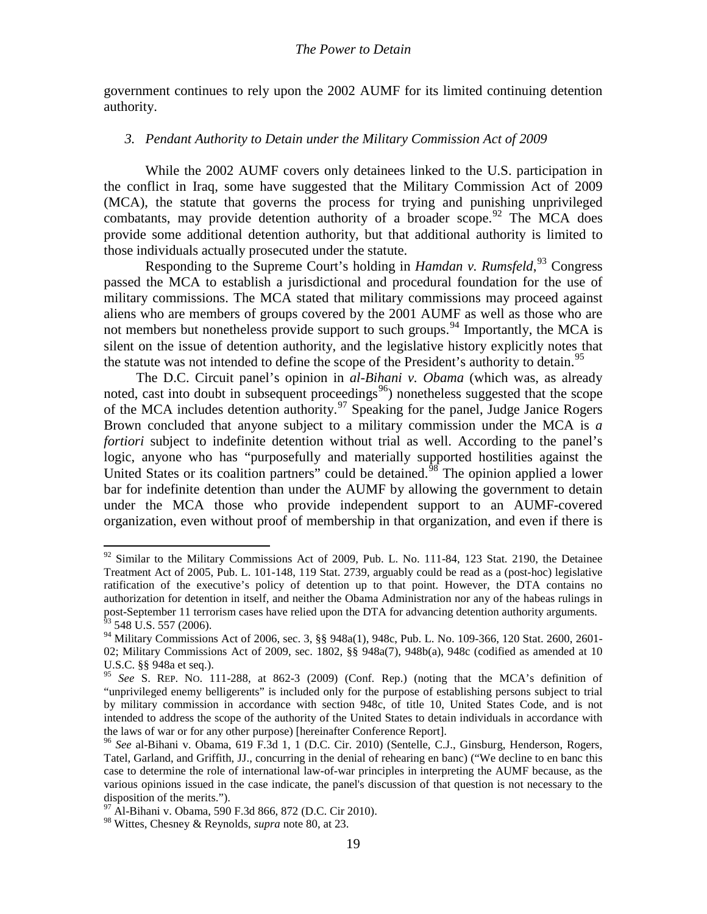government continues to rely upon the 2002 AUMF for its limited continuing detention authority.

### *3. Pendant Authority to Detain under the Military Commission Act of 2009*

While the 2002 AUMF covers only detainees linked to the U.S. participation in the conflict in Iraq, some have suggested that the Military Commission Act of 2009 (MCA), the statute that governs the process for trying and punishing unprivileged combatants, may provide detention authority of a broader scope.<sup>[92](#page-17-6)</sup> The MCA does provide some additional detention authority, but that additional authority is limited to those individuals actually prosecuted under the statute.

Responding to the Supreme Court's holding in *Hamdan v. Rumsfeld*,<sup>[93](#page-18-0)</sup> Congress passed the MCA to establish a jurisdictional and procedural foundation for the use of military commissions. The MCA stated that military commissions may proceed against aliens who are members of groups covered by the 2001 AUMF as well as those who are not members but nonetheless provide support to such groups.<sup>[94](#page-18-1)</sup> Importantly, the MCA is silent on the issue of detention authority, and the legislative history explicitly notes that the statute was not intended to define the scope of the President's authority to detain.<sup>[95](#page-18-2)</sup>

<span id="page-18-7"></span><span id="page-18-6"></span>The D.C. Circuit panel's opinion in *al-Bihani v. Obama* (which was, as already noted, cast into doubt in subsequent proceedings<sup>[96](#page-18-3)</sup>) nonetheless suggested that the scope of the MCA includes detention authority.<sup>[97](#page-18-4)</sup> Speaking for the panel, Judge Janice Rogers Brown concluded that anyone subject to a military commission under the MCA is *a fortiori* subject to indefinite detention without trial as well. According to the panel's logic, anyone who has "purposefully and materially supported hostilities against the United States or its coalition partners" could be detained.<sup>[98](#page-18-5)</sup> The opinion applied a lower bar for indefinite detention than under the AUMF by allowing the government to detain under the MCA those who provide independent support to an AUMF-covered organization, even without proof of membership in that organization, and even if there is

<sup>&</sup>lt;sup>92</sup> Similar to the Military Commissions Act of 2009, Pub. L. No. 111-84, 123 Stat. 2190, the Detainee Treatment Act of 2005, Pub. L. 101-148, 119 Stat. 2739, arguably could be read as a (post-hoc) legislative ratification of the executive's policy of detention up to that point. However, the DTA contains no authorization for detention in itself, and neither the Obama Administration nor any of the habeas rulings in post-September 11 terrorism cases have relied upon the DTA for advancing detention authority arguments.  $\frac{93}{93}$  548 U.S. 557 (2006).

<span id="page-18-1"></span><span id="page-18-0"></span><sup>94</sup> Military Commissions Act of 2006, sec. 3, §§ 948a(1), 948c, Pub. L. No. 109-366, 120 Stat. 2600, 2601- 02; Military Commissions Act of 2009, sec. 1802, §§ 948a(7), 948b(a), 948c (codified as amended at 10 U.S.C. §§ 948a et seq.).

<span id="page-18-2"></span><sup>95</sup> *See* S. REP. NO. 111-288, at 862-3 (2009) (Conf. Rep.) (noting that the MCA's definition of "unprivileged enemy belligerents" is included only for the purpose of establishing persons subject to trial by military commission in accordance with section 948c, of title 10, United States Code, and is not intended to address the scope of the authority of the United States to detain individuals in accordance with the laws of war or for any other purpose) [hereinafter Conference Report].

<span id="page-18-3"></span><sup>96</sup> *See* al-Bihani v. Obama, 619 F.3d 1, 1 (D.C. Cir. 2010) (Sentelle, C.J., Ginsburg, Henderson, Rogers, Tatel, Garland, and Griffith, JJ., concurring in the denial of rehearing en banc) ("We decline to en banc this case to determine the role of international law-of-war principles in interpreting the AUMF because, as the various opinions issued in the case indicate, the panel's discussion of that question is not necessary to the disposition of the merits.").<br><sup>97</sup> Al-Bihani v. Obama, 590 F.3d 866, 872 (D.C. Cir 2010).

<span id="page-18-5"></span><span id="page-18-4"></span><sup>98</sup> Wittes, Chesney & Reynolds, *supra* note [80,](#page-15-5) at 23.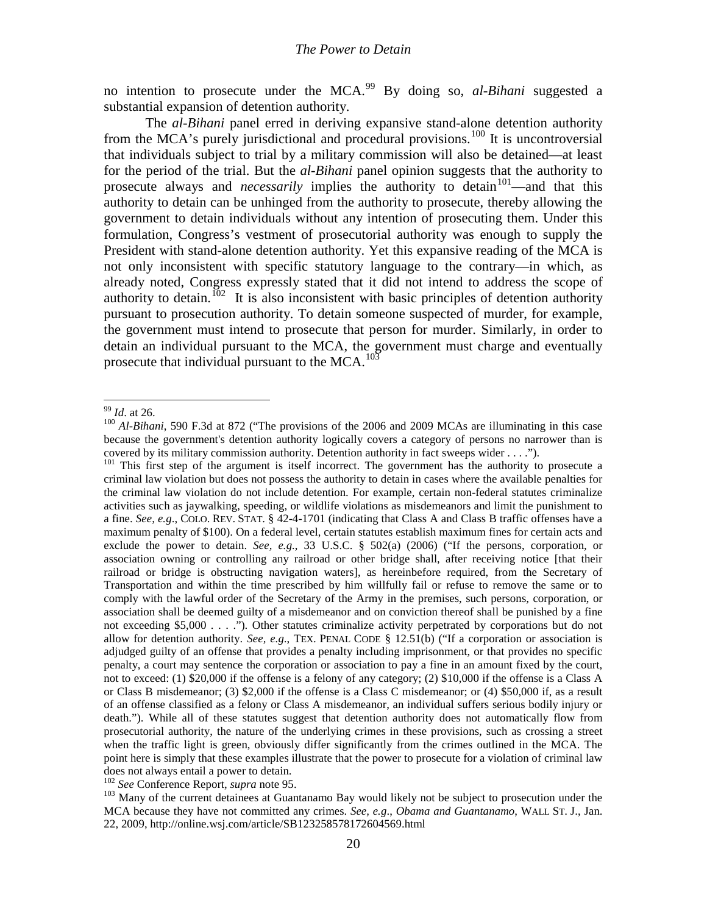no intention to prosecute under the MCA. [99](#page-18-7) By doing so, *al-Bihani* suggested a substantial expansion of detention authority.

The *al-Bihani* panel erred in deriving expansive stand-alone detention authority from the MCA's purely jurisdictional and procedural provisions.<sup>[100](#page-19-0)</sup> It is uncontroversial that individuals subject to trial by a military commission will also be detained—at least for the period of the trial. But the *al-Bihani* panel opinion suggests that the authority to prosecute always and *necessarily* implies the authority to detain<sup>[101](#page-19-1)</sup>—and that this authority to detain can be unhinged from the authority to prosecute, thereby allowing the government to detain individuals without any intention of prosecuting them. Under this formulation, Congress's vestment of prosecutorial authority was enough to supply the President with stand-alone detention authority. Yet this expansive reading of the MCA is not only inconsistent with specific statutory language to the contrary—in which, as already noted, Congress expressly stated that it did not intend to address the scope of authority to detain.<sup>102</sup> It is also inconsistent with basic principles of detention authority pursuant to prosecution authority. To detain someone suspected of murder, for example, the government must intend to prosecute that person for murder. Similarly, in order to detain an individual pursuant to the MCA, the government must charge and eventually prosecute that individual pursuant to the MCA.<sup>[103](#page-19-3)</sup>

<span id="page-19-0"></span><sup>&</sup>lt;sup>99</sup> *Id.* at 26. 100 *Al-Bihani*, 590 F.3d at 872 ("The provisions of the 2006 and 2009 MCAs are illuminating in this case because the government's detention authority logically covers a category of persons no narrower than is covered by its military commission authority. Detention authority in fact sweeps wider ....").

<span id="page-19-4"></span><span id="page-19-1"></span><sup>&</sup>lt;sup>101</sup> This first step of the argument is itself incorrect. The government has the authority to prosecute a criminal law violation but does not possess the authority to detain in cases where the available penalties for the criminal law violation do not include detention. For example, certain non-federal statutes criminalize activities such as jaywalking, speeding, or wildlife violations as misdemeanors and limit the punishment to a fine. *See, e.g*., COLO. REV. STAT. § 42-4-1701 (indicating that Class A and Class B traffic offenses have a maximum penalty of \$100). On a federal level, certain statutes establish maximum fines for certain acts and exclude the power to detain. *See, e.g.*, 33 U.S.C. § 502(a) (2006) ("If the persons, corporation, or association owning or controlling any railroad or other bridge shall, after receiving notice [that their railroad or bridge is obstructing navigation waters], as hereinbefore required, from the Secretary of Transportation and within the time prescribed by him willfully fail or refuse to remove the same or to comply with the lawful order of the Secretary of the Army in the premises, such persons, corporation, or association shall be deemed guilty of a misdemeanor and on conviction thereof shall be punished by a fine not exceeding \$5,000 . . . ."). Other statutes criminalize activity perpetrated by corporations but do not allow for detention authority. *See, e.g*., TEX. PENAL CODE § 12.51(b) ("If a corporation or association is adjudged guilty of an offense that provides a penalty including imprisonment, or that provides no specific penalty, a court may sentence the corporation or association to pay a fine in an amount fixed by the court, not to exceed: (1) \$20,000 if the offense is a felony of any category; (2) \$10,000 if the offense is a Class A or Class B misdemeanor; (3) \$2,000 if the offense is a Class C misdemeanor; or (4) \$50,000 if, as a result of an offense classified as a felony or Class A misdemeanor, an individual suffers serious bodily injury or death."). While all of these statutes suggest that detention authority does not automatically flow from prosecutorial authority, the nature of the underlying crimes in these provisions, such as crossing a street when the traffic light is green, obviously differ significantly from the crimes outlined in the MCA. The point here is simply that these examples illustrate that the power to prosecute for a violation of criminal law does not always entail a power to detain.<br><sup>102</sup> See Conference Report, supra note 95.

<span id="page-19-3"></span><span id="page-19-2"></span><sup>&</sup>lt;sup>103</sup> Many of the current detainees at Guantanamo Bay would likely not be subject to prosecution under the MCA because they have not committed any crimes. *See, e.g*., *Obama and Guantanamo*, WALL ST. J., Jan. 22, 2009, http://online.wsj.com/article/SB123258578172604569.html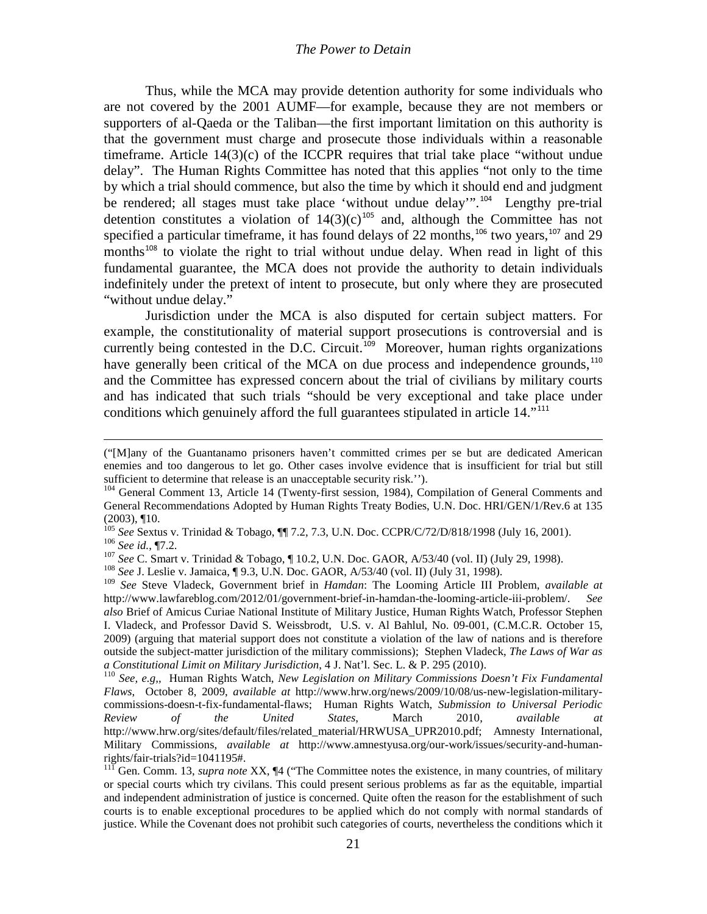Thus, while the MCA may provide detention authority for some individuals who are not covered by the 2001 AUMF—for example, because they are not members or supporters of al-Qaeda or the Taliban—the first important limitation on this authority is that the government must charge and prosecute those individuals within a reasonable timeframe. Article  $14(3)(c)$  of the ICCPR requires that trial take place "without undue delay". The Human Rights Committee has noted that this applies "not only to the time by which a trial should commence, but also the time by which it should end and judgment be rendered; all stages must take place 'without undue delay'".<sup>[104](#page-19-4)</sup> Lengthy pre-trial detention constitutes a violation of  $14(3)(c)^{105}$  $14(3)(c)^{105}$  $14(3)(c)^{105}$  and, although the Committee has not specified a particular timeframe, it has found delays of 22 months,<sup>[106](#page-20-1)</sup> two years,<sup>[107](#page-20-2)</sup> and 29 months<sup>[108](#page-20-3)</sup> to violate the right to trial without undue delay. When read in light of this fundamental guarantee, the MCA does not provide the authority to detain individuals indefinitely under the pretext of intent to prosecute, but only where they are prosecuted "without undue delay."

Jurisdiction under the MCA is also disputed for certain subject matters. For example, the constitutionality of material support prosecutions is controversial and is currently being contested in the D.C. Circuit.<sup>[109](#page-20-4)</sup> Moreover, human rights organizations have generally been critical of the MCA on due process and independence grounds, $110$ and the Committee has expressed concern about the trial of civilians by military courts and has indicated that such trials "should be very exceptional and take place under conditions which genuinely afford the full guarantees stipulated in article 14."[111](#page-20-6)

 $\overline{\phantom{a}}$ 

<sup>(&</sup>quot;[M]any of the Guantanamo prisoners haven't committed crimes per se but are dedicated American enemies and too dangerous to let go. Other cases involve evidence that is insufficient for trial but still sufficient to determine that release is an unacceptable security risk.'').

<sup>&</sup>lt;sup>104</sup> General Comment 13, Article 14 (Twenty-first session, 1984), Compilation of General Comments and General Recommendations Adopted by Human Rights Treaty Bodies, U.N. Doc. HRI/GEN/1/Rev.6 at 135 (2003), ¶10.<br><sup>105</sup> See Sextus v. Trinidad & Tobago, ¶¶ 7.2, 7.3, U.N. Doc. CCPR/C/72/D/818/1998 (July 16, 2001).

<span id="page-20-1"></span><span id="page-20-0"></span><sup>&</sup>lt;sup>106</sup> See id., ¶7.2.<br><sup>107</sup> See C. Smart v. Trinidad & Tobago, ¶ 10.2, U.N. Doc. GAOR, A/53/40 (vol. II) (July 29, 1998).<br><sup>108</sup> See J. Leslie v. Jamaica, ¶ 9.3, U.N. Doc. GAOR, A/53/40 (vol. II) (July 31, 1998).

<span id="page-20-2"></span>

<span id="page-20-4"></span><span id="page-20-3"></span><sup>109</sup> *See* Steve Vladeck, Government brief in *Hamdan*: The Looming Article III Problem, *available at* http://www.lawfareblog.com/2012/01/government-brief-in-hamdan-the-looming-article-iii-problem/. *See also* Brief of Amicus Curiae National Institute of Military Justice, Human Rights Watch, Professor Stephen I. Vladeck, and Professor David S. Weissbrodt, U.S. v. Al Bahlul, No. 09-001, (C.M.C.R. October 15, 2009) (arguing that material support does not constitute a violation of the law of nations and is therefore outside the subject-matter jurisdiction of the military commissions); Stephen Vladeck, *The Laws of War as* 

<span id="page-20-7"></span><span id="page-20-5"></span><sup>&</sup>lt;sup>110</sup> See, e.g,, Human Rights Watch, *New Legislation on Military Commissions Doesn't Fix Fundamental Flaws*, October 8, 2009, *available at* http://www.hrw.org/news/2009/10/08/us-new-legislation-militarycommissions-doesn-t-fix-fundamental-flaws; Human Rights Watch, *Submission to Universal Periodic Review of the United States*, March 2010, *available at* http://www.hrw.org/sites/default/files/related\_material/HRWUSA\_UPR2010.pdf; Amnesty International, Military Commissions, *available at* http://www.amnestyusa.org/our-work/issues/security-and-humanrights/fair-trials?id=1041195#.<br><sup>111</sup> Gen. Comm. 13, *supra note* XX, ¶4 ("The Committee notes the existence, in many countries, of military

<span id="page-20-6"></span>or special courts which try civilans. This could present serious problems as far as the equitable, impartial and independent administration of justice is concerned. Quite often the reason for the establishment of such courts is to enable exceptional procedures to be applied which do not comply with normal standards of justice. While the Covenant does not prohibit such categories of courts, nevertheless the conditions which it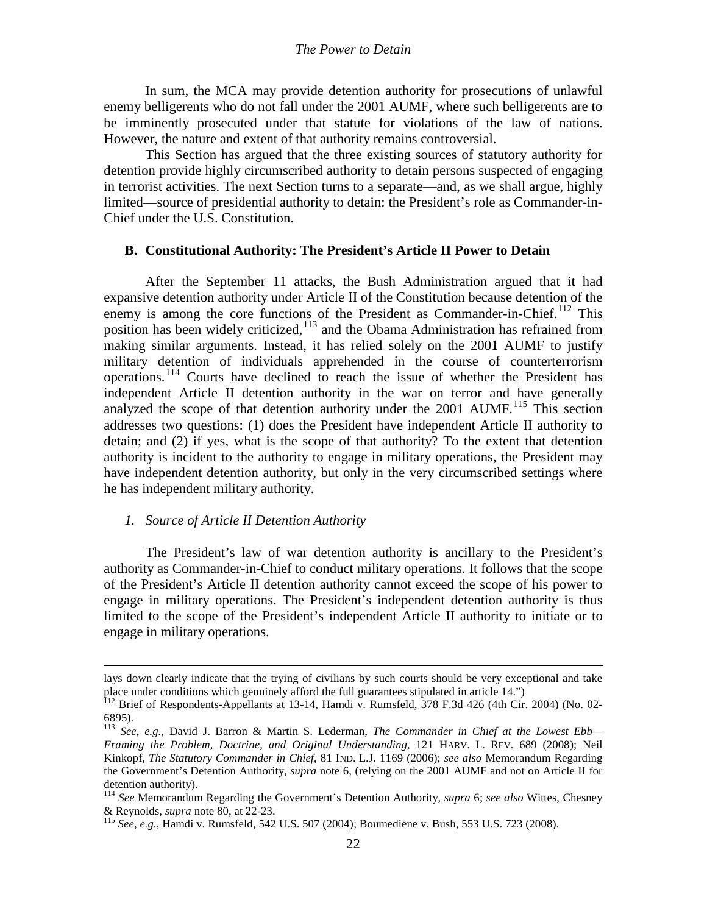In sum, the MCA may provide detention authority for prosecutions of unlawful enemy belligerents who do not fall under the 2001 AUMF, where such belligerents are to be imminently prosecuted under that statute for violations of the law of nations. However, the nature and extent of that authority remains controversial.

This Section has argued that the three existing sources of statutory authority for detention provide highly circumscribed authority to detain persons suspected of engaging in terrorist activities. The next Section turns to a separate—and, as we shall argue, highly limited—source of presidential authority to detain: the President's role as Commander-in-Chief under the U.S. Constitution.

### **B. Constitutional Authority: The President's Article II Power to Detain**

After the September 11 attacks, the Bush Administration argued that it had expansive detention authority under Article II of the Constitution because detention of the enemy is among the core functions of the President as Commander-in-Chief.<sup>[112](#page-20-7)</sup> This position has been widely criticized,<sup>[113](#page-21-0)</sup> and the Obama Administration has refrained from making similar arguments. Instead, it has relied solely on the 2001 AUMF to justify military detention of individuals apprehended in the course of counterterrorism operations.<sup>[114](#page-21-1)</sup> Courts have declined to reach the issue of whether the President has independent Article II detention authority in the war on terror and have generally analyzed the scope of that detention authority under the  $2001$  AUMF.<sup>[115](#page-21-2)</sup> This section addresses two questions: (1) does the President have independent Article II authority to detain; and (2) if yes, what is the scope of that authority? To the extent that detention authority is incident to the authority to engage in military operations, the President may have independent detention authority, but only in the very circumscribed settings where he has independent military authority.

### *1. Source of Article II Detention Authority*

 $\overline{\phantom{a}}$ 

<span id="page-21-3"></span>The President's law of war detention authority is ancillary to the President's authority as Commander-in-Chief to conduct military operations. It follows that the scope of the President's Article II detention authority cannot exceed the scope of his power to engage in military operations. The President's independent detention authority is thus limited to the scope of the President's independent Article II authority to initiate or to engage in military operations.

lays down clearly indicate that the trying of civilians by such courts should be very exceptional and take place under conditions which genuinely afford the full guarantees stipulated in article 14.")

<sup>&</sup>lt;sup>112</sup> Brief of Respondents-Appellants at 13-14, Hamdi v. Rumsfeld,  $378$  F.3d 426 (4th Cir. 2004) (No. 02-6895).

<span id="page-21-0"></span><sup>113</sup> *See, e.g.,* David J. Barron & Martin S. Lederman, *The Commander in Chief at the Lowest Ebb— Framing the Problem, Doctrine, and Original Understanding*, 121 HARV. L. REV. 689 (2008); Neil Kinkopf, *The Statutory Commander in Chief*, 81 IND. L.J. 1169 (2006); *see also* Memorandum Regarding the Government's Detention Authority, *supra* note [6,](#page-2-5) (relying on the 2001 AUMF and not on Article II for detention authority).

<span id="page-21-1"></span><sup>114</sup> *See* Memorandum Regarding the Government's Detention Authority, *supra* [6;](#page-2-5) *see also* Wittes, Chesney

<span id="page-21-2"></span><sup>&</sup>lt;sup>115</sup> *See*, *e.g.*, Hamdi v. Rumsfeld, 542 U.S. 507 (2004); Boumediene v. Bush, 553 U.S. 723 (2008).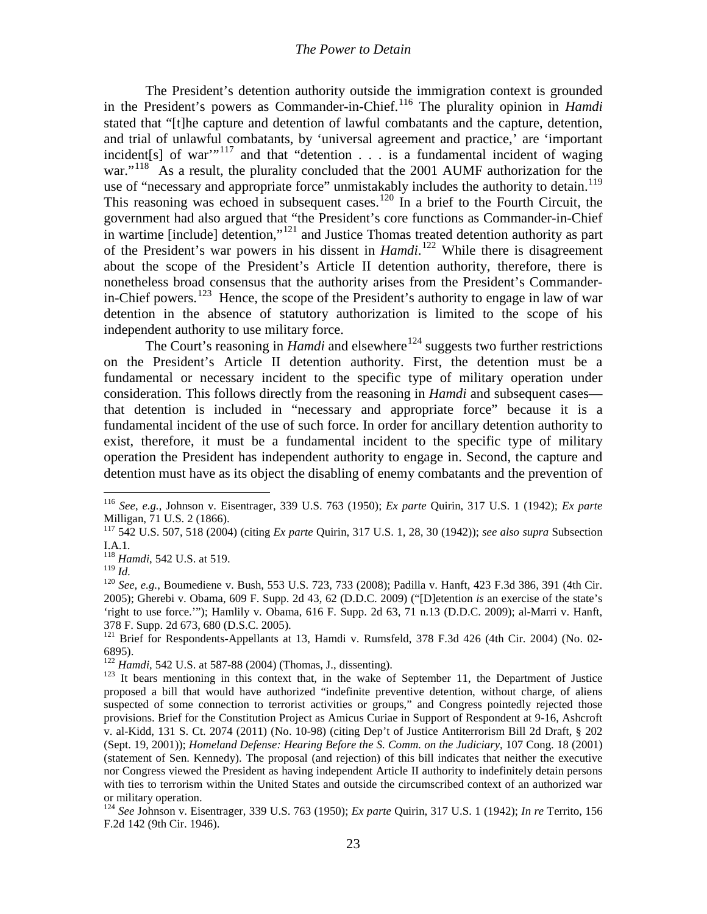<span id="page-22-9"></span>The President's detention authority outside the immigration context is grounded in the President's powers as Commander-in-Chief.[116](#page-21-3) The plurality opinion in *Hamdi* stated that "[t]he capture and detention of lawful combatants and the capture, detention, and trial of unlawful combatants, by 'universal agreement and practice,' are 'important incident[s] of war"<sup>[117](#page-22-0)</sup> and that "detention  $\ldots$  is a fundamental incident of waging war."<sup>[118](#page-22-1)</sup> As a result, the plurality concluded that the 2001 AUMF authorization for the use of "necessary and appropriate force" unmistakably includes the authority to detain.<sup>[119](#page-22-2)</sup> This reasoning was echoed in subsequent cases.<sup>[120](#page-22-3)</sup> In a brief to the Fourth Circuit, the government had also argued that "the President's core functions as Commander-in-Chief in wartime [include] detention,"<sup>[121](#page-22-4)</sup> and Justice Thomas treated detention authority as part of the President's war powers in his dissent in *Hamdi*. [122](#page-22-5) While there is disagreement about the scope of the President's Article II detention authority, therefore, there is nonetheless broad consensus that the authority arises from the President's Commander-in-Chief powers.<sup>[123](#page-22-6)</sup> Hence, the scope of the President's authority to engage in law of war detention in the absence of statutory authorization is limited to the scope of his independent authority to use military force.

The Court's reasoning in *Hamdi* and elsewhere<sup>[124](#page-22-7)</sup> suggests two further restrictions on the President's Article II detention authority. First, the detention must be a fundamental or necessary incident to the specific type of military operation under consideration. This follows directly from the reasoning in *Hamdi* and subsequent cases that detention is included in "necessary and appropriate force" because it is a fundamental incident of the use of such force. In order for ancillary detention authority to exist, therefore, it must be a fundamental incident to the specific type of military operation the President has independent authority to engage in. Second, the capture and detention must have as its object the disabling of enemy combatants and the prevention of

<span id="page-22-5"></span>

<span id="page-22-8"></span><sup>116</sup> *See*, *e.g.*, Johnson v. Eisentrager, 339 U.S. 763 (1950); *Ex parte* Quirin, 317 U.S. 1 (1942); *Ex parte* Milligan, 71 U.S. 2 (1866).

<span id="page-22-0"></span><sup>117</sup> 542 U.S. 507, 518 (2004) (citing *Ex parte* Quirin, 317 U.S. 1, 28, 30 (1942)); *see also supra* Subsection I.A.1*.* <sup>118</sup> *Hamdi*, 542 U.S. at 519.

<span id="page-22-1"></span>

<span id="page-22-2"></span>

<span id="page-22-3"></span><sup>&</sup>lt;sup>120</sup> *See, e.g.*, Boumediene v. Bush, 553 U.S. 723, 733 (2008); Padilla v. Hanft, 423 F.3d 386, 391 (4th Cir. 2005); Gherebi v. Obama, 609 F. Supp. 2d 43, 62 (D.D.C. 2009) ("[D]etention *is* an exercise of the state's 'right to use force.'"); Hamlily v. Obama, 616 F. Supp. 2d 63, 71 n.13 (D.D.C. 2009); al-Marri v. Hanft, 378 F. Supp. 2d 673, 680 (D.S.C. 2005).

<span id="page-22-4"></span> $121$  Brief for Respondents-Appellants at 13, Hamdi v. Rumsfeld, 378 F.3d 426 (4th Cir. 2004) (No. 02-6895).<br><sup>122</sup> Hamdi, 542 U.S. at 587-88 (2004) (Thomas, J., dissenting).

<span id="page-22-6"></span><sup>&</sup>lt;sup>123</sup> It bears mentioning in this context that, in the wake of September 11, the Department of Justice proposed a bill that would have authorized "indefinite preventive detention, without charge, of aliens suspected of some connection to terrorist activities or groups," and Congress pointedly rejected those provisions. Brief for the Constitution Project as Amicus Curiae in Support of Respondent at 9-16, Ashcroft v. al-Kidd, 131 S. Ct. 2074 (2011) (No. 10-98) (citing Dep't of Justice Antiterrorism Bill 2d Draft, § 202 (Sept. 19, 2001)); *Homeland Defense: Hearing Before the S. Comm. on the Judiciary*, 107 Cong. 18 (2001) (statement of Sen. Kennedy). The proposal (and rejection) of this bill indicates that neither the executive nor Congress viewed the President as having independent Article II authority to indefinitely detain persons with ties to terrorism within the United States and outside the circumscribed context of an authorized war or military operation.

<span id="page-22-7"></span><sup>124</sup> *See* Johnson v. Eisentrager, 339 U.S. 763 (1950); *Ex parte* Quirin, 317 U.S. 1 (1942); *In re* Territo, 156 F.2d 142 (9th Cir. 1946).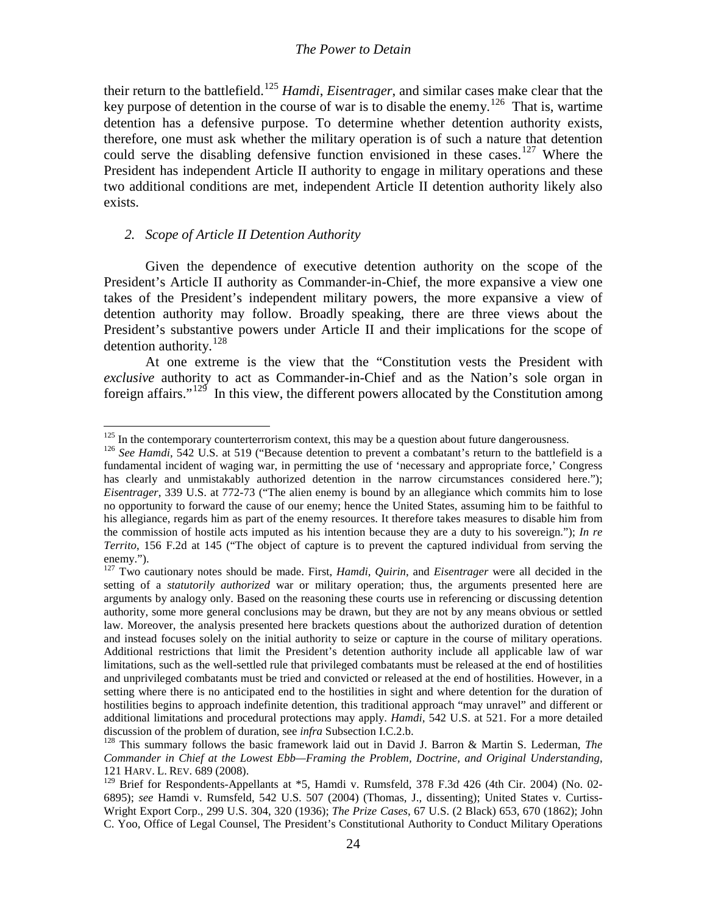their return to the battlefield. [125](#page-22-8) *Hamdi*, *Eisentrager*, and similar cases make clear that the key purpose of detention in the course of war is to disable the enemy.<sup>[126](#page-23-0)</sup> That is, wartime detention has a defensive purpose. To determine whether detention authority exists, therefore, one must ask whether the military operation is of such a nature that detention could serve the disabling defensive function envisioned in these cases.<sup>[127](#page-23-1)</sup> Where the President has independent Article II authority to engage in military operations and these two additional conditions are met, independent Article II detention authority likely also exists.

### *2. Scope of Article II Detention Authority*

Given the dependence of executive detention authority on the scope of the President's Article II authority as Commander-in-Chief, the more expansive a view one takes of the President's independent military powers, the more expansive a view of detention authority may follow. Broadly speaking, there are three views about the President's substantive powers under Article II and their implications for the scope of detention authority.<sup>[128](#page-23-2)</sup>

<span id="page-23-4"></span>At one extreme is the view that the "Constitution vests the President with *exclusive* authority to act as Commander-in-Chief and as the Nation's sole organ in foreign affairs."<sup>[129](#page-23-3)</sup> In this view, the different powers allocated by the Constitution among

<span id="page-23-0"></span><sup>&</sup>lt;sup>125</sup> In the contemporary counterterrorism context, this may be a question about future dangerousness.<br><sup>126</sup> *See Hamdi*, 542 U.S. at 519 ("Because detention to prevent a combatant's return to the battlefield is a fundamental incident of waging war, in permitting the use of 'necessary and appropriate force,' Congress has clearly and unmistakably authorized detention in the narrow circumstances considered here."); *Eisentrager*, 339 U.S. at 772-73 ("The alien enemy is bound by an allegiance which commits him to lose no opportunity to forward the cause of our enemy; hence the United States, assuming him to be faithful to his allegiance, regards him as part of the enemy resources. It therefore takes measures to disable him from the commission of hostile acts imputed as his intention because they are a duty to his sovereign."); *In re Territo*, 156 F.2d at 145 ("The object of capture is to prevent the captured individual from serving the enemy.").

<span id="page-23-5"></span><span id="page-23-1"></span><sup>127</sup> Two cautionary notes should be made. First, *Hamdi*, *Quirin*, and *Eisentrager* were all decided in the setting of a *statutorily authorized* war or military operation; thus, the arguments presented here are arguments by analogy only. Based on the reasoning these courts use in referencing or discussing detention authority, some more general conclusions may be drawn, but they are not by any means obvious or settled law. Moreover, the analysis presented here brackets questions about the authorized duration of detention and instead focuses solely on the initial authority to seize or capture in the course of military operations. Additional restrictions that limit the President's detention authority include all applicable law of war limitations, such as the well-settled rule that privileged combatants must be released at the end of hostilities and unprivileged combatants must be tried and convicted or released at the end of hostilities. However, in a setting where there is no anticipated end to the hostilities in sight and where detention for the duration of hostilities begins to approach indefinite detention, this traditional approach "may unravel" and different or additional limitations and procedural protections may apply. *Hamdi*, 542 U.S. at 521. For a more detailed discussion of the problem of duration, see *infra* Subsection I.C.2.b.

<span id="page-23-2"></span><sup>&</sup>lt;sup>128</sup> This summary follows the basic framework laid out in David J. Barron & Martin S. Lederman, *The Commander in Chief at the Lowest Ebb—Framing the Problem, Doctrine, and Original Understanding*, 121 HARV. L. REV. 689 (2008).

<span id="page-23-3"></span> $129$  Brief for Respondents-Appellants at  $*5$ , Hamdi v. Rumsfeld, 378 F.3d 426 (4th Cir. 2004) (No. 02-6895); *see* Hamdi v. Rumsfeld, 542 U.S. 507 (2004) (Thomas, J., dissenting); United States v. Curtiss-Wright Export Corp., 299 U.S. 304, 320 (1936); *The Prize Cases*, 67 U.S. (2 Black) 653, 670 (1862); John C. Yoo, Office of Legal Counsel, The President's Constitutional Authority to Conduct Military Operations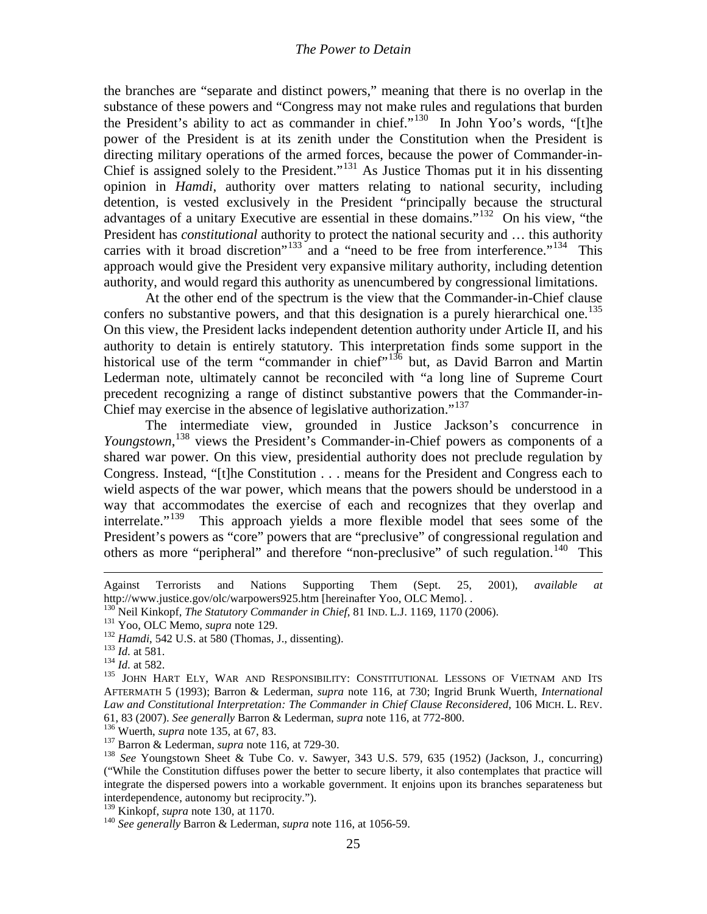<span id="page-24-1"></span>the branches are "separate and distinct powers," meaning that there is no overlap in the substance of these powers and "Congress may not make rules and regulations that burden the President's ability to act as commander in chief."[130](#page-23-5) In John Yoo's words, "[t]he power of the President is at its zenith under the Constitution when the President is directing military operations of the armed forces, because the power of Commander-in-Chief is assigned solely to the President."[131](#page-24-2) As Justice Thomas put it in his dissenting opinion in *Hamdi*, authority over matters relating to national security, including detention, is vested exclusively in the President "principally because the structural advantages of a unitary Executive are essential in these domains."<sup>132</sup> On his view, "the President has *constitutional* authority to protect the national security and … this authority carries with it broad discretion"<sup>[133](#page-24-4)</sup> and a "need to be free from interference."<sup>134</sup> This approach would give the President very expansive military authority, including detention authority, and would regard this authority as unencumbered by congressional limitations.

<span id="page-24-0"></span>At the other end of the spectrum is the view that the Commander-in-Chief clause confers no substantive powers, and that this designation is a purely hierarchical one.<sup>[135](#page-24-6)</sup> On this view, the President lacks independent detention authority under Article II, and his authority to detain is entirely statutory. This interpretation finds some support in the historical use of the term "commander in chief"<sup>[136](#page-24-7)</sup> but, as David Barron and Martin Lederman note, ultimately cannot be reconciled with "a long line of Supreme Court precedent recognizing a range of distinct substantive powers that the Commander-in-Chief may exercise in the absence of legislative authorization."<sup>[137](#page-24-8)</sup>

<span id="page-24-12"></span>The intermediate view, grounded in Justice Jackson's concurrence in *Youngstown*, [138](#page-24-9) views the President's Commander-in-Chief powers as components of a shared war power. On this view, presidential authority does not preclude regulation by Congress. Instead, "[t]he Constitution . . . means for the President and Congress each to wield aspects of the war power, which means that the powers should be understood in a way that accommodates the exercise of each and recognizes that they overlap and interrelate."<sup>139</sup> This approach yields a more flexible model that sees some of the President's powers as "core" powers that are "preclusive" of congressional regulation and others as more "peripheral" and therefore "non-preclusive" of such regulation.<sup>[140](#page-24-11)</sup> This

l

<span id="page-24-7"></span>

Against Terrorists and Nations Supporting Them (Sept. 25, 2001), *available at* http://www.justice.gov/olc/warpowers925.htm [hereinafter Yoo, OLC Memo]. .<br><sup>130</sup> Neil Kinkopf, *The Statutory Commander in Chief*, 81 IND. L.J. 1169, 1170 (2006).<br><sup>131</sup> Yoo, OLC Memo, *supra* note [129.](#page-23-4)<br><sup>132</sup> *Hamdi*, 542 U

<span id="page-24-2"></span>

<span id="page-24-3"></span>

<span id="page-24-4"></span>

<span id="page-24-6"></span><span id="page-24-5"></span>AFTERMATH 5 (1993); Barron & Lederman, *supra* note [116,](#page-22-9) at 730; Ingrid Brunk Wuerth, *International Law and Constitutional Interpretation: The Commander in Chief Clause Reconsidered*, 106 MICH. L. REV. 61, 83 (2007). *See generally* Barron & Lederman, *supra* note [116,](#page-22-9) at 772-800.<br><sup>136</sup> Wuerth, *supra* note [135,](#page-24-0) at 67, 83.<br><sup>137</sup> Barron & Lederman, *supra* note 116, at 729-30.<br><sup>138</sup> See Youngstown Sheet & Tube Co. v. Saw

<span id="page-24-9"></span><span id="page-24-8"></span><sup>(&</sup>quot;While the Constitution diffuses power the better to secure liberty, it also contemplates that practice will integrate the dispersed powers into a workable government. It enjoins upon its branches separateness but interdependence, autonomy but reciprocity.").<br><sup>139</sup> Kinkopf, *supra* note 130, at 1170.

<span id="page-24-11"></span><span id="page-24-10"></span><sup>&</sup>lt;sup>140</sup> See generally Barron & Lederman, *supra* note [116,](#page-22-9) at 1056-59.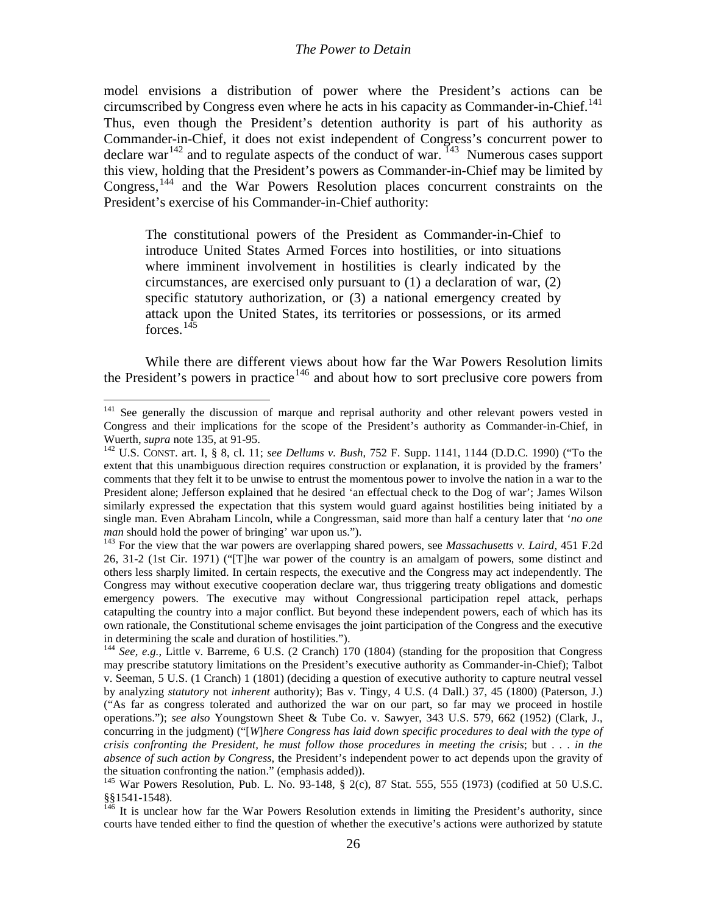model envisions a distribution of power where the President's actions can be circumscribed by Congress even where he acts in his capacity as Commander-in-Chief.<sup>[141](#page-24-12)</sup> Thus, even though the President's detention authority is part of his authority as Commander-in-Chief, it does not exist independent of Congress's concurrent power to declare war<sup>[142](#page-25-0)</sup> and to regulate aspects of the conduct of war.  $143$  Numerous cases support this view, holding that the President's powers as Commander-in-Chief may be limited by Congress,<sup>[144](#page-25-2)</sup> and the War Powers Resolution places concurrent constraints on the President's exercise of his Commander-in-Chief authority:

The constitutional powers of the President as Commander-in-Chief to introduce United States Armed Forces into hostilities, or into situations where imminent involvement in hostilities is clearly indicated by the circumstances, are exercised only pursuant to (1) a declaration of war, (2) specific statutory authorization, or (3) a national emergency created by attack upon the United States, its territories or possessions, or its armed forces.<sup>[145](#page-25-3)</sup>

<span id="page-25-5"></span>While there are different views about how far the War Powers Resolution limits the President's powers in practice<sup>[146](#page-25-4)</sup> and about how to sort preclusive core powers from

<sup>&</sup>lt;sup>141</sup> See generally the discussion of marque and reprisal authority and other relevant powers vested in Congress and their implications for the scope of the President's authority as Commander-in-Chief, in Wuerth, *supra* note [135,](#page-24-0) at 91-95.<br><sup>142</sup> U.S. CONST. art. I, § 8, cl. 11; *see Dellums v. Bush*, 752 F. Supp. 1141, 1144 (D.D.C. 1990) ("To the

<span id="page-25-0"></span>extent that this unambiguous direction requires construction or explanation, it is provided by the framers' comments that they felt it to be unwise to entrust the momentous power to involve the nation in a war to the President alone; Jefferson explained that he desired 'an effectual check to the Dog of war'; James Wilson similarly expressed the expectation that this system would guard against hostilities being initiated by a single man. Even Abraham Lincoln, while a Congressman, said more than half a century later that '*no one man* should hold the power of bringing' war upon us.").

<span id="page-25-1"></span><sup>&</sup>lt;sup>143</sup> For the view that the war powers are overlapping shared powers, see *Massachusetts v. Laird*, 451 F.2d 26, 31-2 (1st Cir. 1971) ("[T]he war power of the country is an amalgam of powers, some distinct and others less sharply limited. In certain respects, the executive and the Congress may act independently. The Congress may without executive cooperation declare war, thus triggering treaty obligations and domestic emergency powers. The executive may without Congressional participation repel attack, perhaps catapulting the country into a major conflict. But beyond these independent powers, each of which has its own rationale, the Constitutional scheme envisages the joint participation of the Congress and the executive in determining the scale and duration of hostilities.").<br><sup>144</sup> *See, e.g.*, Little v. Barreme, 6 U.S. (2 Cranch) 170 (1804) (standing for the proposition that Congress

<span id="page-25-2"></span>may prescribe statutory limitations on the President's executive authority as Commander-in-Chief); Talbot v. Seeman, 5 U.S. (1 Cranch) 1 (1801) (deciding a question of executive authority to capture neutral vessel by analyzing *statutory* not *inherent* authority); Bas v. Tingy, 4 U.S. (4 Dall.) 37, 45 (1800) (Paterson, J.) ("As far as congress tolerated and authorized the war on our part, so far may we proceed in hostile operations."); *see also* Youngstown Sheet & Tube Co. v. Sawyer, 343 U.S. 579, 662 (1952) (Clark, J., concurring in the judgment) ("[*W*]*here Congress has laid down specific procedures to deal with the type of crisis confronting the President, he must follow those procedures in meeting the crisis*; but . . . *in the absence of such action by Congress*, the President's independent power to act depends upon the gravity of the situation confronting the nation." (emphasis added)).

<span id="page-25-3"></span><sup>&</sup>lt;sup>145</sup> War Powers Resolution, Pub. L. No. 93-148,  $\S$  2(c), 87 Stat. 555, 555 (1973) (codified at 50 U.S.C. §§1541-1548).<br><sup>146</sup> It is unclear how far the War Powers Resolution extends in limiting the President's authority, since

<span id="page-25-4"></span>courts have tended either to find the question of whether the executive's actions were authorized by statute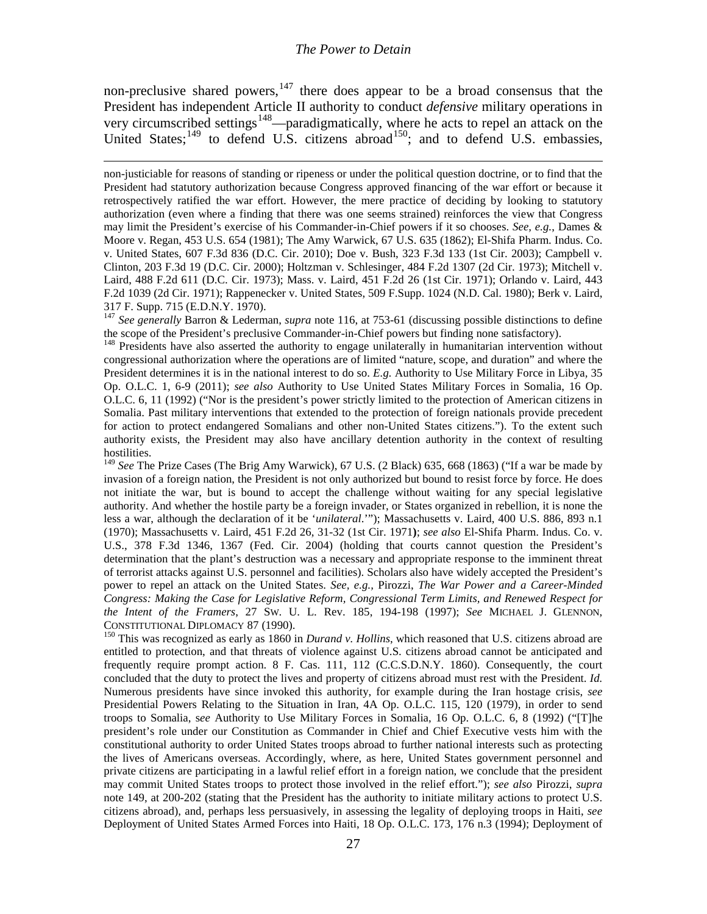non-preclusive shared powers, <sup>[147](#page-25-5)</sup> there does appear to be a broad consensus that the President has independent Article II authority to conduct *defensive* military operations in very circumscribed settings<sup>148</sup>—paradigmatically, where he acts to repel an attack on the United States;<sup>[149](#page-26-2)</sup> to defend U.S. citizens abroad<sup>[150](#page-26-3)</sup>; and to defend U.S. embassies,

<span id="page-26-0"></span> $\overline{\phantom{a}}$ 

non-justiciable for reasons of standing or ripeness or under the political question doctrine, or to find that the President had statutory authorization because Congress approved financing of the war effort or because it retrospectively ratified the war effort. However, the mere practice of deciding by looking to statutory authorization (even where a finding that there was one seems strained) reinforces the view that Congress may limit the President's exercise of his Commander-in-Chief powers if it so chooses. *See, e.g.*, Dames & Moore v. Regan, 453 U.S. 654 (1981); The Amy Warwick, 67 U.S. 635 (1862); El-Shifa Pharm. Indus. Co. v. United States, 607 F.3d 836 (D.C. Cir. 2010); Doe v. Bush, 323 F.3d 133 (1st Cir. 2003); Campbell v. Clinton, 203 F.3d 19 (D.C. Cir. 2000); Holtzman v. Schlesinger, 484 F.2d 1307 (2d Cir. 1973); Mitchell v. Laird, 488 F.2d 611 (D.C. Cir. 1973); Mass. v. Laird, 451 F.2d 26 (1st Cir. 1971); Orlando v. Laird, 443 F.2d 1039 (2d Cir. 1971); Rappenecker v. United States, 509 F.Supp. 1024 (N.D. Cal. 1980); Berk v. Laird, 317 F. Supp. 715 (E.D.N.Y. 1970).

<sup>147</sup> *See generally* Barron & Lederman, *supra* note [116,](#page-22-9) at 753-61 (discussing possible distinctions to define the scope of the President's preclusive Commander-in-Chief powers but finding none satisfactory).

<span id="page-26-1"></span><sup>148</sup> Presidents have also asserted the authority to engage unilaterally in humanitarian intervention without congressional authorization where the operations are of limited "nature, scope, and duration" and where the President determines it is in the national interest to do so. *E.g.* Authority to Use Military Force in Libya*,* 35 Op. O.L.C. 1, 6-9 (2011); *see also* Authority to Use United States Military Forces in Somalia, 16 Op. O.L.C. 6, 11 (1992) ("Nor is the president's power strictly limited to the protection of American citizens in Somalia. Past military interventions that extended to the protection of foreign nationals provide precedent for action to protect endangered Somalians and other non-United States citizens."). To the extent such authority exists, the President may also have ancillary detention authority in the context of resulting hostilities.

<span id="page-26-2"></span><sup>149</sup> *See* The Prize Cases (The Brig Amy Warwick), 67 U.S. (2 Black) 635, 668 (1863) ("If a war be made by invasion of a foreign nation, the President is not only authorized but bound to resist force by force. He does not initiate the war, but is bound to accept the challenge without waiting for any special legislative authority. And whether the hostile party be a foreign invader, or States organized in rebellion, it is none the less a war, although the declaration of it be '*unilateral*.'"); Massachusetts v. Laird, 400 U.S. 886, 893 n.1 (1970); Massachusetts v. Laird, 451 F.2d 26, 31-32 (1st Cir. 1971**)**; *see also* El-Shifa Pharm. Indus. Co. v. U.S., 378 F.3d 1346, 1367 (Fed. Cir. 2004) (holding that courts cannot question the President's determination that the plant's destruction was a necessary and appropriate response to the imminent threat of terrorist attacks against U.S. personnel and facilities). Scholars also have widely accepted the President's power to repel an attack on the United States. *See, e.g.,* Pirozzi, *The War Power and a Career-Minded Congress: Making the Case for Legislative Reform, Congressional Term Limits, and Renewed Respect for the Intent of the Framers*, 27 SW. U. L. Rev. 185, 194-198 (1997); *See* MICHAEL J. GLENNON,

<span id="page-26-4"></span><span id="page-26-3"></span> $^{150}$  This was recognized as early as 1860 in *Durand v. Hollins*, which reasoned that U.S. citizens abroad are entitled to protection, and that threats of violence against U.S. citizens abroad cannot be anticipated and frequently require prompt action. 8 F. Cas. 111, 112 (C.C.S.D.N.Y. 1860). Consequently, the court concluded that the duty to protect the lives and property of citizens abroad must rest with the President. *Id.* Numerous presidents have since invoked this authority, for example during the Iran hostage crisis, *see*  Presidential Powers Relating to the Situation in Iran, 4A Op. O.L.C. 115, 120 (1979), in order to send troops to Somalia, s*ee* Authority to Use Military Forces in Somalia, 16 Op. O.L.C. 6, 8 (1992) ("[T]he president's role under our Constitution as Commander in Chief and Chief Executive vests him with the constitutional authority to order United States troops abroad to further national interests such as protecting the lives of Americans overseas. Accordingly, where, as here, United States government personnel and private citizens are participating in a lawful relief effort in a foreign nation, we conclude that the president may commit United States troops to protect those involved in the relief effort."); *see also* Pirozzi, *supra*  note [149,](#page-26-0) at 200-202 (stating that the President has the authority to initiate military actions to protect U.S. citizens abroad), and, perhaps less persuasively, in assessing the legality of deploying troops in Haiti, *see*  Deployment of United States Armed Forces into Haiti, 18 Op. O.L.C. 173, 176 n.3 (1994); Deployment of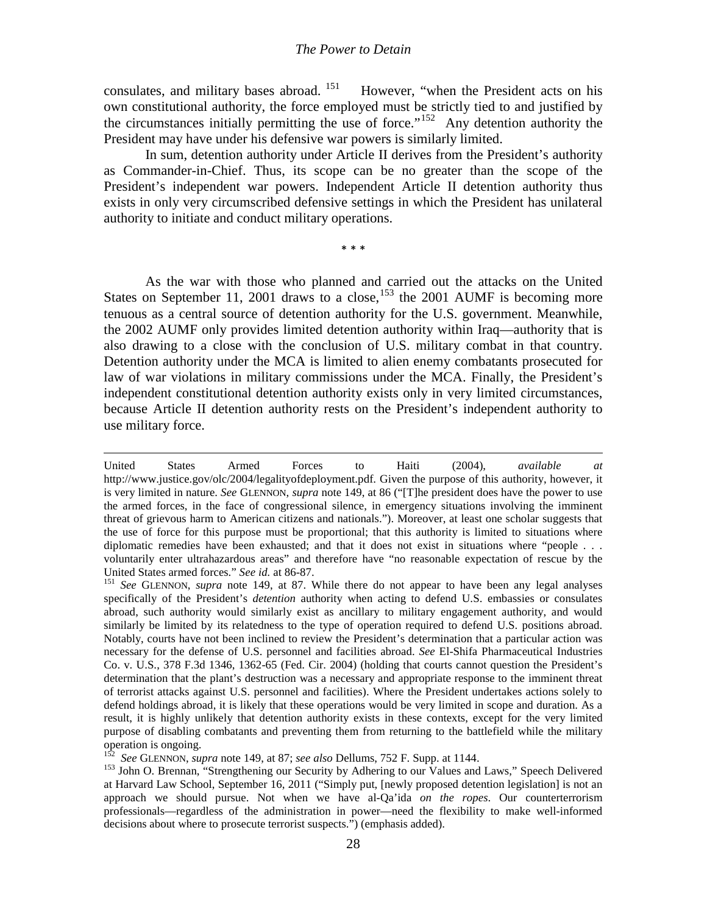consulates, and military bases abroad.  $151$  However, "when the President acts on his own constitutional authority, the force employed must be strictly tied to and justified by the circumstances initially permitting the use of force."<sup>[152](#page-27-0)</sup> Any detention authority the President may have under his defensive war powers is similarly limited.

In sum, detention authority under Article II derives from the President's authority as Commander-in-Chief. Thus, its scope can be no greater than the scope of the President's independent war powers. Independent Article II detention authority thus exists in only very circumscribed defensive settings in which the President has unilateral authority to initiate and conduct military operations.

<span id="page-27-3"></span>\* \* \*

As the war with those who planned and carried out the attacks on the United States on September 11, 2001 draws to a close,  $153$  the 2001 AUMF is becoming more tenuous as a central source of detention authority for the U.S. government. Meanwhile, the 2002 AUMF only provides limited detention authority within Iraq—authority that is also drawing to a close with the conclusion of U.S. military combat in that country. Detention authority under the MCA is limited to alien enemy combatants prosecuted for law of war violations in military commissions under the MCA. Finally, the President's independent constitutional detention authority exists only in very limited circumstances, because Article II detention authority rests on the President's independent authority to use military force.

<span id="page-27-2"></span>l

United States Armed Forces to Haiti (2004), *available at*  http://www.justice.gov/olc/2004/legalityofdeployment.pdf. Given the purpose of this authority, however, it is very limited in nature. *See* GLENNON, *supra* note [149,](#page-26-0) at 86 ("[T]he president does have the power to use the armed forces, in the face of congressional silence, in emergency situations involving the imminent threat of grievous harm to American citizens and nationals."). Moreover, at least one scholar suggests that the use of force for this purpose must be proportional; that this authority is limited to situations where diplomatic remedies have been exhausted; and that it does not exist in situations where "people . . . voluntarily enter ultrahazardous areas" and therefore have "no reasonable expectation of rescue by the United States armed forces." See id. at 86-87.

<sup>&</sup>lt;sup>151</sup> See GLENNON, *supra* note [149,](#page-26-0) at 87. While there do not appear to have been any legal analyses specifically of the President's *detention* authority when acting to defend U.S. embassies or consulates abroad, such authority would similarly exist as ancillary to military engagement authority, and would similarly be limited by its relatedness to the type of operation required to defend U.S. positions abroad. Notably, courts have not been inclined to review the President's determination that a particular action was necessary for the defense of U.S. personnel and facilities abroad. *See* El-Shifa Pharmaceutical Industries Co. v. U.S., 378 F.3d 1346, 1362-65 (Fed. Cir. 2004) (holding that courts cannot question the President's determination that the plant's destruction was a necessary and appropriate response to the imminent threat of terrorist attacks against U.S. personnel and facilities). Where the President undertakes actions solely to defend holdings abroad, it is likely that these operations would be very limited in scope and duration. As a result, it is highly unlikely that detention authority exists in these contexts, except for the very limited purpose of disabling combatants and preventing them from returning to the battlefield while the military operation is ongoing.<br><sup>152</sup> See GLENNON, supra note 149, at 87; see also Dellums, 752 F. Supp. at 1144.

<span id="page-27-1"></span><span id="page-27-0"></span><sup>&</sup>lt;sup>153</sup> John O. Brennan, "Strengthening our Security by Adhering to our Values and Laws," Speech Delivered at Harvard Law School, September 16, 2011 ("Simply put, [newly proposed detention legislation] is not an approach we should pursue. Not when we have al-Qa'ida *on the ropes*. Our counterterrorism professionals—regardless of the administration in power—need the flexibility to make well-informed decisions about where to prosecute terrorist suspects.") (emphasis added).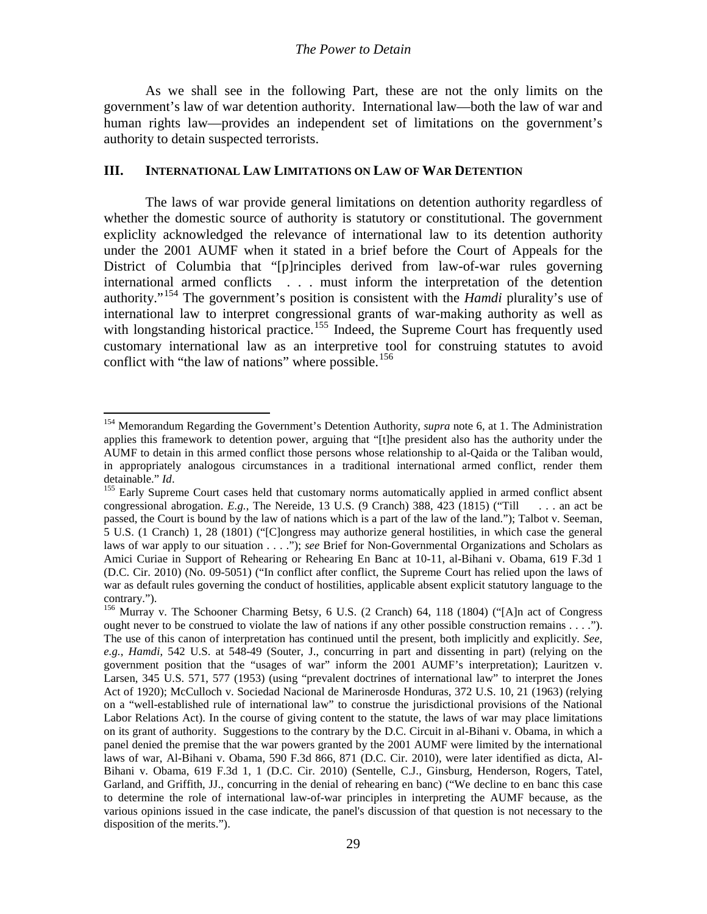As we shall see in the following Part, these are not the only limits on the government's law of war detention authority. International law—both the law of war and human rights law—provides an independent set of limitations on the government's authority to detain suspected terrorists.

### **III. INTERNATIONAL LAW LIMITATIONS ON LAW OF WAR DETENTION**

The laws of war provide general limitations on detention authority regardless of whether the domestic source of authority is statutory or constitutional. The government expliclity acknowledged the relevance of international law to its detention authority under the 2001 AUMF when it stated in a brief before the Court of Appeals for the District of Columbia that "[p]rinciples derived from law-of-war rules governing international armed conflicts . . . must inform the interpretation of the detention authority."[154](#page-27-2) The government's position is consistent with the *Hamdi* plurality's use of international law to interpret congressional grants of war-making authority as well as with longstanding historical practice.<sup>[155](#page-28-0)</sup> Indeed, the Supreme Court has frequently used customary international law as an interpretive tool for construing statutes to avoid conflict with "the law of nations" where possible. [156](#page-28-1)

<sup>154</sup> Memorandum Regarding the Government's Detention Authority, *supra* note [6,](#page-2-5) at 1. The Administration applies this framework to detention power, arguing that "[t]he president also has the authority under the AUMF to detain in this armed conflict those persons whose relationship to al-Qaida or the Taliban would, in appropriately analogous circumstances in a traditional international armed conflict, render them detainable." *Id*.<br><sup>155</sup> Early Supreme Court cases held that customary norms automatically applied in armed conflict absent

<span id="page-28-0"></span>congressional abrogation. *E.g.*, The Nereide, 13 U.S. (9 Cranch) 388, 423 (1815) ("Till . . . an act be passed, the Court is bound by the law of nations which is a part of the law of the land."); Talbot v. Seeman, 5 U.S. (1 Cranch) 1, 28 (1801) ("[C]ongress may authorize general hostilities, in which case the general laws of war apply to our situation . . . ."); *see* Brief for Non-Governmental Organizations and Scholars as Amici Curiae in Support of Rehearing or Rehearing En Banc at 10-11, al-Bihani v. Obama, 619 F.3d 1 (D.C. Cir. 2010) (No. 09-5051) ("In conflict after conflict, the Supreme Court has relied upon the laws of war as default rules governing the conduct of hostilities, applicable absent explicit statutory language to the contrary.").

<span id="page-28-2"></span><span id="page-28-1"></span><sup>156</sup> Murray v. The Schooner Charming Betsy, 6 U.S. (2 Cranch) 64, 118 (1804) ("[A]n act of Congress ought never to be construed to violate the law of nations if any other possible construction remains . . . ."). The use of this canon of interpretation has continued until the present, both implicitly and explicitly. *See, e.g.*, *Hamdi*, 542 U.S. at 548-49 (Souter, J., concurring in part and dissenting in part) (relying on the government position that the "usages of war" inform the 2001 AUMF's interpretation); Lauritzen v. Larsen, 345 U.S. 571, 577 (1953) (using "prevalent doctrines of international law" to interpret the Jones Act of 1920); McCulloch v. Sociedad Nacional de Marinerosde Honduras, 372 U.S. 10, 21 (1963) (relying on a "well-established rule of international law" to construe the jurisdictional provisions of the National Labor Relations Act). In the course of giving content to the statute, the laws of war may place limitations on its grant of authority. Suggestions to the contrary by the D.C. Circuit in al-Bihani v. Obama, in which a panel denied the premise that the war powers granted by the 2001 AUMF were limited by the international laws of war, Al-Bihani v. Obama, 590 F.3d 866, 871 (D.C. Cir. 2010), were later identified as dicta, Al-Bihani v. Obama, 619 F.3d 1, 1 (D.C. Cir. 2010) (Sentelle, C.J., Ginsburg, Henderson, Rogers, Tatel, Garland, and Griffith, JJ., concurring in the denial of rehearing en banc) ("We decline to en banc this case to determine the role of international law-of-war principles in interpreting the AUMF because, as the various opinions issued in the case indicate, the panel's discussion of that question is not necessary to the disposition of the merits.").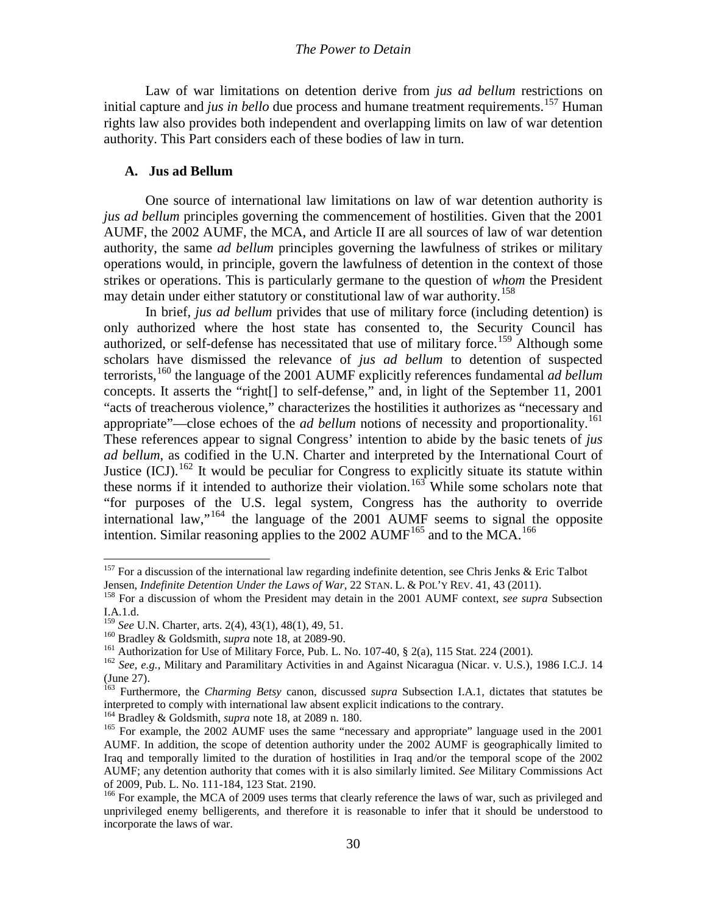Law of war limitations on detention derive from *jus ad bellum* restrictions on initial capture and *jus in bello* due process and humane treatment requirements.<sup>[157](#page-28-2)</sup> Human rights law also provides both independent and overlapping limits on law of war detention authority. This Part considers each of these bodies of law in turn.

### **A. Jus ad Bellum**

One source of international law limitations on law of war detention authority is *jus ad bellum* principles governing the commencement of hostilities. Given that the 2001 AUMF, the 2002 AUMF, the MCA, and Article II are all sources of law of war detention authority, the same *ad bellum* principles governing the lawfulness of strikes or military operations would, in principle, govern the lawfulness of detention in the context of those strikes or operations. This is particularly germane to the question of *whom* the President may detain under either statutory or constitutional law of war authority.<sup>[158](#page-29-0)</sup>

In brief, *jus ad bellum* privides that use of military force (including detention) is only authorized where the host state has consented to, the Security Council has authorized, or self-defense has necessitated that use of military force.<sup>[159](#page-29-1)</sup> Although some scholars have dismissed the relevance of *jus ad bellum* to detention of suspected terrorists, [160](#page-29-2) the language of the 2001 AUMF explicitly references fundamental *ad bellum* concepts. It asserts the "right[] to self-defense," and, in light of the September 11, 2001 "acts of treacherous violence," characterizes the hostilities it authorizes as "necessary and appropriate"—close echoes of the *ad bellum* notions of necessity and proportionality.<sup>[161](#page-29-3)</sup> These references appear to signal Congress' intention to abide by the basic tenets of *jus ad bellum*, as codified in the U.N. Charter and interpreted by the International Court of Justice (ICJ).<sup>[162](#page-29-4)</sup> It would be peculiar for Congress to explicitly situate its statute within these norms if it intended to authorize their violation.<sup>[163](#page-29-5)</sup> While some scholars note that "for purposes of the U.S. legal system, Congress has the authority to override international law,"[164](#page-29-6) the language of the 2001 AUMF seems to signal the opposite intention. Similar reasoning applies to the 2002 AUMF<sup>[165](#page-29-7)</sup> and to the MCA.<sup>[166](#page-29-8)</sup>

<sup>&</sup>lt;sup>157</sup> For a discussion of the international law regarding indefinite detention, see Chris Jenks & Eric Talbot Jensen, *Indefinite Detention Under the Laws of War*, 22 STAN. L. & POL'Y REV. 41, 43 (2011).

<span id="page-29-0"></span><sup>&</sup>lt;sup>158</sup> For a discussion of whom the President may detain in the 2001 AUMF context, *see supra* Subsection I.A.1.d.<br><sup>159</sup> See U.N. Charter, arts. 2(4), 43(1), 48(1), 49, 51.

<span id="page-29-4"></span>

<span id="page-29-3"></span><span id="page-29-2"></span><span id="page-29-1"></span><sup>&</sup>lt;sup>160</sup> Bradley & Goldsmith, *supra* note [18,](#page-6-7) at 2089-90.<br><sup>161</sup> Authorization for Use of Military Force, Pub. L. No. 107-40, § 2(a), 115 Stat. 224 (2001).<br><sup>162</sup> See, e.g., Military and Paramilitary Activities in and Against (June 27).

<span id="page-29-5"></span><sup>163</sup> Furthermore, the *Charming Betsy* canon, discussed *supra* Subsection I.A.1, dictates that statutes be interpreted to comply with international law absent explicit indications to the contrary.<br><sup>164</sup> Bradley & Goldsmith, *supra* note 18, at 2089 n. 180.

<span id="page-29-7"></span><span id="page-29-6"></span><sup>&</sup>lt;sup>165</sup> For example, the 2002 AUMF uses the same "necessary and appropriate" language used in the 2001 AUMF. In addition, the scope of detention authority under the 2002 AUMF is geographically limited to Iraq and temporally limited to the duration of hostilities in Iraq and/or the temporal scope of the 2002 AUMF; any detention authority that comes with it is also similarly limited. *See* Military Commissions Act of 2009, Pub. L. No. 111-184, 123 Stat. 2190.<br><sup>166</sup> For example, the MCA of 2009 uses terms that clearly reference the laws of war, such as privileged and

<span id="page-29-8"></span>unprivileged enemy belligerents, and therefore it is reasonable to infer that it should be understood to incorporate the laws of war.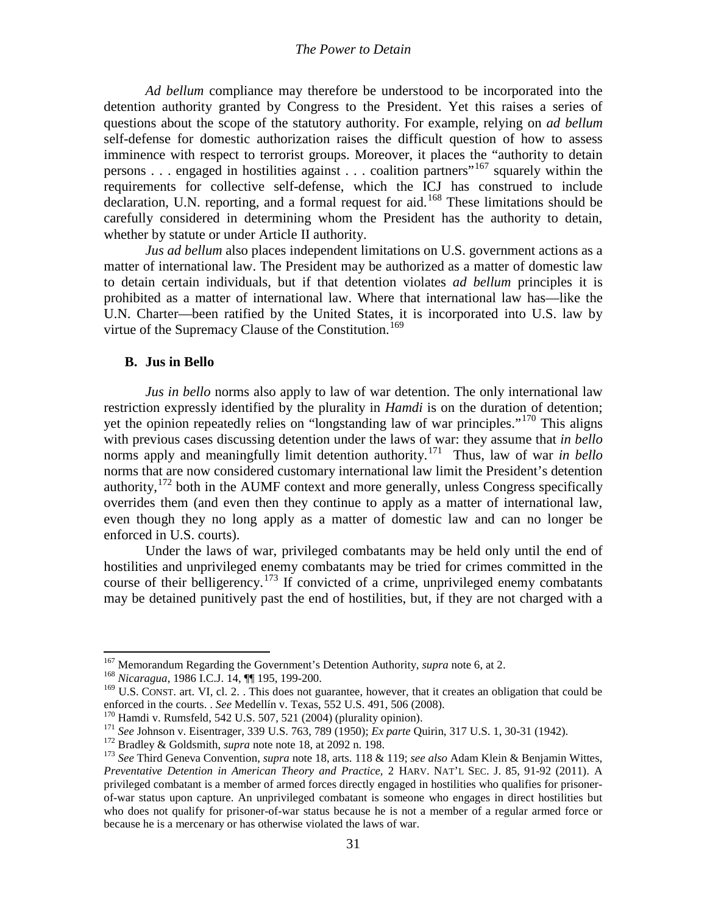*Ad bellum* compliance may therefore be understood to be incorporated into the detention authority granted by Congress to the President. Yet this raises a series of questions about the scope of the statutory authority. For example, relying on *ad bellum* self-defense for domestic authorization raises the difficult question of how to assess imminence with respect to terrorist groups. Moreover, it places the "authority to detain persons . . . engaged in hostilities against . . . coalition partners"<sup>[167](#page-29-4)</sup> squarely within the requirements for collective self-defense, which the ICJ has construed to include declaration, U.N. reporting, and a formal request for aid.<sup>[168](#page-30-0)</sup> These limitations should be carefully considered in determining whom the President has the authority to detain, whether by statute or under Article II authority.

*Jus ad bellum* also places independent limitations on U.S. government actions as a matter of international law. The President may be authorized as a matter of domestic law to detain certain individuals, but if that detention violates *ad bellum* principles it is prohibited as a matter of international law. Where that international law has—like the U.N. Charter—been ratified by the United States, it is incorporated into U.S. law by virtue of the Supremacy Clause of the Constitution.<sup>[169](#page-30-1)</sup>

### **B. Jus in Bello**

*Jus in bello* norms also apply to law of war detention. The only international law restriction expressly identified by the plurality in *Hamdi* is on the duration of detention; yet the opinion repeatedly relies on "longstanding law of war principles."<sup>[170](#page-30-2)</sup> This aligns with previous cases discussing detention under the laws of war: they assume that *in bello* norms apply and meaningfully limit detention authority.<sup>[171](#page-30-3)</sup> Thus, law of war *in bello* norms that are now considered customary international law limit the President's detention authority,  $172$  both in the AUMF context and more generally, unless Congress specifically overrides them (and even then they continue to apply as a matter of international law, even though they no long apply as a matter of domestic law and can no longer be enforced in U.S. courts).

<span id="page-30-7"></span><span id="page-30-6"></span>Under the laws of war, privileged combatants may be held only until the end of hostilities and unprivileged enemy combatants may be tried for crimes committed in the course of their belligerency.<sup>[173](#page-30-5)</sup> If convicted of a crime, unprivileged enemy combatants may be detained punitively past the end of hostilities, but, if they are not charged with a

<sup>167</sup> Memorandum Regarding the Government's Detention Authority, *supra* note 6, at 2. 168 *Nicaragua*, 1986 I.C.J. 14, ¶¶ 195, 199-200.

<span id="page-30-0"></span>

<span id="page-30-1"></span><sup>&</sup>lt;sup>169</sup> U.S. CONST. art. VI, cl. 2. . This does not guarantee, however, that it creates an obligation that could be enforced in the courts. . *See* Medellín v. Texas, 552 U.S. 491, 506 (2008).

<span id="page-30-5"></span><span id="page-30-4"></span>

<span id="page-30-3"></span><span id="page-30-2"></span><sup>&</sup>lt;sup>170</sup> Hamdi v. Rumsfeld, 542 U.S. 507, 521 (2004) (plurality opinion).<br><sup>171</sup> See Johnson v. Eisentrager, 339 U.S. 763, 789 (1950); *Ex parte* Quirin, 317 U.S. 1, 30-31 (1942).<br><sup>172</sup> Bradley & Goldsmith, *supra* note [18,](#page-6-7) a *Preventative Detention in American Theory and Practice*, 2 HARV. NAT'L SEC. J. 85, 91-92 (2011). A privileged combatant is a member of armed forces directly engaged in hostilities who qualifies for prisonerof-war status upon capture. An unprivileged combatant is someone who engages in direct hostilities but who does not qualify for prisoner-of-war status because he is not a member of a regular armed force or because he is a mercenary or has otherwise violated the laws of war.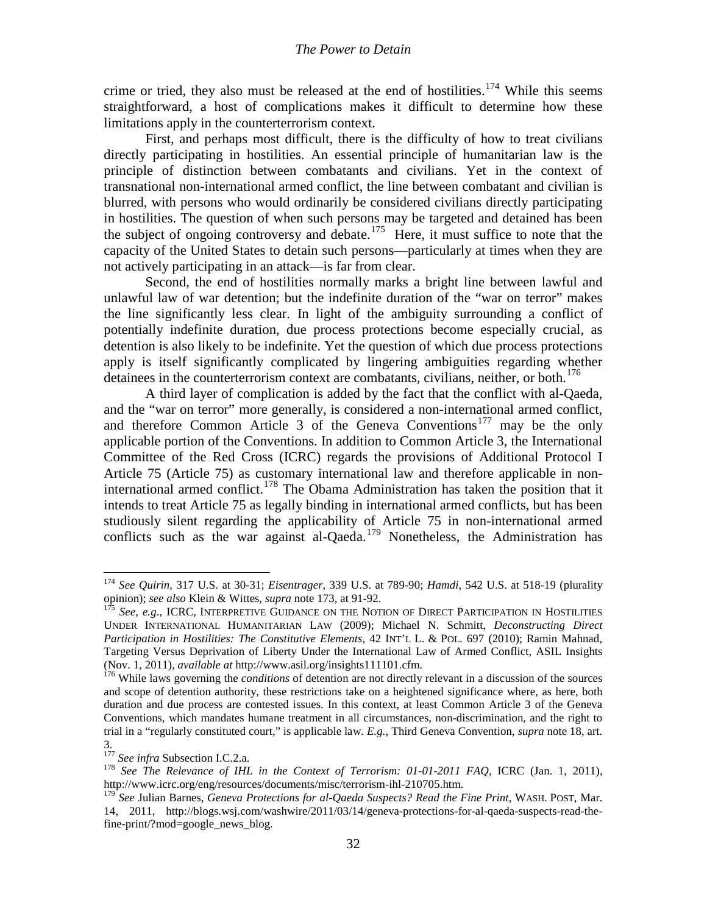crime or tried, they also must be released at the end of hostilities.<sup>[174](#page-30-7)</sup> While this seems straightforward, a host of complications makes it difficult to determine how these limitations apply in the counterterrorism context.

First, and perhaps most difficult, there is the difficulty of how to treat civilians directly participating in hostilities. An essential principle of humanitarian law is the principle of distinction between combatants and civilians. Yet in the context of transnational non-international armed conflict, the line between combatant and civilian is blurred, with persons who would ordinarily be considered civilians directly participating in hostilities. The question of when such persons may be targeted and detained has been the subject of ongoing controversy and debate.<sup>175</sup> Here, it must suffice to note that the capacity of the United States to detain such persons—particularly at times when they are not actively participating in an attack—is far from clear.

Second, the end of hostilities normally marks a bright line between lawful and unlawful law of war detention; but the indefinite duration of the "war on terror" makes the line significantly less clear. In light of the ambiguity surrounding a conflict of potentially indefinite duration, due process protections become especially crucial, as detention is also likely to be indefinite. Yet the question of which due process protections apply is itself significantly complicated by lingering ambiguities regarding whether detainees in the counterterrorism context are combatants, civilians, neither, or both.<sup>[176](#page-31-1)</sup>

<span id="page-31-6"></span>A third layer of complication is added by the fact that the conflict with al-Qaeda, and the "war on terror" more generally, is considered a non-international armed conflict, and therefore Common Article 3 of the Geneva Conventions<sup>[177](#page-31-2)</sup> may be the only applicable portion of the Conventions. In addition to Common Article 3, the International Committee of the Red Cross (ICRC) regards the provisions of Additional Protocol I Article 75 (Article 75) as customary international law and therefore applicable in non-international armed conflict.<sup>[178](#page-31-3)</sup> The Obama Administration has taken the position that it intends to treat Article 75 as legally binding in international armed conflicts, but has been studiously silent regarding the applicability of Article 75 in non-international armed conflicts such as the war against al-Qaeda.<sup>[179](#page-31-4)</sup> Nonetheless, the Administration has

<sup>&</sup>lt;sup>174</sup> *See Quirin*, 317 U.S. at 30-31; *Eisentrager*, 339 U.S. at 789-90; *Hamdi*, 542 U.S. at 518-19 (plurality opinion); *see also* Klein & Wittes, *supra* note 173, at 91-92.

<span id="page-31-0"></span><sup>&</sup>lt;sup>5</sup> See, e.g., ICRC, INTERPRETIVE GUIDANCE ON THE NOTION OF DIRECT PARTICIPATION IN HOSTILITIES UNDER INTERNATIONAL HUMANITARIAN LAW (2009); Michael N. Schmitt, *Deconstructing Direct Participation in Hostilities: The Constitutive Elements*, 42 INT'L L. & POL. 697 (2010); Ramin Mahnad, Targeting Versus Deprivation of Liberty Under the International Law of Armed Conflict, ASIL Insights (Nov. 1, 2011), *available at* http://www.asil.org/insights111101.cfm. 176 While laws governing the *conditions* of detention are not directly relevant in a discussion of the sources

<span id="page-31-5"></span><span id="page-31-1"></span>and scope of detention authority, these restrictions take on a heightened significance where, as here, both duration and due process are contested issues. In this context, at least Common Article 3 of the Geneva Conventions, which mandates humane treatment in all circumstances, non-discrimination, and the right to trial in a "regularly constituted court," is applicable law. *E.g.*, Third Geneva Convention, *supra* note [18,](#page-6-7) art.

<span id="page-31-2"></span><sup>3.&</sup>lt;br><sup>177</sup> See infra Subsection I.C.2.a.

<span id="page-31-3"></span><sup>&</sup>lt;sup>178</sup> See The Relevance of IHL in the Context of Terrorism: 01-01-2011 FAQ, ICRC (Jan. 1, 2011), http://www.icrc.org/eng/resources/documents/misc/terrorism-ihl-210705.htm.

<span id="page-31-4"></span><sup>179</sup> *See* Julian Barnes, *Geneva Protections for al-Qaeda Suspects? Read the Fine Print*, WASH. POST, Mar. 14, 2011, http://blogs.wsj.com/washwire/2011/03/14/geneva-protections-for-al-qaeda-suspects-read-thefine-print/?mod=google\_news\_blog.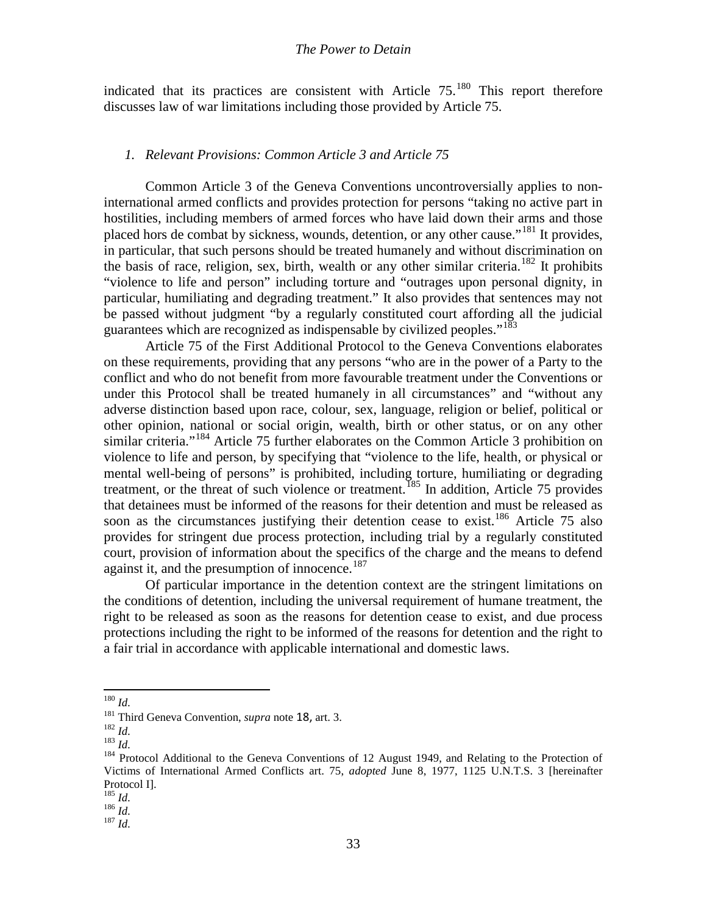indicated that its practices are consistent with Article  $75^{180}$  $75^{180}$  $75^{180}$  This report therefore discusses law of war limitations including those provided by Article 75.

### *1. Relevant Provisions: Common Article 3 and Article 75*

Common Article 3 of the Geneva Conventions uncontroversially applies to noninternational armed conflicts and provides protection for persons "taking no active part in hostilities, including members of armed forces who have laid down their arms and those placed hors de combat by sickness, wounds, detention, or any other cause."<sup>[181](#page-32-0)</sup> It provides, in particular, that such persons should be treated humanely and without discrimination on the basis of race, religion, sex, birth, wealth or any other similar criteria.<sup>[182](#page-32-1)</sup> It prohibits "violence to life and person" including torture and "outrages upon personal dignity, in particular, humiliating and degrading treatment." It also provides that sentences may not be passed without judgment "by a regularly constituted court affording all the judicial guarantees which are recognized as indispensable by civilized peoples."<sup>[183](#page-32-2)</sup>

Article 75 of the First Additional Protocol to the Geneva Conventions elaborates on these requirements, providing that any persons "who are in the power of a Party to the conflict and who do not benefit from more favourable treatment under the Conventions or under this Protocol shall be treated humanely in all circumstances" and "without any adverse distinction based upon race, colour, sex, language, religion or belief, political or other opinion, national or social origin, wealth, birth or other status, or on any other similar criteria."<sup>[184](#page-32-3)</sup> Article 75 further elaborates on the Common Article 3 prohibition on violence to life and person, by specifying that "violence to the life, health, or physical or mental well-being of persons" is prohibited, including torture, humiliating or degrading treatment, or the threat of such violence or treatment.<sup>[185](#page-32-4)</sup> In addition, Article 75 provides that detainees must be informed of the reasons for their detention and must be released as soon as the circumstances justifying their detention cease to exist.<sup>[186](#page-32-5)</sup> Article 75 also provides for stringent due process protection, including trial by a regularly constituted court, provision of information about the specifics of the charge and the means to defend against it, and the presumption of innocence.<sup>[187](#page-32-6)</sup>

Of particular importance in the detention context are the stringent limitations on the conditions of detention, including the universal requirement of humane treatment, the right to be released as soon as the reasons for detention cease to exist, and due process protections including the right to be informed of the reasons for detention and the right to a fair trial in accordance with applicable international and domestic laws.

<span id="page-32-7"></span><sup>&</sup>lt;sup>180</sup> *Id.* Third Geneva Convention, *supra* note 18, art. 3.

<span id="page-32-3"></span><span id="page-32-2"></span>

<span id="page-32-1"></span><span id="page-32-0"></span><sup>&</sup>lt;sup>182</sup> Id.<br><sup>183</sup> Id.<br><sup>184</sup> Protocol Additional to the Geneva Conventions of 12 August 1949, and Relating to the Protection of Victims of International Armed Conflicts art. 75, *adopted* June 8, 1977, 1125 U.N.T.S. 3 [hereinafter Protocol I].

<span id="page-32-5"></span><span id="page-32-4"></span><sup>185</sup> *Id.* 186 *Id.* 187 *Id.*

<span id="page-32-6"></span>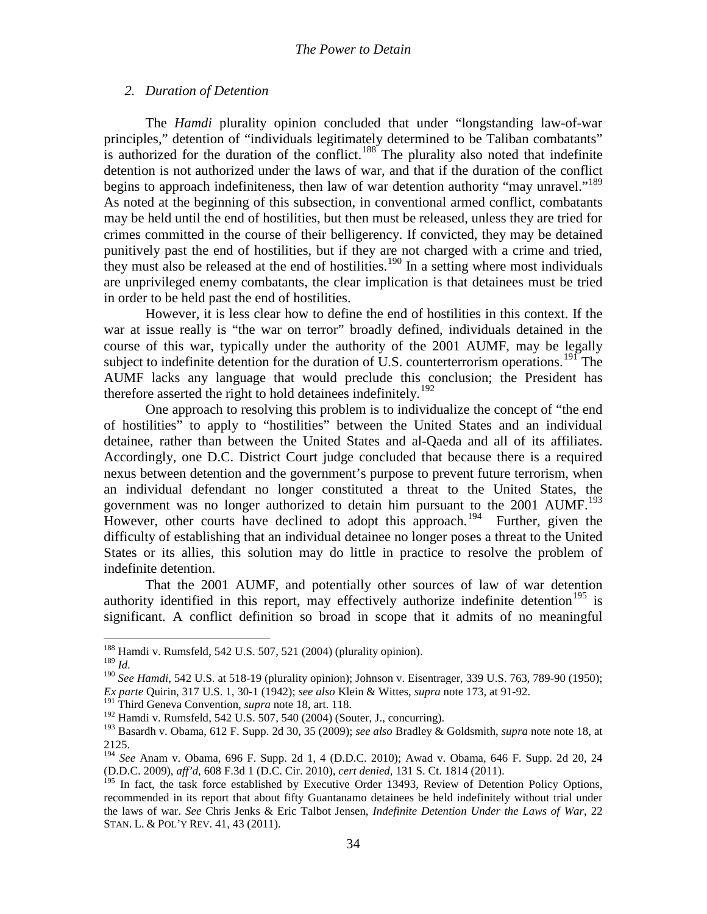### *2. Duration of Detention*

The *Hamdi* plurality opinion concluded that under "longstanding law-of-war principles," detention of "individuals legitimately determined to be Taliban combatants" is authorized for the duration of the conflict.<sup>[188](#page-32-7)</sup> The plurality also noted that indefinite detention is not authorized under the laws of war, and that if the duration of the conflict begins to approach indefiniteness, then law of war detention authority "may unravel."<sup>[189](#page-33-0)</sup> As noted at the beginning of this subsection, in conventional armed conflict, combatants may be held until the end of hostilities, but then must be released, unless they are tried for crimes committed in the course of their belligerency. If convicted, they may be detained punitively past the end of hostilities, but if they are not charged with a crime and tried, they must also be released at the end of hostilities.<sup>[190](#page-33-1)</sup> In a setting where most individuals are unprivileged enemy combatants, the clear implication is that detainees must be tried in order to be held past the end of hostilities.

However, it is less clear how to define the end of hostilities in this context. If the war at issue really is "the war on terror" broadly defined, individuals detained in the course of this war, typically under the authority of the 2001 AUMF, may be legally subject to indefinite detention for the duration of U.S. counterterrorism operations.<sup>[191](#page-33-2)</sup> The AUMF lacks any language that would preclude this conclusion; the President has therefore asserted the right to hold detainees indefinitely.<sup>[192](#page-33-3)</sup>

One approach to resolving this problem is to individualize the concept of "the end of hostilities" to apply to "hostilities" between the United States and an individual detainee, rather than between the United States and al-Qaeda and all of its affiliates. Accordingly, one D.C. District Court judge concluded that because there is a required nexus between detention and the government's purpose to prevent future terrorism, when an individual defendant no longer constituted a threat to the United States, the government was no longer authorized to detain him pursuant to the  $2001$  AUMF.<sup>[193](#page-33-4)</sup> However, other courts have declined to adopt this approach.<sup>[194](#page-33-5)</sup> Further, given the difficulty of establishing that an individual detainee no longer poses a threat to the United States or its allies, this solution may do little in practice to resolve the problem of indefinite detention.

That the 2001 AUMF, and potentially other sources of law of war detention authority identified in this report, may effectively authorize indefinite detention<sup>[195](#page-33-6)</sup> is significant. A conflict definition so broad in scope that it admits of no meaningful

<span id="page-33-7"></span> $188$  Hamdi v. Rumsfeld, 542 U.S. 507, 521 (2004) (plurality opinion).

<span id="page-33-0"></span><sup>189</sup> *Id.*

<span id="page-33-1"></span><sup>190</sup> *See Hamdi*, 542 U.S. at 518-19 (plurality opinion); Johnson v. Eisentrager, 339 U.S. 763, 789-90 (1950); *Ex parte* Quirin, 317 U.S. 1, 30-1 (1942); *see also* Klein & Wittes, *supra* note [173,](#page-30-6) at 91-92.

<span id="page-33-2"></span><sup>191</sup> Third Geneva Convention, *supra* not[e 18,](#page-6-7) art. 118.

<span id="page-33-3"></span><sup>&</sup>lt;sup>192</sup> Hamdi v. Rumsfeld, 542 U.S. 507, 540 (2004) (Souter, J., concurring).

<span id="page-33-4"></span><sup>193</sup> Basardh v. Obama, 612 F. Supp. 2d 30, 35 (2009); *see also* Bradley & Goldsmith, *supra* note not[e 18,](#page-6-7) at 2125.

<span id="page-33-5"></span><sup>194</sup> *See* Anam v. Obama, 696 F. Supp. 2d 1, 4 (D.D.C. 2010); Awad v. Obama, 646 F. Supp. 2d 20, 24 (D.D.C. 2009), *aff'd,* 608 F.3d 1 (D.C. Cir. 2010), *cert denied,* 131 S. Ct. 1814 (2011).

<span id="page-33-6"></span><sup>&</sup>lt;sup>195</sup> In fact, the task force established by Executive Order 13493, Review of Detention Policy Options, recommended in its report that about fifty Guantanamo detainees be held indefinitely without trial under the laws of war. *See* Chris Jenks & Eric Talbot Jensen, *Indefinite Detention Under the Laws of War*, 22 STAN. L. & POL'Y REV. 41, 43 (2011).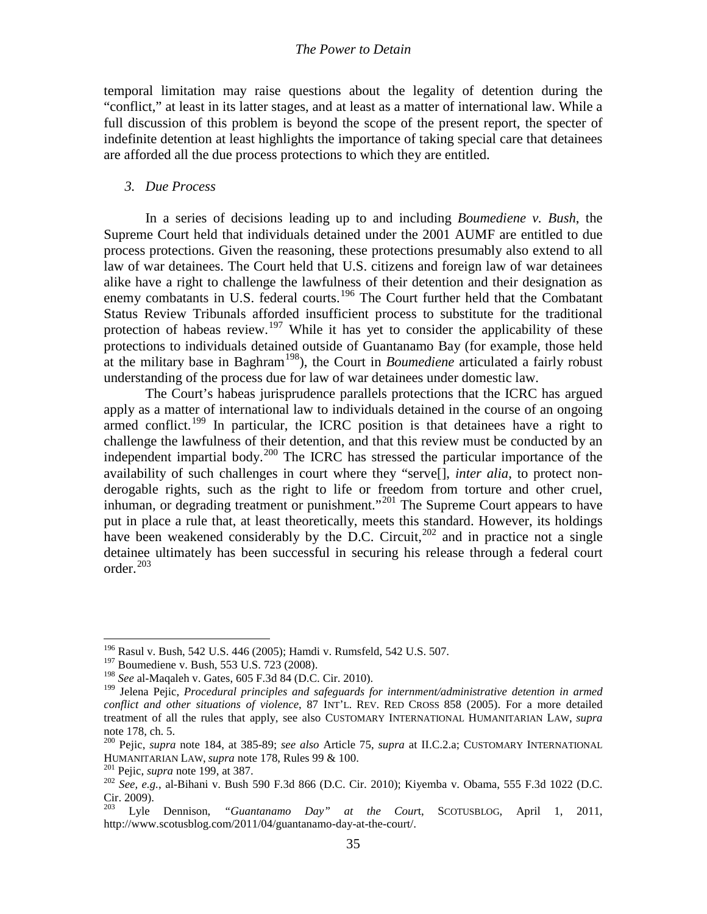temporal limitation may raise questions about the legality of detention during the "conflict," at least in its latter stages, and at least as a matter of international law. While a full discussion of this problem is beyond the scope of the present report, the specter of indefinite detention at least highlights the importance of taking special care that detainees are afforded all the due process protections to which they are entitled.

### *3. Due Process*

In a series of decisions leading up to and including *Boumediene v. Bush*, the Supreme Court held that individuals detained under the 2001 AUMF are entitled to due process protections. Given the reasoning, these protections presumably also extend to all law of war detainees. The Court held that U.S. citizens and foreign law of war detainees alike have a right to challenge the lawfulness of their detention and their designation as enemy combatants in U.S. federal courts.<sup>[196](#page-33-7)</sup> The Court further held that the Combatant Status Review Tribunals afforded insufficient process to substitute for the traditional protection of habeas review.<sup>[197](#page-34-1)</sup> While it has yet to consider the applicability of these protections to individuals detained outside of Guantanamo Bay (for example, those held at the military base in Baghram[198](#page-34-2)), the Court in *Boumediene* articulated a fairly robust understanding of the process due for law of war detainees under domestic law.

<span id="page-34-0"></span>The Court's habeas jurisprudence parallels protections that the ICRC has argued apply as a matter of international law to individuals detained in the course of an ongoing armed conflict.<sup>[199](#page-34-3)</sup> In particular, the ICRC position is that detainees have a right to challenge the lawfulness of their detention, and that this review must be conducted by an independent impartial body.<sup>[200](#page-34-4)</sup> The ICRC has stressed the particular importance of the availability of such challenges in court where they "serve[], *inter alia*, to protect nonderogable rights, such as the right to life or freedom from torture and other cruel, inhuman, or degrading treatment or punishment."<sup>[201](#page-34-5)</sup> The Supreme Court appears to have put in place a rule that, at least theoretically, meets this standard. However, its holdings have been weakened considerably by the D.C. Circuit,  $202$  and in practice not a single detainee ultimately has been successful in securing his release through a federal court order.[203](#page-34-7)

<span id="page-34-8"></span><span id="page-34-1"></span><sup>196</sup> Rasul v. Bush, 542 U.S. 446 (2005); Hamdi v. Rumsfeld, 542 U.S. 507.

<sup>&</sup>lt;sup>197</sup> Boumediene v. Bush, 553 U.S. 723 (2008).

<sup>198</sup> *See* al-Maqaleh v. Gates, 605 F.3d 84 (D.C. Cir. 2010).

<span id="page-34-3"></span><span id="page-34-2"></span><sup>199</sup> Jelena Pejic, *Procedural principles and safeguards for internment/administrative detention in armed conflict and other situations of violence*, 87 INT'L. REV. RED CROSS 858 (2005). For a more detailed treatment of all the rules that apply, see also CUSTOMARY INTERNATIONAL HUMANITARIAN LAW, *supra*  not[e 178,](#page-31-6) ch. 5. <sup>200</sup> Pejic, *supra* note 184, at 385-89; *see also* Article 75, *supra* at II.C.2.a; CUSTOMARY INTERNATIONAL

<span id="page-34-4"></span>HUMANITARIAN LAW, *supra* note [178,](#page-31-6) Rules 99 & 100.<br><sup>201</sup> Pejic, *supra* note [199,](#page-34-0) at 387.<br><sup>202</sup> *See, e.g.*, al-Bihani v. Bush 590 F.3d 866 (D.C. Cir. 2010); Kiyemba v. Obama, 555 F.3d 1022 (D.C.

<span id="page-34-6"></span><span id="page-34-5"></span>Cir. 2009).<br> $^{203}$  Lyle Dennison,

<span id="page-34-7"></span><sup>203</sup> Lyle Dennison, *"Guantanamo Day" at the Cour*t, SCOTUSBLOG, April 1, 2011, http://www.scotusblog.com/2011/04/guantanamo-day-at-the-court/.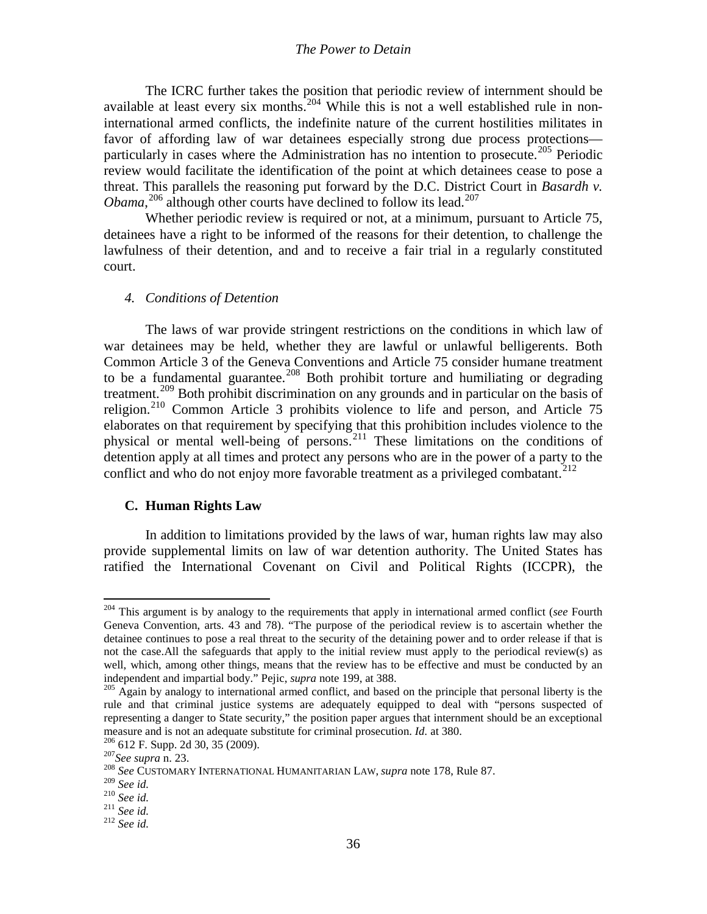The ICRC further takes the position that periodic review of internment should be available at least every six months.<sup>[204](#page-34-8)</sup> While this is not a well established rule in noninternational armed conflicts, the indefinite nature of the current hostilities militates in favor of affording law of war detainees especially strong due process protections particularly in cases where the Administration has no intention to prosecute. [205](#page-35-0) Periodic review would facilitate the identification of the point at which detainees cease to pose a threat. This parallels the reasoning put forward by the D.C. District Court in *Basardh v.*  Obama,<sup>[206](#page-35-1)</sup> although other courts have declined to follow its lead.<sup>[207](#page-35-2)</sup>

Whether periodic review is required or not, at a minimum, pursuant to Article 75, detainees have a right to be informed of the reasons for their detention, to challenge the lawfulness of their detention, and and to receive a fair trial in a regularly constituted court.

### *4. Conditions of Detention*

The laws of war provide stringent restrictions on the conditions in which law of war detainees may be held, whether they are lawful or unlawful belligerents. Both Common Article 3 of the Geneva Conventions and Article 75 consider humane treatment to be a fundamental guarantee.<sup>[208](#page-35-3)</sup> Both prohibit torture and humiliating or degrading treatment.[209](#page-35-4) Both prohibit discrimination on any grounds and in particular on the basis of religion.[210](#page-35-5) Common Article 3 prohibits violence to life and person, and Article 75 elaborates on that requirement by specifying that this prohibition includes violence to the physical or mental well-being of persons.[211](#page-35-6) These limitations on the conditions of detention apply at all times and protect any persons who are in the power of a party to the conflict and who do not enjoy more favorable treatment as a privileged combatant.<sup>212</sup>

### **C. Human Rights Law**

<span id="page-35-8"></span>In addition to limitations provided by the laws of war, human rights law may also provide supplemental limits on law of war detention authority. The United States has ratified the International Covenant on Civil and Political Rights (ICCPR), the

<sup>204</sup> This argument is by analogy to the requirements that apply in international armed conflict (*see* Fourth Geneva Convention, arts. 43 and 78). "The purpose of the periodical review is to ascertain whether the detainee continues to pose a real threat to the security of the detaining power and to order release if that is not the case.All the safeguards that apply to the initial review must apply to the periodical review(s) as well, which, among other things, means that the review has to be effective and must be conducted by an independent and impartial body." Pejic, *supra* note [199,](#page-34-0) at 388.<br><sup>205</sup> Again by analogy to international armed conflict, and based on the principle that personal liberty is the

<span id="page-35-0"></span>rule and that criminal justice systems are adequately equipped to deal with "persons suspected of representing a danger to State security," the position paper argues that internment should be an exceptional measure and is not an adequate substitute for criminal prosecution. *Id.* at 380.

<span id="page-35-2"></span><span id="page-35-1"></span>

<sup>&</sup>lt;sup>206</sup> 612 F. Supp. 2d 30, 35 (2009).<br><sup>207</sup>See supra n. 23.<br><sup>208</sup>See CUSTOMARY INTERNATIONAL HUMANITARIAN LAW, *supra* note [178,](#page-31-6) Rule 87.<br><sup>208</sup> See id.

<span id="page-35-6"></span><span id="page-35-5"></span><span id="page-35-4"></span><span id="page-35-3"></span><sup>209</sup> *See id.* 210 *See id.* 211 *See id.* 212 *See id.*

<span id="page-35-7"></span>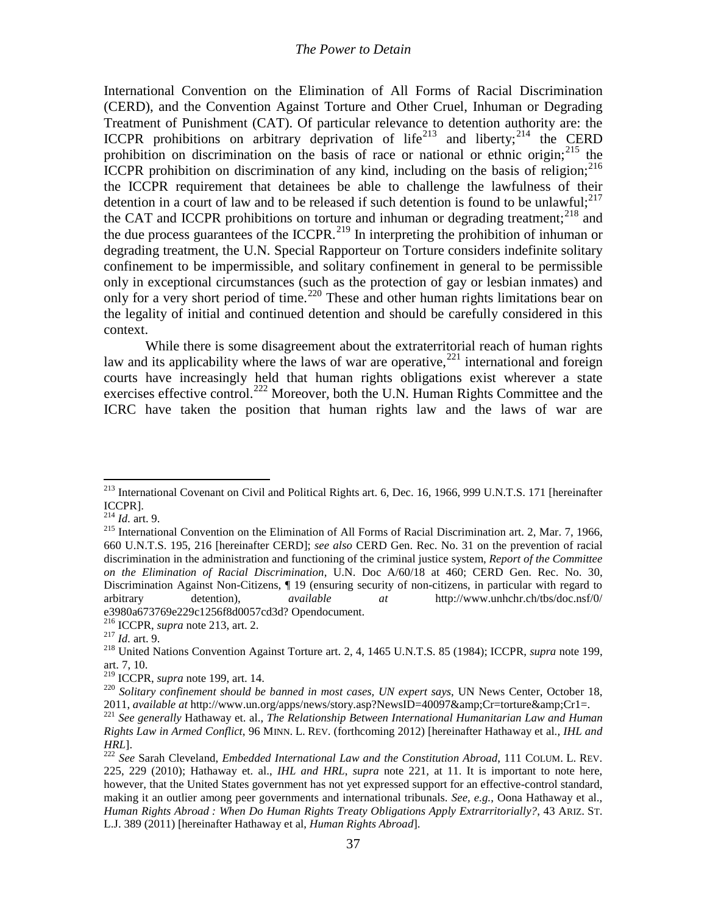<span id="page-36-0"></span>International Convention on the Elimination of All Forms of Racial Discrimination (CERD), and the Convention Against Torture and Other Cruel, Inhuman or Degrading Treatment of Punishment (CAT). Of particular relevance to detention authority are: the ICCPR prohibitions on arbitrary deprivation of life<sup>[213](#page-35-8)</sup> and liberty;<sup>[214](#page-36-2)</sup> the CERD prohibition on discrimination on the basis of race or national or ethnic origin;  $2^{15}$  the ICCPR prohibition on discrimination of any kind, including on the basis of religion; $^{216}$  $^{216}$  $^{216}$ the ICCPR requirement that detainees be able to challenge the lawfulness of their detention in a court of law and to be released if such detention is found to be unlawful; $^{217}$  $^{217}$  $^{217}$ the CAT and ICCPR prohibitions on torture and inhuman or degrading treatment; $^{218}$  $^{218}$  $^{218}$  and the due process guarantees of the ICCPR.<sup>[219](#page-36-7)</sup> In interpreting the prohibition of inhuman or degrading treatment, the U.N. Special Rapporteur on Torture considers indefinite solitary confinement to be impermissible, and solitary confinement in general to be permissible only in exceptional circumstances (such as the protection of gay or lesbian inmates) and only for a very short period of time.<sup>[220](#page-36-8)</sup> These and other human rights limitations bear on the legality of initial and continued detention and should be carefully considered in this context.

<span id="page-36-1"></span>While there is some disagreement about the extraterritorial reach of human rights law and its applicability where the laws of war are operative,  $221$  international and foreign courts have increasingly held that human rights obligations exist wherever a state exercises effective control.<sup>[222](#page-36-10)</sup> Moreover, both the U.N. Human Rights Committee and the ICRC have taken the position that human rights law and the laws of war are

<sup>&</sup>lt;sup>213</sup> International Covenant on Civil and Political Rights art. 6, Dec. 16, 1966, 999 U.N.T.S. 171 [hereinafter ICCPR].<br> $^{214}$  *Id.* art. 9.

<span id="page-36-3"></span><span id="page-36-2"></span><sup>&</sup>lt;sup>215</sup> International Convention on the Elimination of All Forms of Racial Discrimination art. 2, Mar. 7, 1966, 660 U.N.T.S. 195, 216 [hereinafter CERD]; *see also* CERD Gen. Rec. No. 31 on the prevention of racial discrimination in the administration and functioning of the criminal justice system, *Report of the Committee on the Elimination of Racial Discrimination*, U.N. Doc A/60/18 at 460; CERD Gen. Rec. No. 30, Discrimination Against Non-Citizens, ¶ 19 (ensuring security of non-citizens, in particular with regard to arbitrary detention), *available at* http://www.unhchr.ch/tbs/doc.nsf/0/

<span id="page-36-6"></span><span id="page-36-5"></span>

<span id="page-36-4"></span><sup>&</sup>lt;sup>216</sup> ICCPR, *supra* note [213,](#page-36-0) art. 2.<br><sup>217</sup> *Id.* art. 9. 2<sup>17</sup> *Id.* art. 9. 218 United Nations Convention Against Torture art. 2, 4, 1465 U.N.T.S. 85 (1984); ICCPR, *supra* note 199, art. 7, 10.<br><sup>219</sup> ICCPR, *supra* note 199, art. 14.

<span id="page-36-7"></span>

<span id="page-36-8"></span><sup>&</sup>lt;sup>220</sup> Solitary confinement should be banned in most cases, UN expert says, UN News Center, October 18, 2011, *available at* http://www.un.org/apps/news/story.asp?NewsID=40097&Cr=torture&Cr1=.<br><sup>221</sup> *See generally Hathaway et. al., The Relationship Between International Humanitarian Law and Human* 

<span id="page-36-11"></span><span id="page-36-9"></span>*Rights Law in Armed Conflict*, 96 MINN. L. REV. (forthcoming 2012) [hereinafter Hathaway et al., *IHL and* 

<span id="page-36-10"></span><sup>&</sup>lt;sup>222</sup> See Sarah Cleveland, *Embedded International Law and the Constitution Abroad*, 111 COLUM. L. REV. 225, 229 (2010); Hathaway et. al., *IHL and HRL*, *supra* note [221](#page-36-1)*,* at 11. It is important to note here, however, that the United States government has not yet expressed support for an effective-control standard, making it an outlier among peer governments and international tribunals. *See, e.g.*, Oona Hathaway et al., *Human Rights Abroad : When Do Human Rights Treaty Obligations Apply Extrarritorially?*, 43 ARIZ. ST. L.J. 389 (2011) [hereinafter Hathaway et al, *Human Rights Abroad*].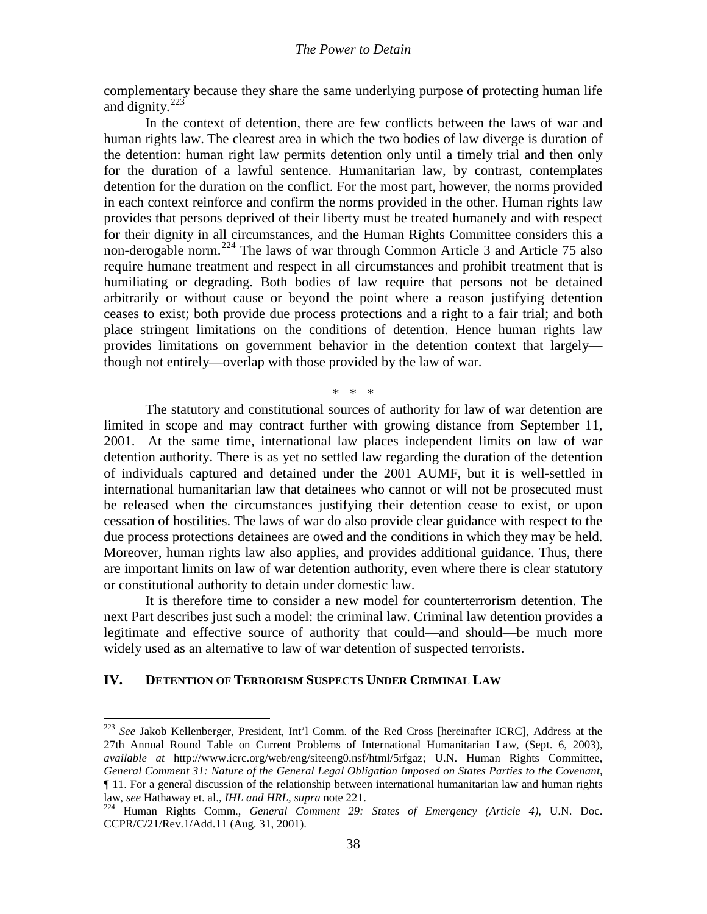complementary because they share the same underlying purpose of protecting human life and dignity. $223$ 

In the context of detention, there are few conflicts between the laws of war and human rights law. The clearest area in which the two bodies of law diverge is duration of the detention: human right law permits detention only until a timely trial and then only for the duration of a lawful sentence. Humanitarian law, by contrast, contemplates detention for the duration on the conflict. For the most part, however, the norms provided in each context reinforce and confirm the norms provided in the other. Human rights law provides that persons deprived of their liberty must be treated humanely and with respect for their dignity in all circumstances, and the Human Rights Committee considers this a non-derogable norm.[224](#page-37-0) The laws of war through Common Article 3 and Article 75 also require humane treatment and respect in all circumstances and prohibit treatment that is humiliating or degrading. Both bodies of law require that persons not be detained arbitrarily or without cause or beyond the point where a reason justifying detention ceases to exist; both provide due process protections and a right to a fair trial; and both place stringent limitations on the conditions of detention. Hence human rights law provides limitations on government behavior in the detention context that largely though not entirely—overlap with those provided by the law of war.

<span id="page-37-1"></span>The statutory and constitutional sources of authority for law of war detention are limited in scope and may contract further with growing distance from September 11, 2001. At the same time, international law places independent limits on law of war detention authority. There is as yet no settled law regarding the duration of the detention of individuals captured and detained under the 2001 AUMF, but it is well-settled in international humanitarian law that detainees who cannot or will not be prosecuted must be released when the circumstances justifying their detention cease to exist, or upon cessation of hostilities. The laws of war do also provide clear guidance with respect to the due process protections detainees are owed and the conditions in which they may be held. Moreover, human rights law also applies, and provides additional guidance. Thus, there are important limits on law of war detention authority, even where there is clear statutory or constitutional authority to detain under domestic law.

\* \* \*

It is therefore time to consider a new model for counterterrorism detention. The next Part describes just such a model: the criminal law. Criminal law detention provides a legitimate and effective source of authority that could—and should—be much more widely used as an alternative to law of war detention of suspected terrorists.

### **IV. DETENTION OF TERRORISM SUSPECTS UNDER CRIMINAL LAW**

<sup>223</sup> *See* Jakob Kellenberger, President, Int'l Comm. of the Red Cross [hereinafter ICRC], Address at the 27th Annual Round Table on Current Problems of International Humanitarian Law, (Sept. 6, 2003), *available at* http://www.icrc.org/web/eng/siteeng0.nsf/html/5rfgaz; U.N. Human Rights Committee, *General Comment 31: Nature of the General Legal Obligation Imposed on States Parties to the Covenant*, ¶ 11. For a general discussion of the relationship between international humanitarian law and human rights

<span id="page-37-0"></span>law, *see* Hathaway et. al., *IHL and HRL, supra* not[e 221.](#page-36-1) <sup>224</sup> Human Rights Comm., *General Comment 29: States of Emergency (Article 4)*, U.N. Doc. CCPR/C/21/Rev.1/Add.11 (Aug. 31, 2001).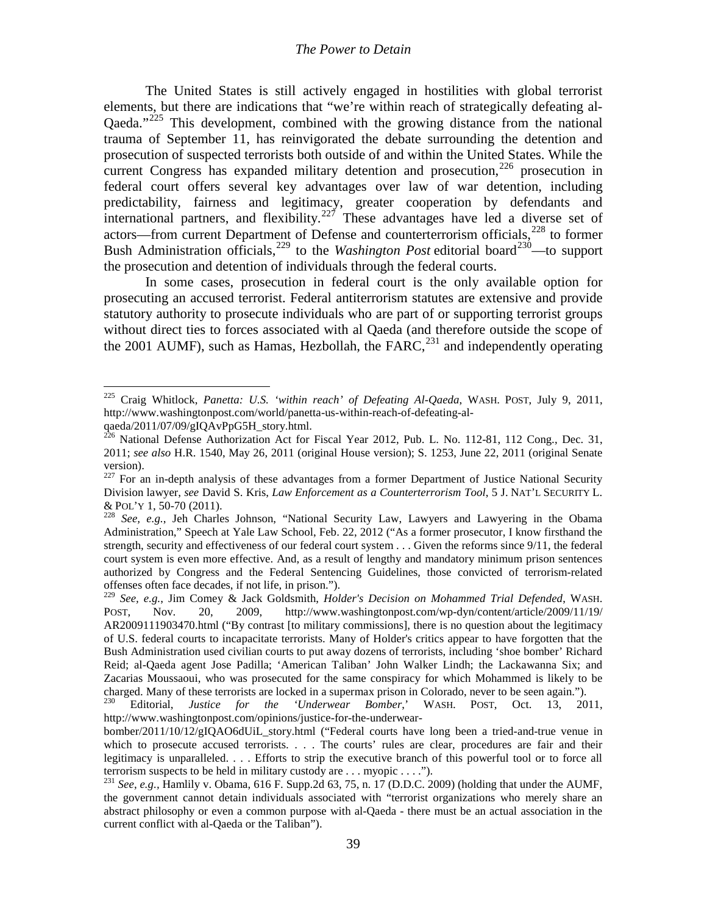The United States is still actively engaged in hostilities with global terrorist elements, but there are indications that "we're within reach of strategically defeating al-Qaeda."<sup>[225](#page-37-1)</sup> This development, combined with the growing distance from the national trauma of September 11, has reinvigorated the debate surrounding the detention and prosecution of suspected terrorists both outside of and within the United States. While the current Congress has expanded military detention and prosecution,<sup>[226](#page-38-0)</sup> prosecution in federal court offers several key advantages over law of war detention, including predictability, fairness and legitimacy, greater cooperation by defendants and international partners, and flexibility.<sup>[227](#page-38-1)</sup> These advantages have led a diverse set of actors—from current Department of Defense and counterterrorism officials,<sup>[228](#page-38-2)</sup> to former Bush Administration officials,<sup>[229](#page-38-3)</sup> to the *Washington Post* editorial board<sup>230</sup>—to support the prosecution and detention of individuals through the federal courts.

<span id="page-38-8"></span><span id="page-38-7"></span>In some cases, prosecution in federal court is the only available option for prosecuting an accused terrorist. Federal antiterrorism statutes are extensive and provide statutory authority to prosecute individuals who are part of or supporting terrorist groups without direct ties to forces associated with al Qaeda (and therefore outside the scope of the 2001 AUMF), such as Hamas, Hezbollah, the FARC,  $^{231}$  $^{231}$  $^{231}$  and independently operating

<sup>225</sup> Craig Whitlock, *Panetta: U.S. 'within reach' of Defeating Al-Qaeda*, WASH. POST, July 9, 2011, http://www.washingtonpost.com/world/panetta-us-within-reach-of-defeating-al-

qaeda/2011/07/09/gIQAvPpG5H\_story.html.

<span id="page-38-0"></span> $^{226}$  National Defense Authorization Act for Fiscal Year 2012, Pub. L. No. 112-81, 112 Cong., Dec. 31, 2011; *see also* H.R. 1540, May 26, 2011 (original House version); S. 1253, June 22, 2011 (original Senate

<span id="page-38-1"></span>version).<br><sup>227</sup> For an in-depth analysis of these advantages from a former Department of Justice National Security Division lawyer, *see* David S. Kris, *Law Enforcement as a Counterterrorism Tool*, 5 J. NAT'L SECURITY L. & POL'Y 1, 50-70 (2011). <sup>228</sup> *See, e.g.*, Jeh Charles Johnson, "National Security Law, Lawyers and Lawyering in the Obama

<span id="page-38-2"></span>Administration," Speech at Yale Law School, Feb. 22, 2012 ("As a former prosecutor, I know firsthand the strength, security and effectiveness of our federal court system . . . Given the reforms since 9/11, the federal court system is even more effective. And, as a result of lengthy and mandatory minimum prison sentences authorized by Congress and the Federal Sentencing Guidelines, those convicted of terrorism-related offenses often face decades, if not life, in prison.").

<span id="page-38-3"></span><sup>&</sup>lt;sup>229</sup> *See, e.g.*, Jim Comey & Jack Goldsmith, *Holder's Decision on Mohammed Trial Defended*, WASH.<br>POST, Nov. 20, 2009, http://www.washingtonpost.com/wp-dyn/content/article/2009/11/19/ POST, Nov. 20, 2009, http://www.washingtonpost.com/wp-dyn/content/article/2009/11/19/ AR2009111903470.html ("By contrast [to military commissions], there is no question about the legitimacy of U.S. federal courts to incapacitate terrorists. Many of Holder's critics appear to have forgotten that the Bush Administration used civilian courts to put away dozens of terrorists, including 'shoe bomber' Richard Reid; al-Qaeda agent Jose Padilla; 'American Taliban' John Walker Lindh; the Lackawanna Six; and Zacarias Moussaoui, who was prosecuted for the same conspiracy for which Mohammed is likely to be charged. Many of these terrorists are locked in a supermax prison in Colorado, never to be seen again.").<br><sup>230</sup> Editorial Luting for the *Hadamuar* Bombar,' WASH BOST Oct 12, 20

<span id="page-38-6"></span><span id="page-38-4"></span><sup>230</sup> Editorial, *Justice for the 'Underwear Bomber*,' WASH. POST, Oct. 13, 2011, http://www.washingtonpost.com/opinions/justice-for-the-underwear-

bomber/2011/10/12/gIQAO6dUiL\_story.html ("Federal courts have long been a tried-and-true venue in which to prosecute accused terrorists. . . . The courts' rules are clear, procedures are fair and their legitimacy is unparalleled. . . . Efforts to strip the executive branch of this powerful tool or to force all terrorism suspects to be held in military custody are . . . myopic . . . .").

<span id="page-38-5"></span><sup>&</sup>lt;sup>231</sup> *See*, *e.g.*, Hamlily v. Obama, 616 F. Supp.2d 63, 75, n. 17 (D.D.C. 2009) (holding that under the AUMF, the government cannot detain individuals associated with "terrorist organizations who merely share an abstract philosophy or even a common purpose with al-Qaeda - there must be an actual association in the current conflict with al-Qaeda or the Taliban").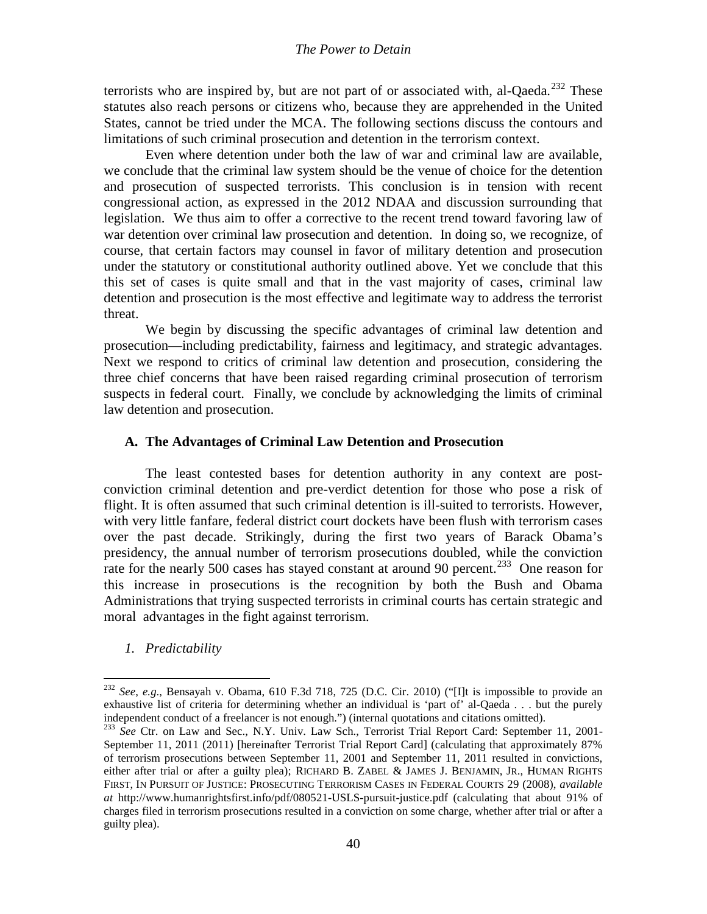terrorists who are inspired by, but are not part of or associated with, al-Qaeda.<sup>[232](#page-38-6)</sup> These statutes also reach persons or citizens who, because they are apprehended in the United States, cannot be tried under the MCA. The following sections discuss the contours and limitations of such criminal prosecution and detention in the terrorism context.

Even where detention under both the law of war and criminal law are available, we conclude that the criminal law system should be the venue of choice for the detention and prosecution of suspected terrorists. This conclusion is in tension with recent congressional action, as expressed in the 2012 NDAA and discussion surrounding that legislation. We thus aim to offer a corrective to the recent trend toward favoring law of war detention over criminal law prosecution and detention. In doing so, we recognize, of course, that certain factors may counsel in favor of military detention and prosecution under the statutory or constitutional authority outlined above. Yet we conclude that this this set of cases is quite small and that in the vast majority of cases, criminal law detention and prosecution is the most effective and legitimate way to address the terrorist threat.

We begin by discussing the specific advantages of criminal law detention and prosecution—including predictability, fairness and legitimacy, and strategic advantages. Next we respond to critics of criminal law detention and prosecution, considering the three chief concerns that have been raised regarding criminal prosecution of terrorism suspects in federal court. Finally, we conclude by acknowledging the limits of criminal law detention and prosecution.

## **A. The Advantages of Criminal Law Detention and Prosecution**

<span id="page-39-1"></span>The least contested bases for detention authority in any context are postconviction criminal detention and pre-verdict detention for those who pose a risk of flight. It is often assumed that such criminal detention is ill-suited to terrorists. However, with very little fanfare, federal district court dockets have been flush with terrorism cases over the past decade. Strikingly, during the first two years of Barack Obama's presidency, the annual number of terrorism prosecutions doubled, while the conviction rate for the nearly 500 cases has stayed constant at around 90 percent.<sup>[233](#page-39-0)</sup> One reason for this increase in prosecutions is the recognition by both the Bush and Obama Administrations that trying suspected terrorists in criminal courts has certain strategic and moral advantages in the fight against terrorism.

<span id="page-39-2"></span>*1. Predictability*

<sup>232</sup> *See*, *e.g*., Bensayah v. Obama, 610 F.3d 718, 725 (D.C. Cir. 2010) ("[I]t is impossible to provide an exhaustive list of criteria for determining whether an individual is 'part of' al-Qaeda . . . but the purely independent conduct of a freelancer is not enough.") (internal quotations and citations omitted).

<span id="page-39-0"></span><sup>233</sup> *See* Ctr. on Law and Sec., N.Y. Univ. Law Sch., Terrorist Trial Report Card: September 11, 2001- September 11, 2011 (2011) [hereinafter Terrorist Trial Report Card] (calculating that approximately 87% of terrorism prosecutions between September 11, 2001 and September 11, 2011 resulted in convictions, either after trial or after a guilty plea); RICHARD B. ZABEL & JAMES J. BENJAMIN, JR., HUMAN RIGHTS FIRST, IN PURSUIT OF JUSTICE: PROSECUTING TERRORISM CASES IN FEDERAL COURTS 29 (2008), *available at* http://www.humanrightsfirst.info/pdf/080521-USLS-pursuit-justice.pdf (calculating that about 91% of charges filed in terrorism prosecutions resulted in a conviction on some charge, whether after trial or after a guilty plea).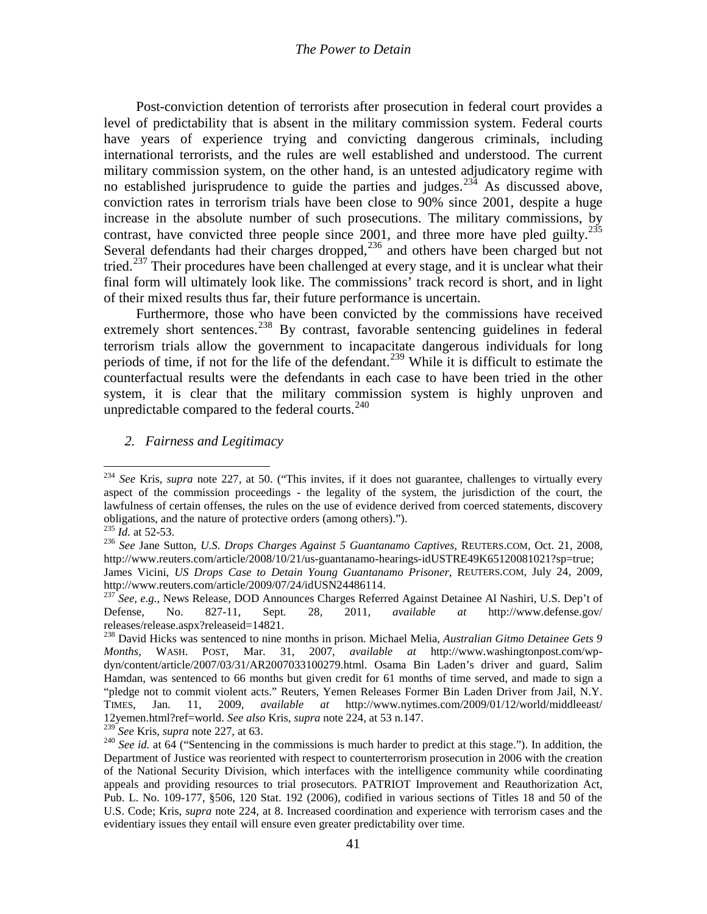Post-conviction detention of terrorists after prosecution in federal court provides a level of predictability that is absent in the military commission system. Federal courts have years of experience trying and convicting dangerous criminals, including international terrorists, and the rules are well established and understood. The current military commission system, on the other hand, is an untested adjudicatory regime with no established jurisprudence to guide the parties and judges.<sup>[234](#page-39-1)</sup> As discussed above, conviction rates in terrorism trials have been close to 90% since 2001, despite a huge increase in the absolute number of such prosecutions. The military commissions, by contrast, have convicted three people since  $2001$ , and three more have pled guilty.<sup>[235](#page-40-0)</sup> Several defendants had their charges dropped, $^{236}$  $^{236}$  $^{236}$  and others have been charged but not tried.<sup>[237](#page-40-2)</sup> Their procedures have been challenged at every stage, and it is unclear what their final form will ultimately look like. The commissions' track record is short, and in light of their mixed results thus far, their future performance is uncertain.

Furthermore, those who have been convicted by the commissions have received extremely short sentences.<sup>[238](#page-40-3)</sup> By contrast, favorable sentencing guidelines in federal terrorism trials allow the government to incapacitate dangerous individuals for long periods of time, if not for the life of the defendant.<sup>[239](#page-40-4)</sup> While it is difficult to estimate the counterfactual results were the defendants in each case to have been tried in the other system, it is clear that the military commission system is highly unproven and unpredictable compared to the federal courts.<sup>[240](#page-40-5)</sup>

*2. Fairness and Legitimacy*

<sup>234</sup> *See* Kris, *supra* note [227,](#page-38-7) at 50. ("This invites, if it does not guarantee, challenges to virtually every aspect of the commission proceedings - the legality of the system, the jurisdiction of the court, the lawfulness of certain offenses, the rules on the use of evidence derived from coerced statements, discovery obligations, and the nature of protective orders (among others).").

<span id="page-40-6"></span><span id="page-40-1"></span><span id="page-40-0"></span><sup>&</sup>lt;sup>235</sup> *Id.* at 52-53.<br><sup>236</sup> *See* Jane Sutton, *U.S. Drops Charges Against 5 Guantanamo Captives*, REUTERS.COM, Oct. 21, 2008, http://www.reuters.com/article/2008/10/21/us-guantanamo-hearings-idUSTRE49K65120081021?sp=true; James Vicini, *US Drops Case to Detain Young Guantanamo Prisoner*, REUTERS.COM, July 24, 2009, http://www.reuters.com/article/2009/07/24/idUSN24486114.<br><sup>237</sup> *See, e.g.*, News Release, DOD Announces Charges Referred Against Detainee Al Nashiri, U.S. Dep't of

<span id="page-40-2"></span>Defense, No. 827-11, Sept. 28, 2011, *available at* http://www.defense.gov/

<span id="page-40-3"></span><sup>&</sup>lt;sup>238</sup> David Hicks was sentenced to nine months in prison. Michael Melia, *Australian Gitmo Detainee Gets 9 Months*, WASH. POST, Mar. 31, 2007, *available at* http://www.washingtonpost.com/wpdyn/content/article/2007/03/31/AR2007033100279.html. Osama Bin Laden's driver and guard, Salim Hamdan, was sentenced to 66 months but given credit for 61 months of time served, and made to sign a "pledge not to commit violent acts." Reuters, Yemen Releases Former Bin Laden Driver from Jail, N.Y. TIMES, Jan. 11, 2009, *available at* http://www.nytimes.com/2009/01/12/world/middleeast/ 12yemen.html?ref=world. *See also* Kris, *supra* note 224, at 53 n.147.

<span id="page-40-5"></span><span id="page-40-4"></span><sup>&</sup>lt;sup>240</sup> See id. at 64 ("Sentencing in the commissions is much harder to predict at this stage."). In addition, the Department of Justice was reoriented with respect to counterterrorism prosecution in 2006 with the creation of the National Security Division, which interfaces with the intelligence community while coordinating appeals and providing resources to trial prosecutors. PATRIOT Improvement and Reauthorization Act, Pub. L. No. 109-177, §506, 120 Stat. 192 (2006), codified in various sections of Titles 18 and 50 of the U.S. Code; Kris, *supra* note 224, at 8. Increased coordination and experience with terrorism cases and the evidentiary issues they entail will ensure even greater predictability over time.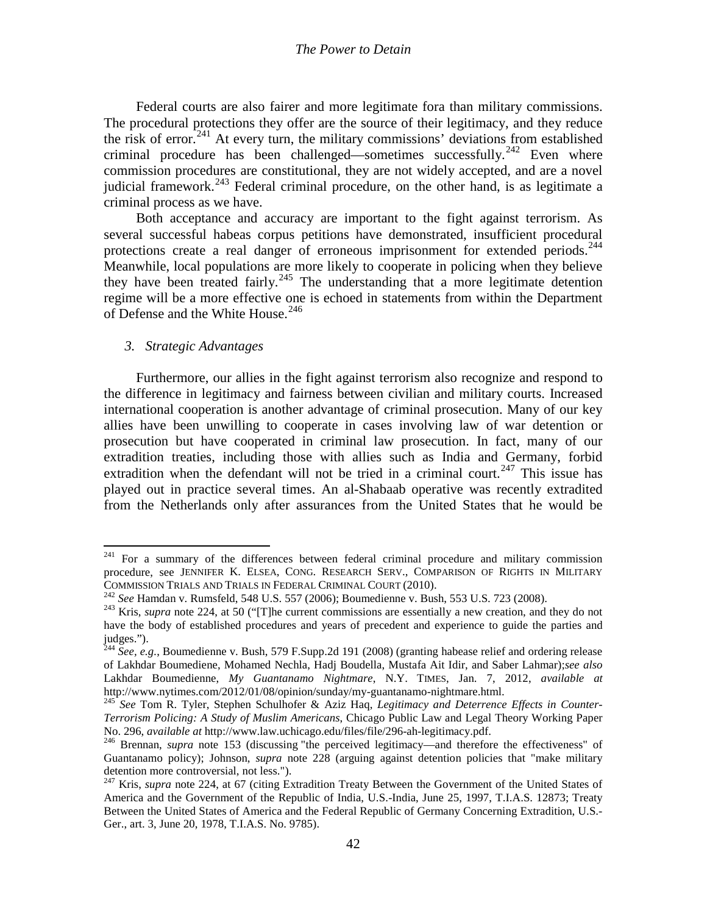Federal courts are also fairer and more legitimate fora than military commissions. The procedural protections they offer are the source of their legitimacy, and they reduce the risk of error.<sup>[241](#page-40-6)</sup> At every turn, the military commissions' deviations from established criminal procedure has been challenged—sometimes successfully.<sup>[242](#page-41-0)</sup> Even where commission procedures are constitutional, they are not widely accepted, and are a novel judicial framework.<sup>[243](#page-41-1)</sup> Federal criminal procedure, on the other hand, is as legitimate a criminal process as we have.

Both acceptance and accuracy are important to the fight against terrorism. As several successful habeas corpus petitions have demonstrated, insufficient procedural protections create a real danger of erroneous imprisonment for extended periods.<sup>[244](#page-41-2)</sup> Meanwhile, local populations are more likely to cooperate in policing when they believe they have been treated fairly.<sup>[245](#page-41-3)</sup> The understanding that a more legitimate detention regime will be a more effective one is echoed in statements from within the Department of Defense and the White House.<sup>[246](#page-41-4)</sup>

### *3. Strategic Advantages*

<span id="page-41-6"></span>Furthermore, our allies in the fight against terrorism also recognize and respond to the difference in legitimacy and fairness between civilian and military courts. Increased international cooperation is another advantage of criminal prosecution. Many of our key allies have been unwilling to cooperate in cases involving law of war detention or prosecution but have cooperated in criminal law prosecution. In fact, many of our extradition treaties, including those with allies such as India and Germany, forbid extradition when the defendant will not be tried in a criminal court.<sup>[247](#page-41-5)</sup> This issue has played out in practice several times. An al-Shabaab operative was recently extradited from the Netherlands only after assurances from the United States that he would be

 $241$  For a summary of the differences between federal criminal procedure and military commission procedure, see JENNIFER K. ELSEA, CONG. RESEARCH SERV., COMPARISON OF RIGHTS IN MILITARY COMMISSION TRIALS AND TRIALS IN FEDERAL CRIMINAL COURT (2010).<br><sup>242</sup> See Hamdan v. Rumsfeld, 548 U.S. 557 (2006); Boumedienne v. Bush, 553 U.S. 723 (2008).<br><sup>243</sup> Kris, *supra* note 224, at 50 ("[T]he current commissions ar

<span id="page-41-0"></span>

<span id="page-41-1"></span>have the body of established procedures and years of precedent and experience to guide the parties and judges.").

<span id="page-41-2"></span><sup>244</sup> *See, e.g.*, Boumedienne v. Bush, 579 F.Supp.2d 191 (2008) (granting habease relief and ordering release of Lakhdar Boumediene, Mohamed Nechla, Hadj Boudella, Mustafa Ait Idir, and Saber Lahmar);*see also* Lakhdar Boumedienne, *My Guantanamo Nightmare*, N.Y. TIMES, Jan. 7, 2012, *available at*

<span id="page-41-3"></span><sup>&</sup>lt;sup>245</sup> See Tom R. Tyler, Stephen Schulhofer & Aziz Haq, *Legitimacy and Deterrence Effects in Counter-Terrorism Policing: A Study of Muslim Americans*, Chicago Public Law and Legal Theory Working Paper

<span id="page-41-4"></span><sup>&</sup>lt;sup>246</sup> Brennan, *supra* note [153](#page-27-3) (discussing "the perceived legitimacy—and therefore the effectiveness" of Guantanamo policy); Johnson, *supra* note [228](#page-38-8) (arguing against detention policies that "make military detention more controversial, not less.").

<span id="page-41-5"></span><sup>&</sup>lt;sup>247</sup> Kris, *supra* note 224, at 67 (citing Extradition Treaty Between the Government of the United States of America and the Government of the Republic of India, U.S.-India, June 25, 1997, T.I.A.S. 12873; Treaty Between the United States of America and the Federal Republic of Germany Concerning Extradition, U.S.- Ger., art. 3, June 20, 1978, T.I.A.S. No. 9785).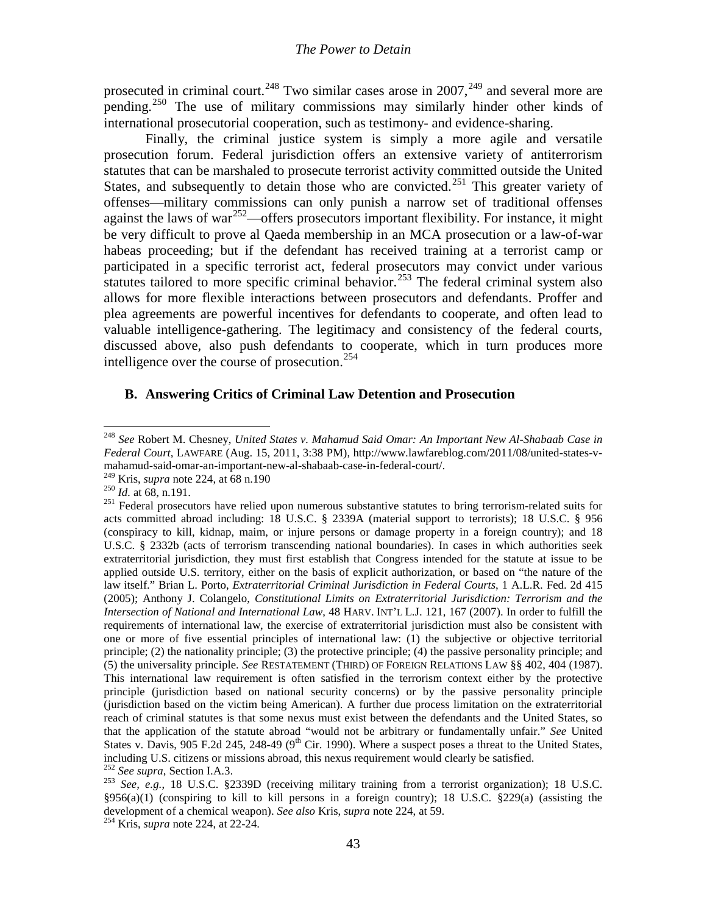prosecuted in criminal court.<sup>[248](#page-41-6)</sup> Two similar cases arose in  $2007$ ,<sup>[249](#page-42-0)</sup> and several more are pending.[250](#page-42-1) The use of military commissions may similarly hinder other kinds of international prosecutorial cooperation, such as testimony- and evidence-sharing.

Finally, the criminal justice system is simply a more agile and versatile prosecution forum. Federal jurisdiction offers an extensive variety of antiterrorism statutes that can be marshaled to prosecute terrorist activity committed outside the United States, and subsequently to detain those who are convicted.<sup>[251](#page-42-2)</sup> This greater variety of offenses—military commissions can only punish a narrow set of traditional offenses against the laws of war<sup>[252](#page-42-3)</sup>—offers prosecutors important flexibility. For instance, it might be very difficult to prove al Qaeda membership in an MCA prosecution or a law-of-war habeas proceeding; but if the defendant has received training at a terrorist camp or participated in a specific terrorist act, federal prosecutors may convict under various statutes tailored to more specific criminal behavior.<sup>[253](#page-42-4)</sup> The federal criminal system also allows for more flexible interactions between prosecutors and defendants. Proffer and plea agreements are powerful incentives for defendants to cooperate, and often lead to valuable intelligence-gathering. The legitimacy and consistency of the federal courts, discussed above, also push defendants to cooperate, which in turn produces more intelligence over the course of prosecution.<sup>[254](#page-42-5)</sup>

## **B. Answering Critics of Criminal Law Detention and Prosecution**

<sup>248</sup> *See* Robert M. Chesney, *United States v. Mahamud Said Omar: An Important New Al-Shabaab Case in Federal Court*, LAWFARE (Aug. 15, 2011, 3:38 PM), http://www.lawfareblog.com/2011/08/united-states-v-

<span id="page-42-6"></span><span id="page-42-2"></span><span id="page-42-1"></span>

<span id="page-42-0"></span><sup>&</sup>lt;sup>249</sup> Kris, *supra* note 224, at 68 n.190<br><sup>250</sup> *Id.* at 68, n.191.<br><sup>251</sup> Federal prosecutors have relied upon numerous substantive statutes to bring terrorism-related suits for acts committed abroad including: 18 U.S.C. § 2339A (material support to terrorists); 18 U.S.C. § 956 (conspiracy to kill, kidnap, maim, or injure persons or damage property in a foreign country); and 18 U.S.C. § 2332b (acts of terrorism transcending national boundaries). In cases in which authorities seek extraterritorial jurisdiction, they must first establish that Congress intended for the statute at issue to be applied outside U.S. territory, either on the basis of explicit authorization, or based on "the nature of the law itself." Brian L. Porto, *Extraterritorial Criminal Jurisdiction in Federal Courts*, 1 A.L.R. Fed. 2d 415 (2005); Anthony J. Colangelo, *Constitutional Limits on Extraterritorial Jurisdiction: Terrorism and the Intersection of National and International Law*, 48 HARV. INT'L L.J. 121, 167 (2007). In order to fulfill the requirements of international law, the exercise of extraterritorial jurisdiction must also be consistent with one or more of five essential principles of international law: (1) the subjective or objective territorial principle; (2) the nationality principle; (3) the protective principle; (4) the passive personality principle; and (5) the universality principle. *See* RESTATEMENT (THIRD) OF FOREIGN RELATIONS LAW §§ 402, 404 (1987). This international law requirement is often satisfied in the terrorism context either by the protective principle (jurisdiction based on national security concerns) or by the passive personality principle (jurisdiction based on the victim being American). A further due process limitation on the extraterritorial reach of criminal statutes is that some nexus must exist between the defendants and the United States, so that the application of the statute abroad "would not be arbitrary or fundamentally unfair." *See* United States v. Davis, 905 F.2d 245, 248-49 ( $9<sup>th</sup>$  Cir. 1990). Where a suspect poses a threat to the United States, including U.S. citizens or missions abroad, this nexus requirement would clearly be satisfied. <sup>252</sup> See supra, Section I.A.3.<br><sup>253</sup> See, e.g., 18 U.S.C. §2339D (receiving military training from a terrorist organization); 18 U.S.C.

<span id="page-42-4"></span><span id="page-42-3"></span>

 $\S 956(a)(1)$  (conspiring to kill to kill persons in a foreign country); 18 U.S.C.  $\S 229(a)$  (assisting the development of a chemical weapon). *See also* Kris, *supra* note 224, at 59. <sup>254</sup> Kris, *supra* note 224, at 22-24.

<span id="page-42-5"></span>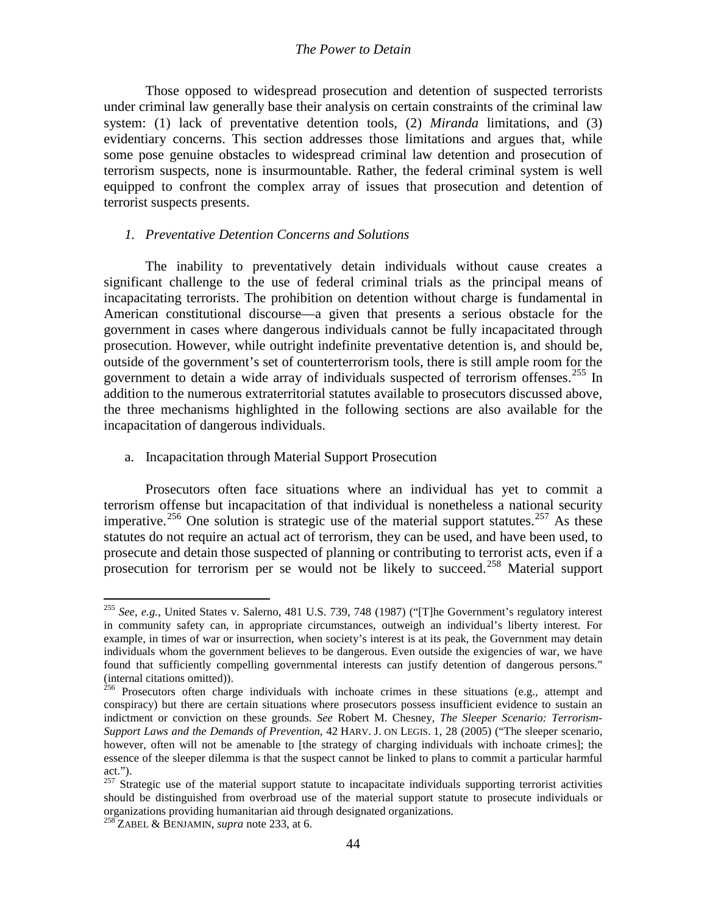Those opposed to widespread prosecution and detention of suspected terrorists under criminal law generally base their analysis on certain constraints of the criminal law system: (1) lack of preventative detention tools, (2) *Miranda* limitations, and (3) evidentiary concerns. This section addresses those limitations and argues that, while some pose genuine obstacles to widespread criminal law detention and prosecution of terrorism suspects, none is insurmountable. Rather, the federal criminal system is well equipped to confront the complex array of issues that prosecution and detention of terrorist suspects presents.

### *1. Preventative Detention Concerns and Solutions*

The inability to preventatively detain individuals without cause creates a significant challenge to the use of federal criminal trials as the principal means of incapacitating terrorists. The prohibition on detention without charge is fundamental in American constitutional discourse—a given that presents a serious obstacle for the government in cases where dangerous individuals cannot be fully incapacitated through prosecution. However, while outright indefinite preventative detention is, and should be, outside of the government's set of counterterrorism tools, there is still ample room for the government to detain a wide array of individuals suspected of terrorism offenses.<sup>[255](#page-42-6)</sup> In addition to the numerous extraterritorial statutes available to prosecutors discussed above, the three mechanisms highlighted in the following sections are also available for the incapacitation of dangerous individuals.

### a. Incapacitation through Material Support Prosecution

<span id="page-43-4"></span><span id="page-43-3"></span>Prosecutors often face situations where an individual has yet to commit a terrorism offense but incapacitation of that individual is nonetheless a national security imperative.<sup>[256](#page-43-0)</sup> One solution is strategic use of the material support statutes.<sup>[257](#page-43-1)</sup> As these statutes do not require an actual act of terrorism, they can be used, and have been used, to prosecute and detain those suspected of planning or contributing to terrorist acts, even if a prosecution for terrorism per se would not be likely to succeed.<sup>[258](#page-43-2)</sup> Material support

<sup>255</sup> *See*, *e.g.*, United States v. Salerno, 481 U.S. 739, 748 (1987) ("[T]he Government's regulatory interest in community safety can, in appropriate circumstances, outweigh an individual's liberty interest. For example, in times of war or insurrection, when society's interest is at its peak, the Government may detain individuals whom the government believes to be dangerous. Even outside the exigencies of war, we have found that sufficiently compelling governmental interests can justify detention of dangerous persons." (internal citations omitted)). <sup>256</sup> Prosecutors often charge individuals with inchoate crimes in these situations (e.g., attempt and

<span id="page-43-0"></span>conspiracy) but there are certain situations where prosecutors possess insufficient evidence to sustain an indictment or conviction on these grounds. *See* Robert M. Chesney, *The Sleeper Scenario: Terrorism-Support Laws and the Demands of Prevention*, 42 HARV. J. ON LEGIS. 1, 28 (2005) ("The sleeper scenario, however, often will not be amenable to [the strategy of charging individuals with inchoate crimes]; the essence of the sleeper dilemma is that the suspect cannot be linked to plans to commit a particular harmful act.").

<span id="page-43-1"></span> $257$  Strategic use of the material support statute to incapacitate individuals supporting terrorist activities should be distinguished from overbroad use of the material support statute to prosecute individuals or organizations providing humanitarian aid through designated organizations.

<span id="page-43-2"></span><sup>258</sup> ZABEL & BENJAMIN, *supra* note [233,](#page-39-2) at 6.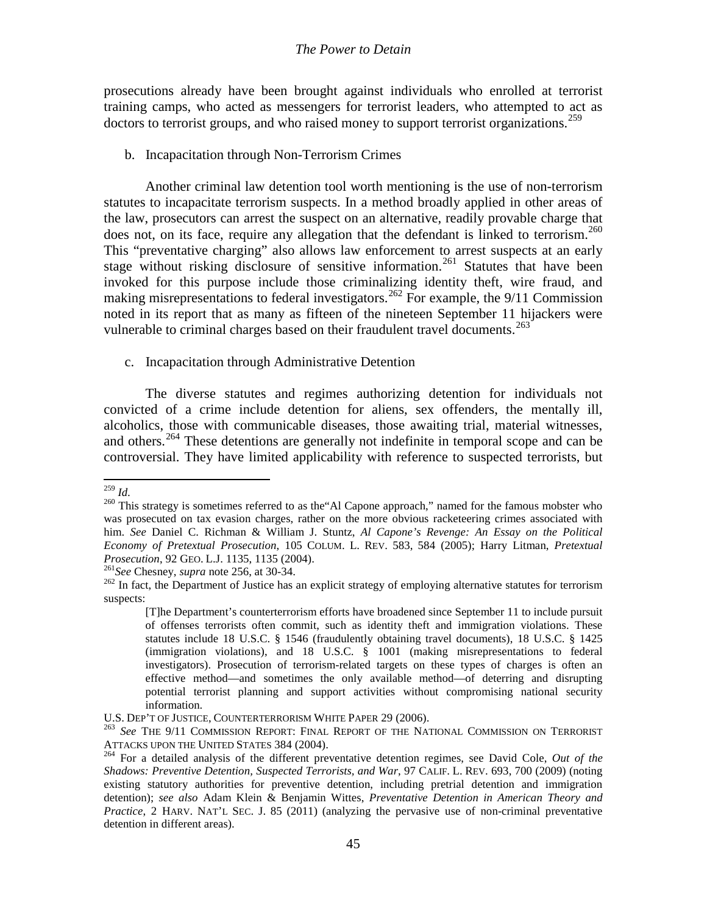prosecutions already have been brought against individuals who enrolled at terrorist training camps, who acted as messengers for terrorist leaders, who attempted to act as doctors to terrorist groups, and who raised money to support terrorist organizations.<sup>[259](#page-43-4)</sup>

### b. Incapacitation through Non-Terrorism Crimes

Another criminal law detention tool worth mentioning is the use of non-terrorism statutes to incapacitate terrorism suspects. In a method broadly applied in other areas of the law, prosecutors can arrest the suspect on an alternative, readily provable charge that does not, on its face, require any allegation that the defendant is linked to terrorism.<sup>[260](#page-44-0)</sup> This "preventative charging" also allows law enforcement to arrest suspects at an early stage without risking disclosure of sensitive information.<sup>[261](#page-44-1)</sup> Statutes that have been invoked for this purpose include those criminalizing identity theft, wire fraud, and making misrepresentations to federal investigators.<sup>[262](#page-44-2)</sup> For example, the  $9/11$  Commission noted in its report that as many as fifteen of the nineteen September 11 hijackers were vulnerable to criminal charges based on their fraudulent travel documents.<sup>[263](#page-44-3)</sup>

c. Incapacitation through Administrative Detention

The diverse statutes and regimes authorizing detention for individuals not convicted of a crime include detention for aliens, sex offenders, the mentally ill, alcoholics, those with communicable diseases, those awaiting trial, material witnesses, and others.<sup>[264](#page-44-4)</sup> These detentions are generally not indefinite in temporal scope and can be controversial. They have limited applicability with reference to suspected terrorists, but

<span id="page-44-0"></span><sup>&</sup>lt;sup>259</sup> *Id.* <sup>260</sup> This strategy is sometimes referred to as the Al Capone approach," named for the famous mobster who was prosecuted on tax evasion charges, rather on the more obvious racketeering crimes associated with him. *See* Daniel C. Richman & William J. Stuntz, *Al Capone's Revenge: An Essay on the Political Economy of Pretextual Prosecution*, 105 COLUM. L. REV. 583, 584 (2005); Harry Litman, *Pretextual* 

<span id="page-44-2"></span><span id="page-44-1"></span><sup>&</sup>lt;sup>261</sup>See Chesney, *supra* note [256,](#page-43-3) at 30-34. <sup>262</sup> In fact, the Department of Justice has an explicit strategy of employing alternative statutes for terrorism suspects:

<span id="page-44-5"></span><sup>[</sup>T]he Department's counterterrorism efforts have broadened since September 11 to include pursuit of offenses terrorists often commit, such as identity theft and immigration violations. These statutes include 18 U.S.C. § 1546 (fraudulently obtaining travel documents), 18 U.S.C. § 1425 (immigration violations), and 18 U.S.C. § 1001 (making misrepresentations to federal investigators). Prosecution of terrorism-related targets on these types of charges is often an effective method—and sometimes the only available method—of deterring and disrupting potential terrorist planning and support activities without compromising national security information.<br>U.S. DEP'T OF JUSTICE, COUNTERTERRORISM WHITE PAPER 29 (2006).

<span id="page-44-3"></span><sup>&</sup>lt;sup>263</sup> See THE 9/11 COMMISSION REPORT: FINAL REPORT OF THE NATIONAL COMMISSION ON TERRORIST ATTACKS UPON THE UNITED STATES 384 (2004).

<span id="page-44-4"></span><sup>&</sup>lt;sup>264</sup> For a detailed analysis of the different preventative detention regimes, see David Cole, *Out of the Shadows: Preventive Detention, Suspected Terrorists, and War*, 97 CALIF. L. REV. 693, 700 (2009) (noting existing statutory authorities for preventive detention, including pretrial detention and immigration detention); *see also* Adam Klein & Benjamin Wittes, *Preventative Detention in American Theory and Practice*, 2 HARV. NAT'L SEC. J. 85 (2011) (analyzing the pervasive use of non-criminal preventative detention in different areas).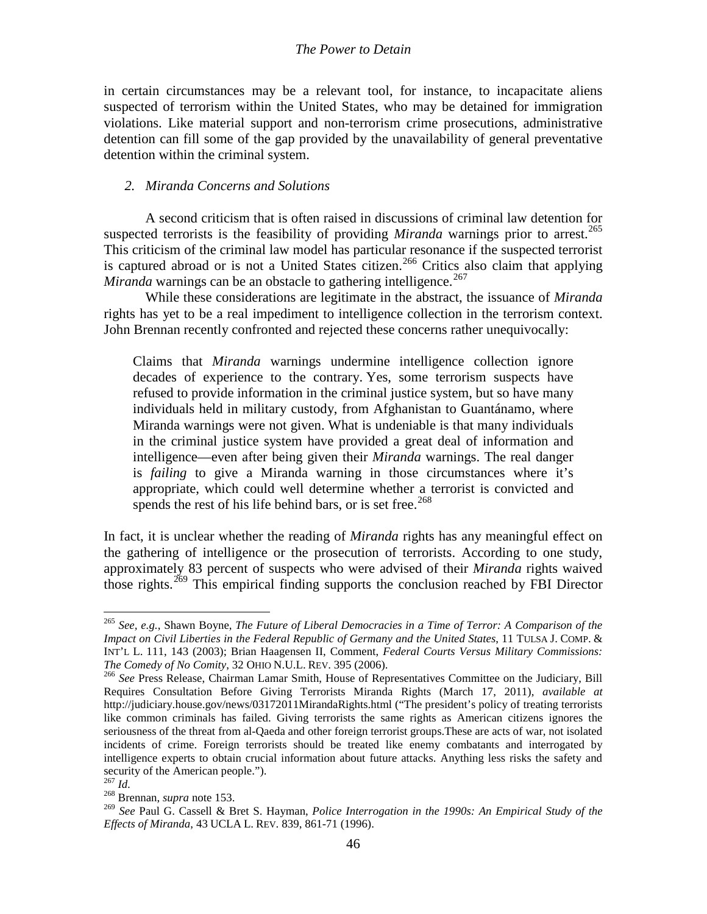in certain circumstances may be a relevant tool, for instance, to incapacitate aliens suspected of terrorism within the United States, who may be detained for immigration violations. Like material support and non-terrorism crime prosecutions, administrative detention can fill some of the gap provided by the unavailability of general preventative detention within the criminal system.

### *2. Miranda Concerns and Solutions*

A second criticism that is often raised in discussions of criminal law detention for suspected terrorists is the feasibility of providing *Miranda* warnings prior to arrest.<sup>[265](#page-44-5)</sup> This criticism of the criminal law model has particular resonance if the suspected terrorist is captured abroad or is not a United States citizen.<sup>[266](#page-45-0)</sup> Critics also claim that applying Miranda warnings can be an obstacle to gathering intelligence.<sup>[267](#page-45-1)</sup>

While these considerations are legitimate in the abstract, the issuance of *Miranda* rights has yet to be a real impediment to intelligence collection in the terrorism context. John Brennan recently confronted and rejected these concerns rather unequivocally:

<span id="page-45-4"></span>Claims that *Miranda* warnings undermine intelligence collection ignore decades of experience to the contrary. Yes, some terrorism suspects have refused to provide information in the criminal justice system, but so have many individuals held in military custody, from Afghanistan to Guantánamo, where Miranda warnings were not given. What is undeniable is that many individuals in the criminal justice system have provided a great deal of information and intelligence—even after being given their *Miranda* warnings. The real danger is *failing* to give a Miranda warning in those circumstances where it's appropriate, which could well determine whether a terrorist is convicted and spends the rest of his life behind bars, or is set free.<sup>[268](#page-45-2)</sup>

In fact, it is unclear whether the reading of *Miranda* rights has any meaningful effect on the gathering of intelligence or the prosecution of terrorists. According to one study, approximately 83 percent of suspects who were advised of their *Miranda* rights waived those rights.<sup>[269](#page-45-3)</sup> This empirical finding supports the conclusion reached by FBI Director

<sup>265</sup> *See, e.g.*, Shawn Boyne, *The Future of Liberal Democracies in a Time of Terror: A Comparison of the Impact on Civil Liberties in the Federal Republic of Germany and the United States*, 11 TULSA J. COMP. & INT'L L. 111, 143 (2003); Brian Haagensen II, Comment, *Federal Courts Versus Military Commissions: The Comedy of No Comity*, 32 OHIO N.U.L. REV. 395 (2006). <sup>266</sup> *See* Press Release, Chairman Lamar Smith, House of Representatives Committee on the Judiciary, Bill

<span id="page-45-0"></span>Requires Consultation Before Giving Terrorists Miranda Rights (March 17, 2011), *available at* http://judiciary.house.gov/news/03172011MirandaRights.html ("The president's policy of treating terrorists like common criminals has failed. Giving terrorists the same rights as American citizens ignores the seriousness of the threat from al-Qaeda and other foreign terrorist groups.These are acts of war, not isolated incidents of crime. Foreign terrorists should be treated like enemy combatants and interrogated by intelligence experts to obtain crucial information about future attacks. Anything less risks the safety and security of the American people.").<br> $^{267}$  *Id.* 

<span id="page-45-3"></span><span id="page-45-2"></span><span id="page-45-1"></span><sup>267</sup> *Id.* <sup>268</sup> Brennan, *supra* note [153.](#page-27-3) <sup>269</sup> *See* Paul G. Cassell & Bret S. Hayman, *Police Interrogation in the 1990s: An Empirical Study of the Effects of Miranda*, 43 UCLA L. REV. 839, 861-71 (1996).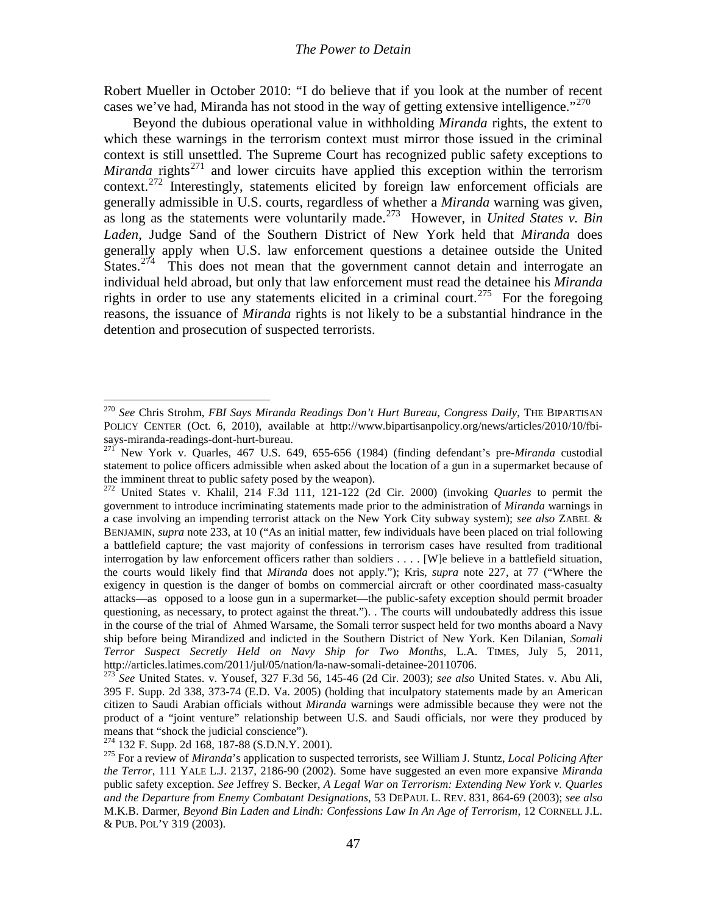Robert Mueller in October 2010: "I do believe that if you look at the number of recent cases we've had, Miranda has not stood in the way of getting extensive intelligence."<sup>[270](#page-45-4)</sup>

Beyond the dubious operational value in withholding *Miranda* rights, the extent to which these warnings in the terrorism context must mirror those issued in the criminal context is still unsettled. The Supreme Court has recognized public safety exceptions to *Miranda* rights<sup>[271](#page-46-0)</sup> and lower circuits have applied this exception within the terrorism context.<sup>[272](#page-46-1)</sup> Interestingly, statements elicited by foreign law enforcement officials are generally admissible in U.S. courts, regardless of whether a *Miranda* warning was given, as long as the statements were voluntarily made.[273](#page-46-2) However, in *United States v. Bin Laden*, Judge Sand of the Southern District of New York held that *Miranda* does generally apply when U.S. law enforcement questions a detainee outside the United States.<sup>[274](#page-46-3)</sup> This does not mean that the government cannot detain and interrogate an individual held abroad, but only that law enforcement must read the detainee his *Miranda* rights in order to use any statements elicited in a criminal court.<sup>[275](#page-46-4)</sup> For the foregoing reasons, the issuance of *Miranda* rights is not likely to be a substantial hindrance in the detention and prosecution of suspected terrorists.

<sup>270</sup> *See* Chris Strohm, *FBI Says Miranda Readings Don't Hurt Bureau, Congress Daily*, THE BIPARTISAN POLICY CENTER (Oct. 6, 2010), available at http://www.bipartisanpolicy.org/news/articles/2010/10/fbisays-miranda-readings-dont-hurt-bureau. 271 New York v. Quarles, 467 U.S. 649, 655-656 (1984) (finding defendant's pre-*Miranda* custodial

<span id="page-46-0"></span>statement to police officers admissible when asked about the location of a gun in a supermarket because of the imminent threat to public safety posed by the weapon).

<span id="page-46-1"></span><sup>272</sup> United States v. Khalil, 214 F.3d 111, 121-122 (2d Cir. 2000) (invoking *Quarles* to permit the government to introduce incriminating statements made prior to the administration of *Miranda* warnings in a case involving an impending terrorist attack on the New York City subway system); *see also* ZABEL & BENJAMIN, *supra* note [233,](#page-39-2) at 10 ("As an initial matter, few individuals have been placed on trial following a battlefield capture; the vast majority of confessions in terrorism cases have resulted from traditional interrogation by law enforcement officers rather than soldiers . . . . [W]e believe in a battlefield situation, the courts would likely find that *Miranda* does not apply."); Kris, *supra* note [227,](#page-38-7) at 77 ("Where the exigency in question is the danger of bombs on commercial aircraft or other coordinated mass-casualty attacks—as opposed to a loose gun in a supermarket—the public-safety exception should permit broader questioning, as necessary, to protect against the threat."). . The courts will undoubatedly address this issue in the course of the trial of Ahmed Warsame, the Somali terror suspect held for two months aboard a Navy ship before being Mirandized and indicted in the Southern District of New York. Ken Dilanian, *Somali Terror Suspect Secretly Held on Navy Ship for Two Months*, L.A. TIMES, July 5, 2011,

<span id="page-46-5"></span><span id="page-46-2"></span><sup>&</sup>lt;sup>273</sup> See United States. v. Yousef, 327 F.3d 56, 145-46 (2d Cir. 2003); *see also* United States. v. Abu Ali, 395 F. Supp. 2d 338, 373-74 (E.D. Va. 2005) (holding that inculpatory statements made by an American citizen to Saudi Arabian officials without *Miranda* warnings were admissible because they were not the product of a "joint venture" relationship between U.S. and Saudi officials, nor were they produced by means that "shock the judicial conscience").<br><sup>274</sup> 132 F. Supp. 2d 168, 187-88 (S.D.N.Y. 2001).

<span id="page-46-3"></span>

<span id="page-46-4"></span><sup>&</sup>lt;sup>275</sup> For a review of *Miranda*'s application to suspected terrorists, see William J. Stuntz, *Local Policing After the Terror*, 111 YALE L.J. 2137, 2186-90 (2002). Some have suggested an even more expansive *Miranda*  public safety exception. *See* Jeffrey S. Becker, *A Legal War on Terrorism: Extending New York v. Quarles and the Departure from Enemy Combatant Designations*, 53 DEPAUL L. REV. 831, 864-69 (2003); *see also* M.K.B. Darmer, *Beyond Bin Laden and Lindh: Confessions Law In An Age of Terrorism,* 12 CORNELL J.L. & PUB. POL'Y 319 (2003).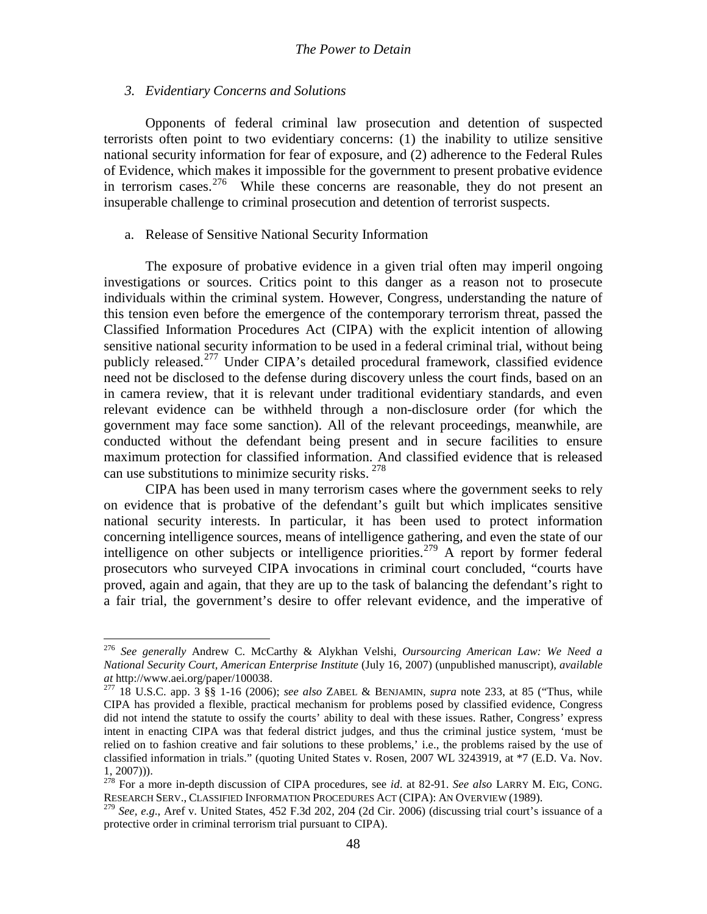### *3. Evidentiary Concerns and Solutions*

Opponents of federal criminal law prosecution and detention of suspected terrorists often point to two evidentiary concerns: (1) the inability to utilize sensitive national security information for fear of exposure, and (2) adherence to the Federal Rules of Evidence, which makes it impossible for the government to present probative evidence in terrorism cases.<sup>[276](#page-46-5)</sup> While these concerns are reasonable, they do not present an insuperable challenge to criminal prosecution and detention of terrorist suspects.

### a. Release of Sensitive National Security Information

The exposure of probative evidence in a given trial often may imperil ongoing investigations or sources. Critics point to this danger as a reason not to prosecute individuals within the criminal system. However, Congress, understanding the nature of this tension even before the emergence of the contemporary terrorism threat, passed the Classified Information Procedures Act (CIPA) with the explicit intention of allowing sensitive national security information to be used in a federal criminal trial, without being publicly released.<sup>[277](#page-47-0)</sup> Under CIPA's detailed procedural framework, classified evidence need not be disclosed to the defense during discovery unless the court finds, based on an in camera review, that it is relevant under traditional evidentiary standards, and even relevant evidence can be withheld through a non-disclosure order (for which the government may face some sanction). All of the relevant proceedings, meanwhile, are conducted without the defendant being present and in secure facilities to ensure maximum protection for classified information. And classified evidence that is released can use substitutions to minimize security risks. <sup>[278](#page-47-1)</sup>

<span id="page-47-3"></span>CIPA has been used in many terrorism cases where the government seeks to rely on evidence that is probative of the defendant's guilt but which implicates sensitive national security interests. In particular, it has been used to protect information concerning intelligence sources, means of intelligence gathering, and even the state of our intelligence on other subjects or intelligence priorities.<sup>[279](#page-47-2)</sup> A report by former federal prosecutors who surveyed CIPA invocations in criminal court concluded, "courts have proved, again and again, that they are up to the task of balancing the defendant's right to a fair trial, the government's desire to offer relevant evidence, and the imperative of

<sup>276</sup> *See generally* Andrew C. McCarthy & Alykhan Velshi, *Oursourcing American Law: We Need a National Security Court, American Enterprise Institute* (July 16, 2007) (unpublished manuscript), *available at* http://www.aei.org/paper/100038. <sup>277</sup> 18 U.S.C. app. 3 §§ 1-16 (2006); *see also* ZABEL & BENJAMIN, *supra* note [233,](#page-39-2) at 85 ("Thus, while

<span id="page-47-0"></span>CIPA has provided a flexible, practical mechanism for problems posed by classified evidence, Congress did not intend the statute to ossify the courts' ability to deal with these issues. Rather, Congress' express intent in enacting CIPA was that federal district judges, and thus the criminal justice system, 'must be relied on to fashion creative and fair solutions to these problems,' i.e., the problems raised by the use of classified information in trials." (quoting United States v. Rosen, 2007 WL 3243919, at \*7 (E.D. Va. Nov. 1, 2007))).

<span id="page-47-1"></span><sup>278</sup> For a more in-depth discussion of CIPA procedures, see *id*. at 82-91. *See also* LARRY M. EIG, CONG. RESEARCH SERV., CLASSIFIED INFORMATION PROCEDURES ACT (CIPA): AN OVERVIEW (1989).

<span id="page-47-2"></span><sup>279</sup> *See, e.g*., Aref v. United States, 452 F.3d 202, 204 (2d Cir. 2006) (discussing trial court's issuance of a protective order in criminal terrorism trial pursuant to CIPA).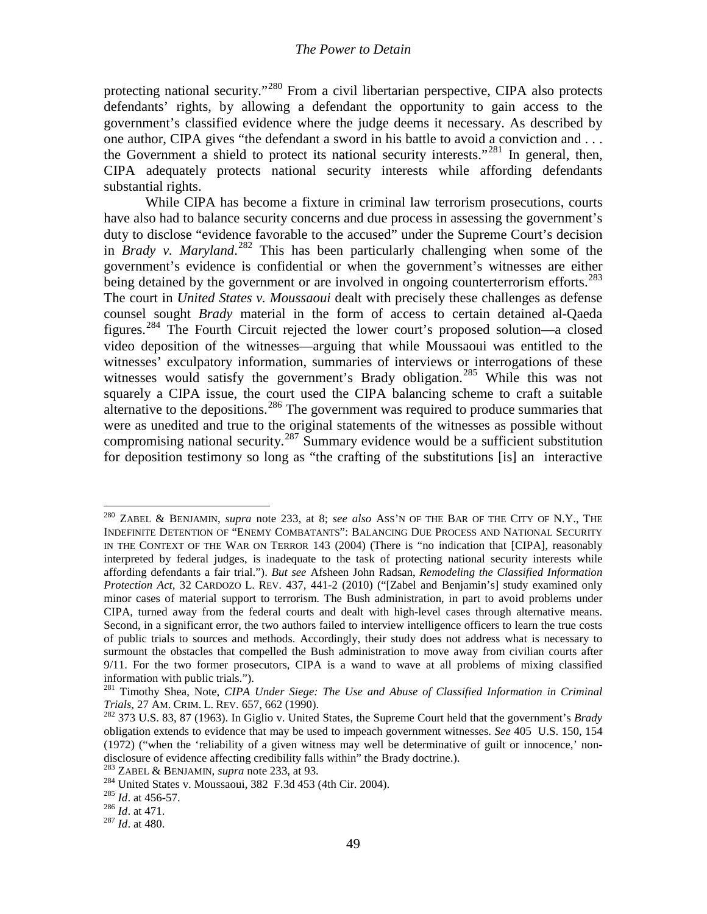protecting national security."[280](#page-47-3) From a civil libertarian perspective, CIPA also protects defendants' rights, by allowing a defendant the opportunity to gain access to the government's classified evidence where the judge deems it necessary. As described by one author, CIPA gives "the defendant a sword in his battle to avoid a conviction and . . . the Government a shield to protect its national security interests."<sup>[281](#page-48-0)</sup> In general, then, CIPA adequately protects national security interests while affording defendants substantial rights.

While CIPA has become a fixture in criminal law terrorism prosecutions, courts have also had to balance security concerns and due process in assessing the government's duty to disclose "evidence favorable to the accused" under the Supreme Court's decision in *Brady v. Maryland*.<sup>[282](#page-48-1)</sup> This has been particularly challenging when some of the government's evidence is confidential or when the government's witnesses are either being detained by the government or are involved in ongoing counterterrorism efforts.<sup>[283](#page-48-2)</sup> The court in *United States v. Moussaoui* dealt with precisely these challenges as defense counsel sought *Brady* material in the form of access to certain detained al-Qaeda figures.[284](#page-48-3) The Fourth Circuit rejected the lower court's proposed solution—a closed video deposition of the witnesses—arguing that while Moussaoui was entitled to the witnesses' exculpatory information, summaries of interviews or interrogations of these witnesses would satisfy the government's Brady obligation.<sup>[285](#page-48-4)</sup> While this was not squarely a CIPA issue, the court used the CIPA balancing scheme to craft a suitable alternative to the depositions.<sup>[286](#page-48-5)</sup> The government was required to produce summaries that were as unedited and true to the original statements of the witnesses as possible without compromising national security.<sup>[287](#page-48-6)</sup> Summary evidence would be a sufficient substitution for deposition testimony so long as "the crafting of the substitutions [is] an interactive

<span id="page-48-7"></span><sup>280</sup> ZABEL & BENJAMIN, *supra* note [233,](#page-39-2) at 8; *see also* ASS'N OF THE BAR OF THE CITY OF N.Y., THE INDEFINITE DETENTION OF "ENEMY COMBATANTS": BALANCING DUE PROCESS AND NATIONAL SECURITY IN THE CONTEXT OF THE WAR ON TERROR 143 (2004) (There is "no indication that [CIPA], reasonably interpreted by federal judges, is inadequate to the task of protecting national security interests while affording defendants a fair trial."). *But see* Afsheen John Radsan, *Remodeling the Classified Information Protection Act,* 32 CARDOZO L. REV. 437, 441-2 (2010) ("[Zabel and Benjamin's] study examined only minor cases of material support to terrorism. The Bush administration, in part to avoid problems under CIPA, turned away from the federal courts and dealt with high-level cases through alternative means. Second, in a significant error, the two authors failed to interview intelligence officers to learn the true costs of public trials to sources and methods. Accordingly, their study does not address what is necessary to surmount the obstacles that compelled the Bush administration to move away from civilian courts after 9/11. For the two former prosecutors, CIPA is a wand to wave at all problems of mixing classified information with public trials.").

<span id="page-48-0"></span><sup>281</sup> Timothy Shea, Note, *CIPA Under Siege: The Use and Abuse of Classified Information in Criminal* 

<span id="page-48-1"></span><sup>&</sup>lt;sup>282</sup> 373 U.S. 83, 87 (1963). In Giglio v. United States, the Supreme Court held that the government's *Brady* obligation extends to evidence that may be used to impeach government witnesses. *See* 405 U.S. 150, 154 (1972) ("when the 'reliability of a given witness may well be determinative of guilt or innocence,' nondisclosure of evidence affecting credibility falls within" the Brady doctrine.).<br>
<sup>283</sup> ZABEL & BENJAMIN, *supra* note [233,](#page-39-2) at 93.<br>
<sup>284</sup> United States v. Moussaoui, 382 F.3d 453 (4th Cir. 2004).<br>
<sup>285</sup> Id. at 456-57.<br>
<sup>2</sup>

<span id="page-48-3"></span><span id="page-48-2"></span>

<span id="page-48-4"></span>

<span id="page-48-5"></span>

<span id="page-48-6"></span>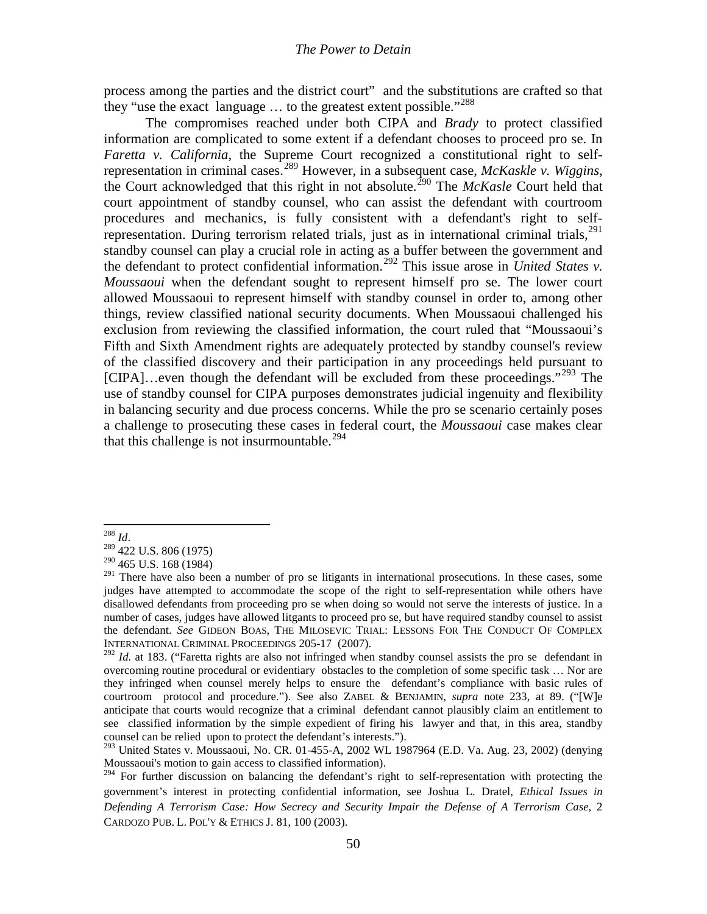process among the parties and the district court" and the substitutions are crafted so that they "use the exact language  $\ldots$  to the greatest extent possible."<sup>[288](#page-48-7)</sup>

The compromises reached under both CIPA and *Brady* to protect classified information are complicated to some extent if a defendant chooses to proceed pro se. In *Faretta v. California*, the Supreme Court recognized a constitutional right to selfrepresentation in criminal cases.[289](#page-49-0) However, in a subsequent case, *McKaskle v. Wiggins*, the Court acknowledged that this right in not absolute.<sup>[290](#page-49-1)</sup> The *McKasle* Court held that court appointment of standby counsel, who can assist the defendant with courtroom procedures and mechanics, is fully consistent with a defendant's right to selfrepresentation. During terrorism related trials, just as in international criminal trials,  $^{291}$  $^{291}$  $^{291}$ standby counsel can play a crucial role in acting as a buffer between the government and the defendant to protect confidential information.[292](#page-49-3) This issue arose in *United States v. Moussaoui* when the defendant sought to represent himself pro se. The lower court allowed Moussaoui to represent himself with standby counsel in order to, among other things, review classified national security documents. When Moussaoui challenged his exclusion from reviewing the classified information, the court ruled that "Moussaoui's Fifth and Sixth Amendment rights are adequately protected by standby counsel's review of the classified discovery and their participation in any proceedings held pursuant to  $[CIPA]...$ even though the defendant will be excluded from these proceedings."<sup>[293](#page-49-4)</sup> The use of standby counsel for CIPA purposes demonstrates judicial ingenuity and flexibility in balancing security and due process concerns. While the pro se scenario certainly poses a challenge to prosecuting these cases in federal court, the *Moussaoui* case makes clear that this challenge is not insurmountable.<sup>[294](#page-49-5)</sup>

<sup>288</sup> *Id*. <sup>289</sup> 422 U.S. 806 (1975)

<span id="page-49-6"></span><span id="page-49-0"></span><sup>290</sup> 465 U.S. 168 (1984)

<span id="page-49-2"></span><span id="page-49-1"></span><sup>&</sup>lt;sup>291</sup> There have also been a number of pro se litigants in international prosecutions. In these cases, some judges have attempted to accommodate the scope of the right to self-representation while others have disallowed defendants from proceeding pro se when doing so would not serve the interests of justice. In a number of cases, judges have allowed litgants to proceed pro se, but have required standby counsel to assist the defendant. *See* GIDEON BOAS, THE MILOSEVIC TRIAL: LESSONS FOR THE CONDUCT OF COMPLEX INTERNATIONAL CRIMINAL PROCEEDINGS 205-17 (2007).

<span id="page-49-3"></span><sup>&</sup>lt;sup>292</sup> *Id.* at 183. ("Faretta rights are also not infringed when standby counsel assists the pro se defendant in overcoming routine procedural or evidentiary obstacles to the completion of some specific task … Nor are they infringed when counsel merely helps to ensure the defendant's compliance with basic rules of courtroom protocol and procedure."). See also ZABEL & BENJAMIN, *supra* note [233,](#page-39-2) at 89. ("[W]e anticipate that courts would recognize that a criminal defendant cannot plausibly claim an entitlement to see classified information by the simple expedient of firing his lawyer and that, in this area, standby counsel can be relied upon to protect the defendant's interests.").

<span id="page-49-4"></span><sup>&</sup>lt;sup>293</sup> United States v. Moussaoui, No. CR. 01-455-A, 2002 WL 1987964 (E.D. Va. Aug. 23, 2002) (denying Moussaoui's motion to gain access to classified information).

<span id="page-49-5"></span><sup>&</sup>lt;sup>294</sup> For further discussion on balancing the defendant's right to self-representation with protecting the government's interest in protecting confidential information, see Joshua L. Dratel, *Ethical Issues in Defending A Terrorism Case: How Secrecy and Security Impair the Defense of A Terrorism Case*, 2 CARDOZO PUB. L. POL'Y & ETHICS J. 81, 100 (2003).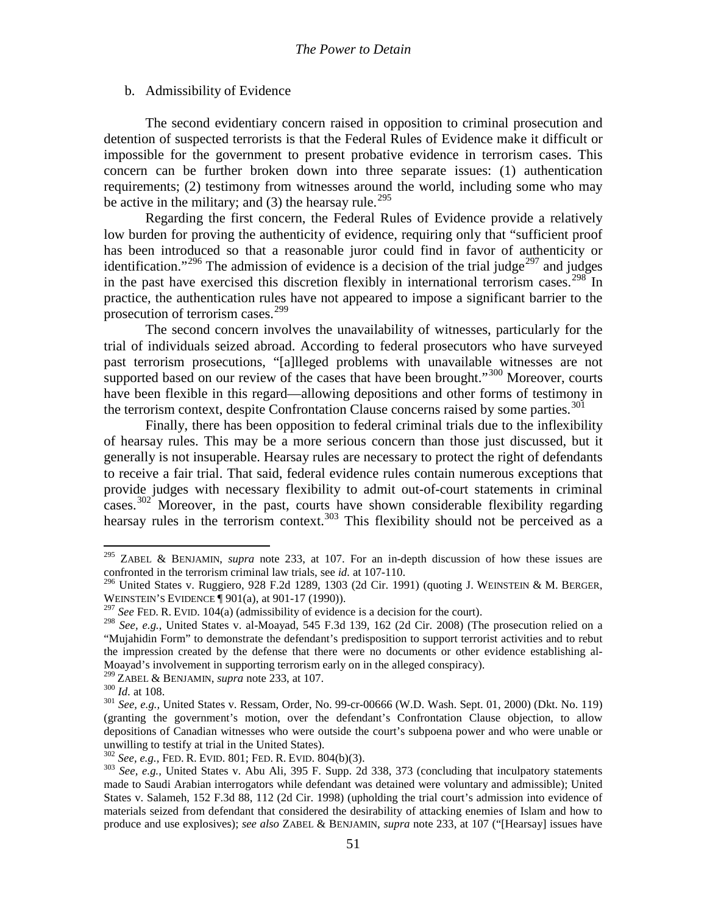### b. Admissibility of Evidence

The second evidentiary concern raised in opposition to criminal prosecution and detention of suspected terrorists is that the Federal Rules of Evidence make it difficult or impossible for the government to present probative evidence in terrorism cases. This concern can be further broken down into three separate issues: (1) authentication requirements; (2) testimony from witnesses around the world, including some who may be active in the military; and  $(3)$  the hearsay rule.<sup>[295](#page-49-6)</sup>

Regarding the first concern, the Federal Rules of Evidence provide a relatively low burden for proving the authenticity of evidence, requiring only that "sufficient proof has been introduced so that a reasonable juror could find in favor of authenticity or identification."<sup>[296](#page-50-0)</sup> The admission of evidence is a decision of the trial judge<sup>[297](#page-50-1)</sup> and judges in the past have exercised this discretion flexibly in international terrorism cases.<sup>[298](#page-50-2)</sup> In practice, the authentication rules have not appeared to impose a significant barrier to the prosecution of terrorism cases.<sup>[299](#page-50-3)</sup>

The second concern involves the unavailability of witnesses, particularly for the trial of individuals seized abroad. According to federal prosecutors who have surveyed past terrorism prosecutions, "[a]lleged problems with unavailable witnesses are not supported based on our review of the cases that have been brought."<sup>[300](#page-50-4)</sup> Moreover, courts have been flexible in this regard—allowing depositions and other forms of testimony in the terrorism context, despite Confrontation Clause concerns raised by some parties.<sup>[301](#page-50-5)</sup>

Finally, there has been opposition to federal criminal trials due to the inflexibility of hearsay rules. This may be a more serious concern than those just discussed, but it generally is not insuperable. Hearsay rules are necessary to protect the right of defendants to receive a fair trial. That said, federal evidence rules contain numerous exceptions that provide judges with necessary flexibility to admit out-of-court statements in criminal cases.<sup>[302](#page-50-6)</sup> Moreover, in the past, courts have shown considerable flexibility regarding hearsay rules in the terrorism context.<sup>[303](#page-50-7)</sup> This flexibility should not be perceived as a

<sup>295</sup> ZABEL & BENJAMIN, *supra* note [233,](#page-39-2) at 107. For an in-depth discussion of how these issues are confronted in the terrorism criminal law trials, see *id.* at 107-110.

<span id="page-50-0"></span><sup>&</sup>lt;sup>296</sup> United States v. Ruggiero, 928 F.2d 1289, 1303 (2d Cir. 1991) (quoting J. WEINSTEIN & M. BERGER, WEINSTEIN'S EVIDENCE ¶ 901(a), at 901-17 (1990)).

<span id="page-50-1"></span><sup>&</sup>lt;sup>297</sup> See FED. R. EVID. 104(a) (admissibility of evidence is a decision for the court).

<span id="page-50-2"></span><sup>298</sup> *See, e.g.*, United States v. al-Moayad, 545 F.3d 139, 162 (2d Cir. 2008) (The prosecution relied on a "Mujahidin Form" to demonstrate the defendant's predisposition to support terrorist activities and to rebut the impression created by the defense that there were no documents or other evidence establishing al-Moayad's involvement in supporting terrorism early on in the alleged conspiracy).<br><sup>299</sup> ZABEL & BENJAMIN, *supra* note 233, at 107.<br><sup>300</sup> Id. at 108.

<span id="page-50-4"></span><span id="page-50-3"></span>

<span id="page-50-5"></span><sup>&</sup>lt;sup>301</sup> See, e.g., United States v. Ressam, Order, No. 99-cr-00666 (W.D. Wash. Sept. 01, 2000) (Dkt. No. 119) (granting the government's motion, over the defendant's Confrontation Clause objection, to allow depositions of Canadian witnesses who were outside the court's subpoena power and who were unable or unwilling to testify at trial in the United States).<br> $302$  See, e.g., FED. R. EVID. 801; FED. R. EVID. 804(b)(3).

<span id="page-50-7"></span><span id="page-50-6"></span><sup>&</sup>lt;sup>303</sup> See, e.g., United States v. Abu Ali, 395 F. Supp. 2d 338, 373 (concluding that inculpatory statements made to Saudi Arabian interrogators while defendant was detained were voluntary and admissible); United States v. Salameh, 152 F.3d 88, 112 (2d Cir. 1998) (upholding the trial court's admission into evidence of materials seized from defendant that considered the desirability of attacking enemies of Islam and how to produce and use explosives); *see also* ZABEL & BENJAMIN, *supra* note [233,](#page-39-2) at 107 ("[Hearsay] issues have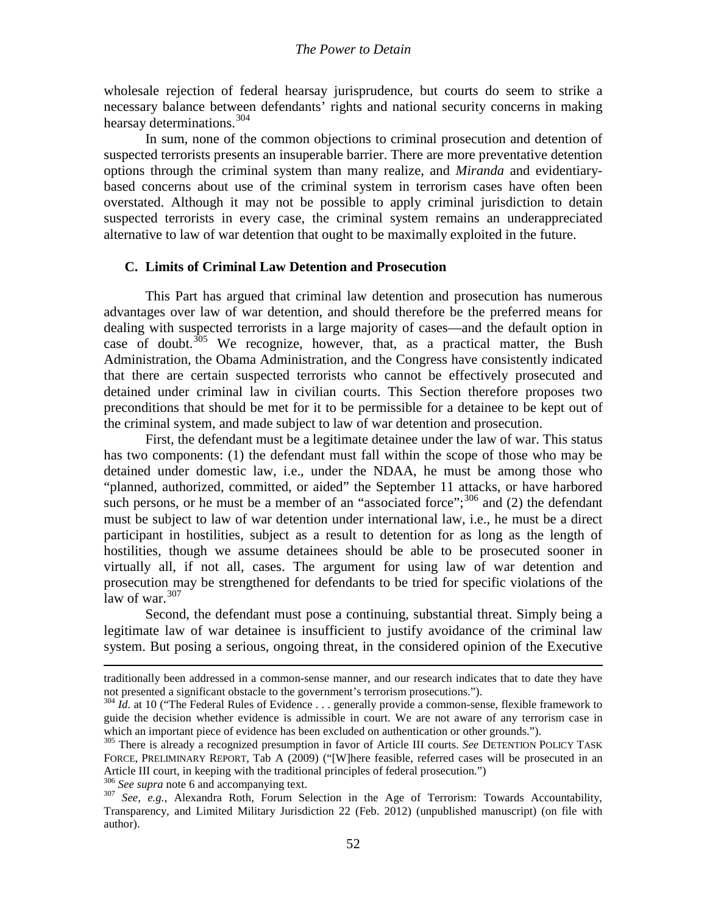wholesale rejection of federal hearsay jurisprudence, but courts do seem to strike a necessary balance between defendants' rights and national security concerns in making hearsay determinations. [304](#page-50-5) 

In sum, none of the common objections to criminal prosecution and detention of suspected terrorists presents an insuperable barrier. There are more preventative detention options through the criminal system than many realize, and *Miranda* and evidentiarybased concerns about use of the criminal system in terrorism cases have often been overstated. Although it may not be possible to apply criminal jurisdiction to detain suspected terrorists in every case, the criminal system remains an underappreciated alternative to law of war detention that ought to be maximally exploited in the future.

## **C. Limits of Criminal Law Detention and Prosecution**

This Part has argued that criminal law detention and prosecution has numerous advantages over law of war detention, and should therefore be the preferred means for dealing with suspected terrorists in a large majority of cases—and the default option in case of doubt.<sup>[305](#page-51-0)</sup> We recognize, however, that, as a practical matter, the Bush Administration, the Obama Administration, and the Congress have consistently indicated that there are certain suspected terrorists who cannot be effectively prosecuted and detained under criminal law in civilian courts. This Section therefore proposes two preconditions that should be met for it to be permissible for a detainee to be kept out of the criminal system, and made subject to law of war detention and prosecution.

First, the defendant must be a legitimate detainee under the law of war. This status has two components: (1) the defendant must fall within the scope of those who may be detained under domestic law, i.e., under the NDAA, he must be among those who "planned, authorized, committed, or aided" the September 11 attacks, or have harbored such persons, or he must be a member of an "associated force";  $306$  and (2) the defendant must be subject to law of war detention under international law, i.e., he must be a direct participant in hostilities, subject as a result to detention for as long as the length of hostilities, though we assume detainees should be able to be prosecuted sooner in virtually all, if not all, cases. The argument for using law of war detention and prosecution may be strengthened for defendants to be tried for specific violations of the law of war.  $307$ 

<span id="page-51-3"></span>Second, the defendant must pose a continuing, substantial threat. Simply being a legitimate law of war detainee is insufficient to justify avoidance of the criminal law system. But posing a serious, ongoing threat, in the considered opinion of the Executive

 $\overline{\phantom{a}}$ 

traditionally been addressed in a common-sense manner, and our research indicates that to date they have not presented a significant obstacle to the government's terrorism prosecutions.").

<span id="page-51-4"></span><sup>&</sup>lt;sup>304</sup> *Id.* at 10 ("The Federal Rules of Evidence . . . generally provide a common-sense, flexible framework to guide the decision whether evidence is admissible in court. We are not aware of any terrorism case in which an important piece of evidence has been excluded on authentication or other grounds.").

<span id="page-51-0"></span><sup>&</sup>lt;sup>305</sup> There is already a recognized presumption in favor of Article III courts. *See* DETENTION POLICY TASK FORCE, PRELIMINARY REPORT, Tab A (2009) ("[W]here feasible, referred cases will be prosecuted in an Article III court, in keeping with the traditional principles of federal prosecution.") 306 See supra note 6 and accompanying text.

<span id="page-51-2"></span><span id="page-51-1"></span><sup>&</sup>lt;sup>307</sup> See, e.g., Alexandra Roth, Forum Selection in the Age of Terrorism: Towards Accountability, Transparency, and Limited Military Jurisdiction 22 (Feb. 2012) (unpublished manuscript) (on file with author).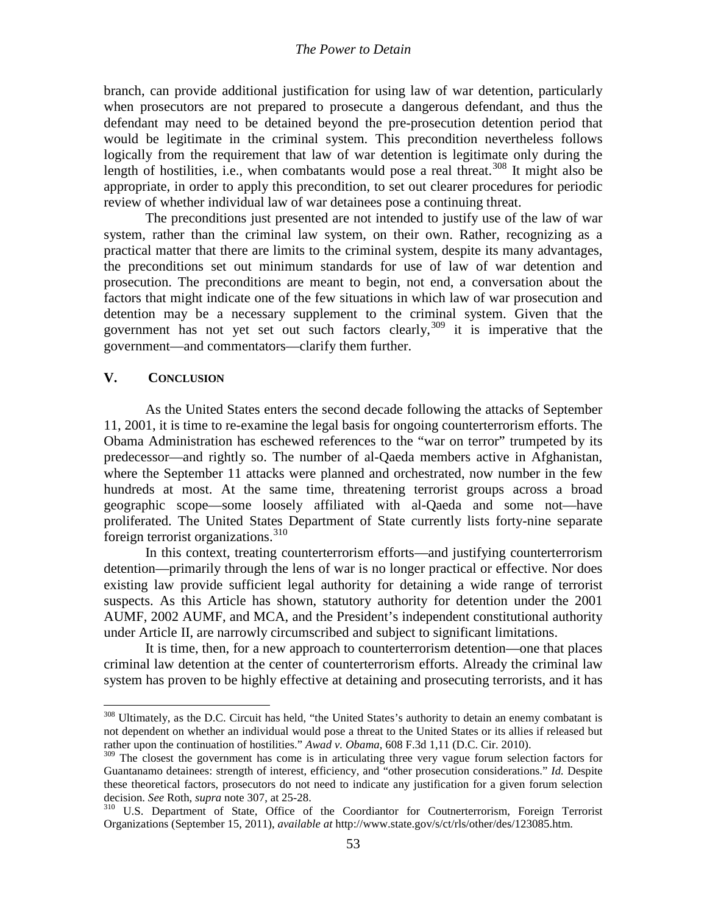branch, can provide additional justification for using law of war detention, particularly when prosecutors are not prepared to prosecute a dangerous defendant, and thus the defendant may need to be detained beyond the pre-prosecution detention period that would be legitimate in the criminal system. This precondition nevertheless follows logically from the requirement that law of war detention is legitimate only during the length of hostilities, i.e., when combatants would pose a real threat.<sup>[308](#page-51-4)</sup> It might also be appropriate, in order to apply this precondition, to set out clearer procedures for periodic review of whether individual law of war detainees pose a continuing threat.

The preconditions just presented are not intended to justify use of the law of war system, rather than the criminal law system, on their own. Rather, recognizing as a practical matter that there are limits to the criminal system, despite its many advantages, the preconditions set out minimum standards for use of law of war detention and prosecution. The preconditions are meant to begin, not end, a conversation about the factors that might indicate one of the few situations in which law of war prosecution and detention may be a necessary supplement to the criminal system. Given that the government has not yet set out such factors clearly, [309](#page-52-0) it is imperative that the government—and commentators—clarify them further.

## **V. CONCLUSION**

As the United States enters the second decade following the attacks of September 11, 2001, it is time to re-examine the legal basis for ongoing counterterrorism efforts. The Obama Administration has eschewed references to the "war on terror" trumpeted by its predecessor—and rightly so. The number of al-Qaeda members active in Afghanistan, where the September 11 attacks were planned and orchestrated, now number in the few hundreds at most. At the same time, threatening terrorist groups across a broad geographic scope—some loosely affiliated with al-Qaeda and some not—have proliferated. The United States Department of State currently lists forty-nine separate foreign terrorist organizations.<sup>[310](#page-52-1)</sup>

In this context, treating counterterrorism efforts—and justifying counterterrorism detention—primarily through the lens of war is no longer practical or effective. Nor does existing law provide sufficient legal authority for detaining a wide range of terrorist suspects. As this Article has shown, statutory authority for detention under the 2001 AUMF, 2002 AUMF, and MCA, and the President's independent constitutional authority under Article II, are narrowly circumscribed and subject to significant limitations.

It is time, then, for a new approach to counterterrorism detention—one that places criminal law detention at the center of counterterrorism efforts. Already the criminal law system has proven to be highly effective at detaining and prosecuting terrorists, and it has

<sup>&</sup>lt;sup>308</sup> Ultimately, as the D.C. Circuit has held, "the United States's authority to detain an enemy combatant is not dependent on whether an individual would pose a threat to the United States or its allies if released but rather upon the continuation of hostilities." *Awad v. Obama*, 608 F.3d 1,11 (D.C. Cir. 2010).

<span id="page-52-0"></span><sup>&</sup>lt;sup>309</sup> The closest the government has come is in articulating three very vague forum selection factors for Guantanamo detainees: strength of interest, efficiency, and "other prosecution considerations." *Id.* Despite these theoretical factors, prosecutors do not need to indicate any justification for a given forum selection decision. See Roth, supra note 307, at 25-28.

<span id="page-52-1"></span><sup>&</sup>lt;sup>310</sup> U.S. Department of State, Office of the Coordiantor for Coutnerterrorism, Foreign Terrorist Organizations (September 15, 2011), *available at* http://www.state.gov/s/ct/rls/other/des/123085.htm.